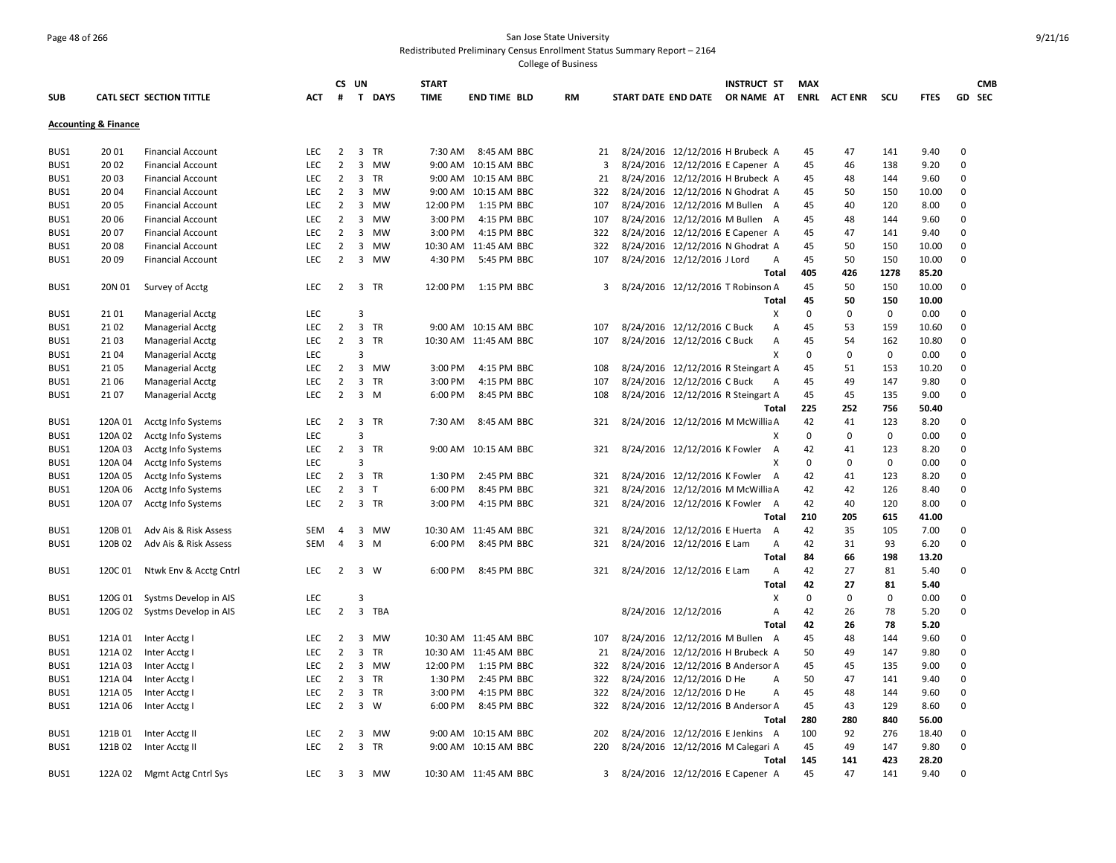## Page 48 of 266 San Jose State University Redistributed Preliminary Census Enrollment Status Summary Report – 2164

|            |                                 |                          |            | CS UN               |                         |             | <b>START</b> |                       |           |     |                                    | <b>INSTRUCT ST</b> | <b>MAX</b>  |                    |             |             |              | <b>CMB</b> |
|------------|---------------------------------|--------------------------|------------|---------------------|-------------------------|-------------|--------------|-----------------------|-----------|-----|------------------------------------|--------------------|-------------|--------------------|-------------|-------------|--------------|------------|
| <b>SUB</b> |                                 | CATL SECT SECTION TITTLE | ACT.       | #                   |                         | T DAYS      | <b>TIME</b>  | <b>END TIME BLD</b>   | <b>RM</b> |     | START DATE END DATE                | OR NAME AT         |             | <b>ENRL ACTENR</b> | scu         | <b>FTES</b> |              | GD SEC     |
|            | <b>Accounting &amp; Finance</b> |                          |            |                     |                         |             |              |                       |           |     |                                    |                    |             |                    |             |             |              |            |
|            |                                 |                          |            |                     |                         |             |              |                       |           |     |                                    |                    |             |                    |             |             |              |            |
| BUS1       | 20 01                           | <b>Financial Account</b> | <b>LEC</b> | $\overline{2}$      | 3                       | <b>TR</b>   | 7:30 AM      | 8:45 AM BBC           |           | 21  | 8/24/2016 12/12/2016 H Brubeck A   |                    | 45          | 47                 | 141         | 9.40        | $\mathbf 0$  |            |
| BUS1       | 20 02                           | <b>Financial Account</b> | <b>LEC</b> | $\overline{2}$      | 3                       | MW          | 9:00 AM      | 10:15 AM BBC          |           | 3   | 8/24/2016 12/12/2016 E Capener A   |                    | 45          | 46                 | 138         | 9.20        | $\mathbf 0$  |            |
| BUS1       | 20 03                           | <b>Financial Account</b> | LEC        | $\overline{2}$      | 3                       | TR          | 9:00 AM      | 10:15 AM BBC          |           | 21  | 8/24/2016 12/12/2016 H Brubeck A   |                    | 45          | 48                 | 144         | 9.60        | 0            |            |
| BUS1       | 20 04                           | <b>Financial Account</b> | <b>LEC</b> | $\overline{2}$      |                         | 3 MW        | 9:00 AM      | 10:15 AM BBC          |           | 322 | 8/24/2016 12/12/2016 N Ghodrat A   |                    | 45          | 50                 | 150         | 10.00       | $\mathbf 0$  |            |
| BUS1       | 20 05                           | <b>Financial Account</b> | <b>LEC</b> | $\overline{2}$      | 3                       | MW          | 12:00 PM     | 1:15 PM BBC           |           | 107 | 8/24/2016 12/12/2016 M Bullen A    |                    | 45          | 40                 | 120         | 8.00        | 0            |            |
| BUS1       | 20 06                           | <b>Financial Account</b> | LEC        | $\overline{2}$      |                         | 3 MW        | 3:00 PM      | 4:15 PM BBC           |           | 107 | 8/24/2016 12/12/2016 M Bullen A    |                    | 45          | 48                 | 144         | 9.60        | 0            |            |
| BUS1       | 20 07                           | <b>Financial Account</b> | <b>LEC</b> | $\overline{2}$      |                         | 3 MW        | 3:00 PM      | 4:15 PM BBC           |           | 322 | 8/24/2016 12/12/2016 E Capener A   |                    | 45          | 47                 | 141         | 9.40        | $\mathbf{0}$ |            |
| BUS1       | 20 08                           | <b>Financial Account</b> | LEC        | $\overline{2}$      | 3                       | MW          | 10:30 AM     | 11:45 AM BBC          |           | 322 | 8/24/2016 12/12/2016 N Ghodrat A   |                    | 45          | 50                 | 150         | 10.00       | $\mathbf 0$  |            |
| BUS1       | 20 09                           | <b>Financial Account</b> | LEC        | $\overline{2}$      |                         | 3 MW        | 4:30 PM      | 5:45 PM BBC           |           | 107 | 8/24/2016 12/12/2016 J Lord        | Α                  | 45          | 50                 | 150         | 10.00       | 0            |            |
|            |                                 |                          |            |                     |                         |             |              |                       |           |     |                                    | Total              | 405         | 426                | 1278        | 85.20       |              |            |
| BUS1       | 20N 01                          | Survey of Acctg          | <b>LEC</b> | $\overline{2}$      |                         | 3 TR        | 12:00 PM     | 1:15 PM BBC           |           | 3   | 8/24/2016 12/12/2016 T Robinson A  |                    | 45          | 50                 | 150         | 10.00       | 0            |            |
|            |                                 |                          |            |                     |                         |             |              |                       |           |     |                                    | <b>Total</b>       | 45          | 50                 | 150         | 10.00       |              |            |
| BUS1       | 21 01                           | <b>Managerial Acctg</b>  | <b>LEC</b> |                     | $\overline{3}$          |             |              |                       |           |     |                                    | X                  | $\mathbf 0$ | $\mathbf 0$        | $\mathbf 0$ | 0.00        | $\mathbf 0$  |            |
| BUS1       | 21 02                           | <b>Managerial Acctg</b>  | <b>LEC</b> | $\overline{2}$      | $\overline{3}$          | TR          |              | 9:00 AM 10:15 AM BBC  |           | 107 | 8/24/2016 12/12/2016 C Buck        | А                  | 45          | 53                 | 159         | 10.60       | 0            |            |
| BUS1       | 21 03                           | Managerial Acctg         | LEC        | $\overline{2}$      |                         | 3 TR        |              | 10:30 AM 11:45 AM BBC |           | 107 | 8/24/2016 12/12/2016 C Buck        | А                  | 45          | 54                 | 162         | 10.80       | $\mathbf 0$  |            |
| BUS1       | 21 04                           | <b>Managerial Acctg</b>  | <b>LEC</b> |                     | 3                       |             |              |                       |           |     |                                    | X                  | 0           | $\mathbf 0$        | $\mathbf 0$ | 0.00        | $\mathbf 0$  |            |
| BUS1       | 21 05                           | <b>Managerial Acctg</b>  | LEC        | 2                   |                         | 3 MW        | 3:00 PM      | 4:15 PM BBC           |           | 108 | 8/24/2016 12/12/2016 R Steingart A |                    | 45          | 51                 | 153         | 10.20       | $\mathbf 0$  |            |
| BUS1       | 21 06                           | <b>Managerial Acctg</b>  | LEC        | $\overline{2}$      | $\overline{3}$          | TR          | 3:00 PM      | 4:15 PM BBC           |           | 107 | 8/24/2016 12/12/2016 C Buck        | Α                  | 45          | 49                 | 147         | 9.80        | 0            |            |
| BUS1       | 21 07                           | <b>Managerial Acctg</b>  | <b>LEC</b> | $\overline{2}$      |                         | $3 \, M$    | 6:00 PM      | 8:45 PM BBC           |           | 108 | 8/24/2016 12/12/2016 R Steingart A |                    | 45          | 45                 | 135         | 9.00        | $\mathbf 0$  |            |
|            |                                 |                          |            |                     |                         |             |              |                       |           |     |                                    | Total              | 225         | 252                | 756         | 50.40       |              |            |
| BUS1       | 120A 01                         | Acctg Info Systems       | LEC        | $\overline{2}$      | 3                       | TR          | 7:30 AM      | 8:45 AM BBC           |           | 321 | 8/24/2016 12/12/2016 M McWillia A  |                    | 42          | 41                 | 123         | 8.20        | 0            |            |
| BUS1       | 120A 02                         | Acctg Info Systems       | LEC        |                     | $\overline{3}$          |             |              |                       |           |     |                                    | х                  | $\mathbf 0$ | 0                  | $\mathbf 0$ | 0.00        | $\mathbf 0$  |            |
| BUS1       | 120A 03                         | Acctg Info Systems       | LEC        | $\overline{2}$      | $\overline{3}$          | TR          | 9:00 AM      | 10:15 AM BBC          |           | 321 | 8/24/2016 12/12/2016 K Fowler      | A                  | 42          | 41                 | 123         | 8.20        | 0            |            |
| BUS1       | 120A 04                         |                          | LEC        |                     | $\overline{\mathbf{3}}$ |             |              |                       |           |     |                                    | х                  | 0           | 0                  | $\mathbf 0$ | 0.00        | 0            |            |
|            |                                 | Acctg Info Systems       |            |                     |                         | 3 TR        | 1:30 PM      |                       |           | 321 |                                    |                    |             | 41                 | 123         |             | $\mathbf 0$  |            |
| BUS1       | 120A 05                         | Acctg Info Systems       | LEC        | 2<br>$\overline{2}$ | $\overline{3}$          | T           |              | 2:45 PM BBC           |           |     | 8/24/2016 12/12/2016 K Fowler      | A                  | 42          |                    |             | 8.20        |              |            |
| BUS1       | 120A 06                         | Acctg Info Systems       | LEC        |                     |                         |             | 6:00 PM      | 8:45 PM BBC           |           | 321 | 8/24/2016 12/12/2016 M McWillia A  |                    | 42          | 42                 | 126         | 8.40        | 0            |            |
| BUS1       | 120A 07                         | Acctg Info Systems       | <b>LEC</b> | $\overline{2}$      |                         | 3 TR        | 3:00 PM      | 4:15 PM BBC           |           | 321 | 8/24/2016 12/12/2016 K Fowler A    |                    | 42          | 40                 | 120         | 8.00        | 0            |            |
|            |                                 |                          |            |                     |                         |             |              |                       |           |     |                                    | Total              | 210         | 205                | 615         | 41.00       |              |            |
| BUS1       | 120B 01                         | Adv Ais & Risk Assess    | <b>SEM</b> | 4                   | 3                       | MW          | 10:30 AM     | 11:45 AM BBC          |           | 321 | 8/24/2016 12/12/2016 E Huerta      | A                  | 42          | 35                 | 105         | 7.00        | 0            |            |
| BUS1       | 120B 02                         | Adv Ais & Risk Assess    | <b>SEM</b> | $\overline{4}$      |                         | $3 \, M$    | 6:00 PM      | 8:45 PM BBC           |           | 321 | 8/24/2016 12/12/2016 E Lam         | Α                  | 42          | 31                 | 93          | 6.20        | 0            |            |
|            |                                 |                          |            |                     |                         |             |              |                       |           |     |                                    | Total              | 84          | 66                 | 198         | 13.20       |              |            |
| BUS1       | 120C 01                         | Ntwk Env & Acctg Cntrl   | LEC        | $\overline{2}$      |                         | $3 \quad W$ | 6:00 PM      | 8:45 PM BBC           |           | 321 | 8/24/2016 12/12/2016 E Lam         | А                  | 42          | 27                 | 81          | 5.40        | 0            |            |
|            |                                 |                          |            |                     |                         |             |              |                       |           |     |                                    | Total              | 42          | 27                 | 81          | 5.40        |              |            |
| BUS1       | 120G 01                         | Systms Develop in AIS    | <b>LEC</b> |                     | $\overline{3}$          |             |              |                       |           |     |                                    | х                  | 0           | $\mathbf 0$        | 0           | 0.00        | 0            |            |
| BUS1       | 120G 02                         | Systms Develop in AIS    | LEC        | $\overline{2}$      |                         | 3 TBA       |              |                       |           |     | 8/24/2016 12/12/2016               | A                  | 42          | 26                 | 78          | 5.20        | $\mathbf 0$  |            |
|            |                                 |                          |            |                     |                         |             |              |                       |           |     |                                    | Total              | 42          | 26                 | 78          | 5.20        |              |            |
| BUS1       | 121A 01                         | Inter Acctg I            | <b>LEC</b> | $\overline{2}$      | 3                       | MW          |              | 10:30 AM 11:45 AM BBC |           | 107 | 8/24/2016 12/12/2016 M Bullen A    |                    | 45          | 48                 | 144         | 9.60        | 0            |            |
| BUS1       | 121A 02                         | Inter Acctg I            | LEC        | $\overline{2}$      | $\overline{3}$          | TR          |              | 10:30 AM 11:45 AM BBC |           | 21  | 8/24/2016 12/12/2016 H Brubeck A   |                    | 50          | 49                 | 147         | 9.80        | 0            |            |
| BUS1       | 121A 03                         | Inter Acctg I            | <b>LEC</b> | $\overline{2}$      |                         | 3 MW        | 12:00 PM     | 1:15 PM BBC           |           | 322 | 8/24/2016 12/12/2016 B Andersor A  |                    | 45          | 45                 | 135         | 9.00        | $\mathbf 0$  |            |
| BUS1       | 121A 04                         | Inter Acctg I            | LEC        | $\overline{2}$      | 3                       | TR          | 1:30 PM      | 2:45 PM BBC           |           | 322 | 8/24/2016 12/12/2016 D He          | A                  | 50          | 47                 | 141         | 9.40        | $\mathbf 0$  |            |
| BUS1       | 121A 05                         | Inter Acctg I            | LEC        | $\overline{2}$      | 3                       | TR          | 3:00 PM      | 4:15 PM BBC           |           | 322 | 8/24/2016 12/12/2016 D He          | А                  | 45          | 48                 | 144         | 9.60        | 0            |            |
| BUS1       | 121A 06                         | Inter Acctg I            | <b>LEC</b> | $\overline{2}$      | $\overline{3}$          | W           | 6:00 PM      | 8:45 PM BBC           |           | 322 | 8/24/2016 12/12/2016 B Andersor A  |                    | 45          | 43                 | 129         | 8.60        | $\mathbf 0$  |            |
|            |                                 |                          |            |                     |                         |             |              |                       |           |     |                                    | Total              | 280         | 280                | 840         | 56.00       |              |            |
| BUS1       | 121B01                          | Inter Acctg II           | LEC        | 2                   | 3                       | <b>MW</b>   | 9:00 AM      | 10:15 AM BBC          |           | 202 | 8/24/2016 12/12/2016 E Jenkins A   |                    | 100         | 92                 | 276         | 18.40       | 0            |            |
| BUS1       | 121B 02                         | Inter Acctg II           | LEC        | $\overline{2}$      |                         | 3 TR        |              | 9:00 AM 10:15 AM BBC  |           | 220 | 8/24/2016 12/12/2016 M Calegari A  |                    | 45          | 49                 | 147         | 9.80        | $\mathbf 0$  |            |
|            |                                 |                          |            |                     |                         |             |              |                       |           |     |                                    | Total              | 145         | 141                | 423         | 28.20       |              |            |
| BUS1       | 122A 02                         | Mgmt Actg Cntrl Sys      | <b>LEC</b> | 3                   |                         | 3 MW        |              | 10:30 AM 11:45 AM BBC |           | 3   | 8/24/2016 12/12/2016 E Capener A   |                    | 45          | 47                 | 141         | 9.40        | $\mathbf 0$  |            |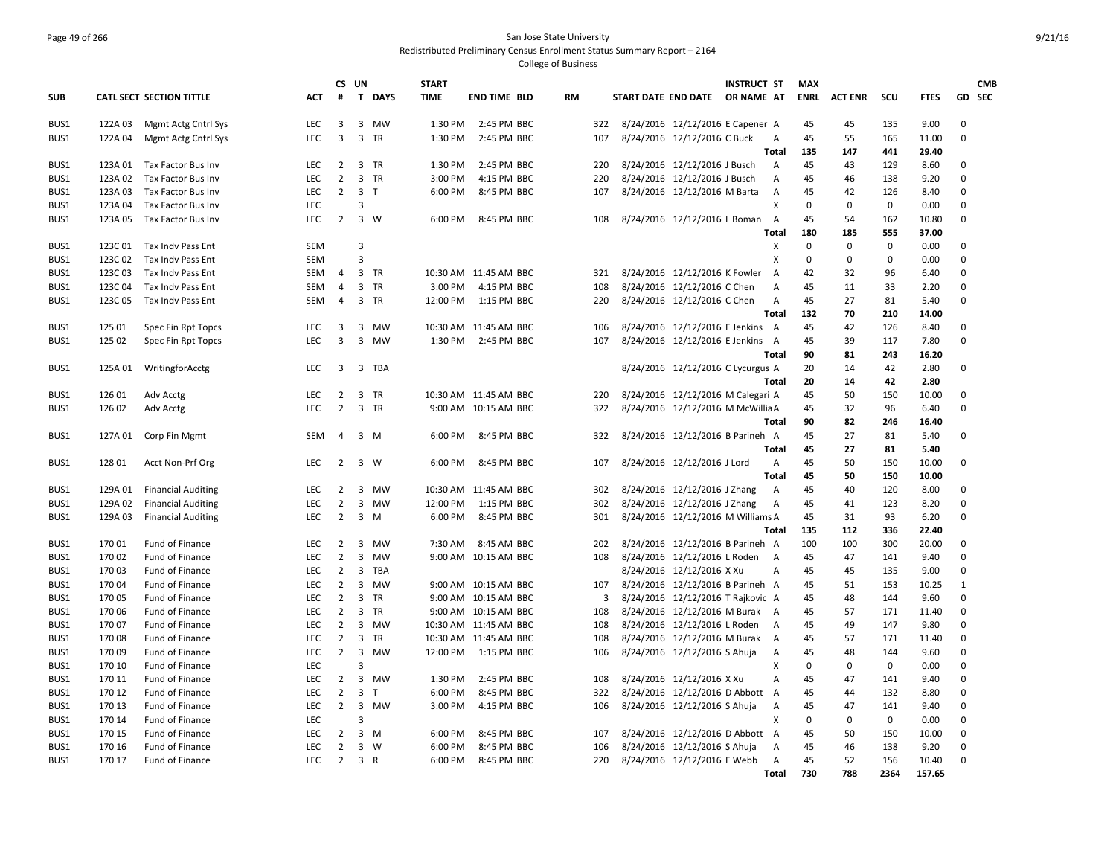# Page 49 of 266 San Jose State University Redistributed Preliminary Census Enrollment Status Summary Report – 2164

|            |         |                           |            | CS UN          |                |                | <b>START</b> |                       |           |                         |                                |                                   | <b>INSTRUCT ST</b> |                   | <b>MAX</b>  |                |             |               | <b>CMB</b>   |
|------------|---------|---------------------------|------------|----------------|----------------|----------------|--------------|-----------------------|-----------|-------------------------|--------------------------------|-----------------------------------|--------------------|-------------------|-------------|----------------|-------------|---------------|--------------|
| <b>SUB</b> |         | CATL SECT SECTION TITTLE  | <b>ACT</b> | #              | $\mathbf{T}$   | <b>DAYS</b>    | <b>TIME</b>  | <b>END TIME BLD</b>   | <b>RM</b> |                         | START DATE END DATE OR NAME AT |                                   |                    |                   | <b>ENRL</b> | <b>ACT ENR</b> | scu         | <b>FTES</b>   | GD SEC       |
| BUS1       | 122A 03 | Mgmt Actg Cntrl Sys       | <b>LEC</b> | 3              | 3              | MW             | 1:30 PM      | 2:45 PM BBC           |           | 322                     |                                | 8/24/2016 12/12/2016 E Capener A  |                    |                   | 45          | 45             | 135         | 9.00          | $\mathbf 0$  |
| BUS1       | 122A 04 | Mgmt Actg Cntrl Sys       | <b>LEC</b> | $\overline{3}$ |                | 3 TR           | 1:30 PM      | 2:45 PM BBC           |           | 107                     |                                | 8/24/2016 12/12/2016 C Buck       |                    | A                 | 45          | 55             | 165         | 11.00         | $\mathbf 0$  |
|            |         |                           |            |                |                |                |              |                       |           |                         |                                |                                   |                    | Total             | 135         | 147            | 441         | 29.40         |              |
| BUS1       | 123A 01 | Tax Factor Bus Inv        | <b>LEC</b> | $\overline{2}$ |                | 3 TR           | 1:30 PM      | 2:45 PM BBC           |           | 220                     |                                | 8/24/2016 12/12/2016 J Busch      |                    | A                 | 45          | 43             | 129         | 8.60          | 0            |
| BUS1       | 123A 02 | Tax Factor Bus Inv        | <b>LEC</b> | $\overline{2}$ | 3              | <b>TR</b>      | 3:00 PM      | 4:15 PM BBC           |           | 220                     |                                | 8/24/2016 12/12/2016 J Busch      |                    | A                 | 45          | 46             | 138         | 9.20          | $\mathbf 0$  |
| BUS1       | 123A 03 | Tax Factor Bus Inv        | <b>LEC</b> | $\overline{2}$ |                | 3 <sub>1</sub> | 6:00 PM      | 8:45 PM BBC           |           | 107                     |                                | 8/24/2016 12/12/2016 M Barta      |                    | A                 | 45          | 42             | 126         | 8.40          | $\mathbf 0$  |
| BUS1       | 123A 04 | Tax Factor Bus Inv        | LEC        |                | 3              |                |              |                       |           |                         |                                |                                   |                    | X                 | $\Omega$    | 0              | $\mathbf 0$ | 0.00          | $\mathbf 0$  |
| BUS1       | 123A 05 | Tax Factor Bus Inv        | <b>LEC</b> | $\overline{2}$ |                | $3 \quad W$    | 6:00 PM      | 8:45 PM BBC           |           | 108                     |                                | 8/24/2016 12/12/2016 L Boman      |                    | $\overline{A}$    | 45          | 54             | 162         | 10.80         | $\mathbf 0$  |
|            |         |                           |            |                |                |                |              |                       |           |                         |                                |                                   |                    | Total             | 180         | 185            | 555         | 37.00         |              |
| BUS1       | 123C 01 | Tax Indy Pass Ent         | <b>SEM</b> |                | 3              |                |              |                       |           |                         |                                |                                   |                    | X                 | $\Omega$    | $\mathbf 0$    | $\mathbf 0$ | 0.00          | 0            |
| BUS1       | 123C02  | Tax Indv Pass Ent         | <b>SEM</b> |                | 3              |                |              |                       |           |                         |                                |                                   |                    | X                 | $\mathbf 0$ | $\mathbf 0$    | $\mathbf 0$ | 0.00          | $\mathbf 0$  |
| BUS1       | 123C03  | Tax Indy Pass Ent         | <b>SEM</b> | $\overline{4}$ |                | 3 TR           |              | 10:30 AM 11:45 AM BBC |           | 321                     |                                | 8/24/2016 12/12/2016 K Fowler     |                    | $\overline{A}$    | 42          | 32             | 96          | 6.40          | $\mathbf 0$  |
| BUS1       | 123C04  | Tax Indy Pass Ent         | SEM        | 4              | $\overline{3}$ | TR             | 3:00 PM      | 4:15 PM BBC           |           | 108                     |                                | 8/24/2016 12/12/2016 C Chen       |                    | А                 | 45          | 11             | 33          | 2.20          | $\mathbf 0$  |
| BUS1       | 123C05  | Tax Indy Pass Ent         | SEM        | $\overline{4}$ | 3              | TR             | 12:00 PM     | 1:15 PM BBC           |           | 220                     |                                | 8/24/2016 12/12/2016 C Chen       |                    | A<br><b>Total</b> | 45<br>132   | 27<br>70       | 81<br>210   | 5.40<br>14.00 | $\mathbf 0$  |
| BUS1       | 125 01  | Spec Fin Rpt Topcs        | <b>LEC</b> | 3              | 3              | MW             |              | 10:30 AM 11:45 AM BBC |           | 106                     |                                | 8/24/2016 12/12/2016 E Jenkins    |                    | A                 | 45          | 42             | 126         | 8.40          | 0            |
| BUS1       | 125 02  | Spec Fin Rpt Topcs        | <b>LEC</b> | 3              | 3              | MW             | 1:30 PM      | 2:45 PM BBC           |           | 107                     |                                | 8/24/2016 12/12/2016 E Jenkins A  |                    |                   | 45          | 39             | 117         | 7.80          | $\Omega$     |
|            |         |                           |            |                |                |                |              |                       |           |                         |                                |                                   |                    | Total             | 90          | 81             | 243         | 16.20         |              |
| BUS1       | 125A 01 | WritingforAcctg           | LEC        | $\overline{3}$ |                | 3 TBA          |              |                       |           |                         |                                | 8/24/2016 12/12/2016 C Lycurgus A |                    |                   | 20          | 14             | 42          | 2.80          | $\mathbf 0$  |
|            |         |                           |            |                |                |                |              |                       |           |                         |                                |                                   |                    | Total             | 20          | 14             | 42          | 2.80          |              |
| BUS1       | 126 01  | Adv Acctg                 | <b>LEC</b> | 2              | 3              | TR             |              | 10:30 AM 11:45 AM BBC |           | 220                     |                                | 8/24/2016 12/12/2016 M Calegari A |                    |                   | 45          | 50             | 150         | 10.00         | $\Omega$     |
| BUS1       | 126 02  | Adv Acctg                 | LEC        | $\overline{2}$ |                | 3 TR           |              | 9:00 AM 10:15 AM BBC  |           | 322                     |                                | 8/24/2016 12/12/2016 M McWillia A |                    |                   | 45          | 32             | 96          | 6.40          | $\mathbf 0$  |
|            |         |                           |            |                |                |                |              |                       |           |                         |                                |                                   |                    | Total             | 90          | 82             | 246         | 16.40         |              |
| BUS1       | 127A 01 | Corp Fin Mgmt             | SEM        | $\overline{4}$ |                | $3 \, M$       | 6:00 PM      | 8:45 PM BBC           |           | 322                     |                                | 8/24/2016 12/12/2016 B Parineh A  |                    |                   | 45          | 27             | 81          | 5.40          | $\mathbf 0$  |
|            |         |                           |            |                |                |                |              |                       |           |                         |                                |                                   |                    | Total             | 45          | 27             | 81          | 5.40          |              |
| BUS1       | 128 01  | Acct Non-Prf Org          | <b>LEC</b> | $\overline{2}$ |                | $3 \quad W$    | 6:00 PM      | 8:45 PM BBC           |           | 107                     |                                | 8/24/2016 12/12/2016 J Lord       |                    | Α                 | 45          | 50             | 150         | 10.00         | $\mathbf 0$  |
|            |         |                           |            |                |                |                |              |                       |           |                         |                                |                                   |                    | <b>Total</b>      | 45          | 50             | 150         | 10.00         |              |
| BUS1       | 129A 01 | <b>Financial Auditing</b> | LEC        | $\overline{2}$ | 3              | <b>MW</b>      |              | 10:30 AM 11:45 AM BBC |           | 302                     |                                | 8/24/2016 12/12/2016 J Zhang      |                    | A                 | 45          | 40             | 120         | 8.00          | $\mathbf 0$  |
| BUS1       | 129A 02 | <b>Financial Auditing</b> | <b>LEC</b> | $\overline{2}$ | 3              | MW             | 12:00 PM     | 1:15 PM BBC           |           | 302                     |                                | 8/24/2016 12/12/2016 J Zhang      |                    | $\overline{A}$    | 45          | 41             | 123         | 8.20          | $\mathbf 0$  |
| BUS1       | 129A 03 | <b>Financial Auditing</b> | <b>LEC</b> | $\overline{2}$ | 3              | M              | 6:00 PM      | 8:45 PM BBC           |           | 301                     |                                | 8/24/2016 12/12/2016 M Williams A |                    |                   | 45          | 31             | 93          | 6.20          | $\mathbf 0$  |
|            |         |                           |            |                |                |                |              |                       |           |                         |                                |                                   |                    | Total             | 135         | 112            | 336         | 22.40         |              |
| BUS1       | 17001   | Fund of Finance           | LEC        | 2              | 3              | MW             | 7:30 AM      | 8:45 AM BBC           |           | 202                     |                                | 8/24/2016 12/12/2016 B Parineh A  |                    |                   | 100         | 100            | 300         | 20.00         | $\mathbf 0$  |
| BUS1       | 17002   | <b>Fund of Finance</b>    | <b>LEC</b> | $\overline{2}$ | 3              | <b>MW</b>      |              | 9:00 AM 10:15 AM BBC  |           | 108                     |                                | 8/24/2016 12/12/2016 L Roden      |                    | A                 | 45          | 47             | 141         | 9.40          | $\Omega$     |
| BUS1       | 17003   | Fund of Finance           | <b>LEC</b> | $\overline{2}$ | 3              | TBA            |              |                       |           |                         |                                | 8/24/2016 12/12/2016 X Xu         |                    | A                 | 45          | 45             | 135         | 9.00          | $\mathbf 0$  |
| BUS1       | 17004   | Fund of Finance           | <b>LEC</b> | $\overline{2}$ | 3              | MW             |              | 9:00 AM 10:15 AM BBC  |           | 107                     |                                | 8/24/2016 12/12/2016 B Parineh A  |                    |                   | 45          | 51             | 153         | 10.25         | $\mathbf{1}$ |
| BUS1       | 17005   | <b>Fund of Finance</b>    | <b>LEC</b> | $\overline{2}$ |                | 3 TR           |              | 9:00 AM 10:15 AM BBC  |           | $\overline{\mathbf{3}}$ |                                | 8/24/2016 12/12/2016 T Rajkovic A |                    |                   | 45          | 48             | 144         | 9.60          | $\mathbf 0$  |
| BUS1       | 170 06  | Fund of Finance           | LEC        | $\overline{2}$ | 3              | <b>TR</b>      |              | 9:00 AM 10:15 AM BBC  |           | 108                     |                                | 8/24/2016 12/12/2016 M Burak A    |                    |                   | 45          | 57             | 171         | 11.40         | $\mathbf 0$  |
| BUS1       | 17007   | Fund of Finance           | <b>LEC</b> | $\overline{2}$ | 3              | MW             |              | 10:30 AM 11:45 AM BBC |           | 108                     |                                | 8/24/2016 12/12/2016 L Roden      |                    | A                 | 45          | 49             | 147         | 9.80          | $\mathbf 0$  |
| BUS1       | 17008   | Fund of Finance           | LEC        | $\overline{2}$ | 3              | TR             |              | 10:30 AM 11:45 AM BBC |           | 108                     |                                | 8/24/2016 12/12/2016 M Burak      |                    | A                 | 45          | 57             | 171         | 11.40         | $\mathbf 0$  |
| BUS1       | 17009   | Fund of Finance           | <b>LEC</b> | $\overline{2}$ | $\overline{3}$ | MW             | 12:00 PM     | 1:15 PM BBC           |           | 106                     |                                | 8/24/2016 12/12/2016 S Ahuja      |                    | Α                 | 45          | 48             | 144         | 9.60          | $\mathbf 0$  |
| BUS1       | 170 10  | Fund of Finance           | <b>LEC</b> |                | 3              |                |              |                       |           |                         |                                |                                   |                    | x                 | $\Omega$    | 0              | $\mathbf 0$ | 0.00          | $\pmb{0}$    |
| BUS1       | 170 11  | Fund of Finance           | <b>LEC</b> | $\overline{2}$ | 3              | <b>MW</b>      | 1:30 PM      | 2:45 PM BBC           |           | 108                     |                                | 8/24/2016 12/12/2016 X Xu         |                    | A                 | 45          | 47             | 141         | 9.40          | $\mathbf 0$  |
| BUS1       | 170 12  | <b>Fund of Finance</b>    | LEC        | $\overline{2}$ | 3              | т              | 6:00 PM      | 8:45 PM BBC           |           | 322                     |                                | 8/24/2016 12/12/2016 D Abbott     |                    | A                 | 45          | 44             | 132         | 8.80          | $\mathbf 0$  |
| BUS1       | 170 13  | Fund of Finance           | <b>LEC</b> | $\overline{2}$ | 3              | MW             | 3:00 PM      | 4:15 PM BBC           |           | 106                     |                                | 8/24/2016 12/12/2016 S Ahuja      |                    | $\overline{A}$    | 45          | 47             | 141         | 9.40          | $\mathbf 0$  |
| BUS1       | 170 14  | Fund of Finance           | <b>LEC</b> |                | $\overline{3}$ |                |              |                       |           |                         |                                |                                   |                    | Х                 | 0           | 0              | $\mathbf 0$ | 0.00          | $\mathbf 0$  |
| BUS1       | 170 15  | <b>Fund of Finance</b>    | <b>LEC</b> | $\overline{2}$ | $\overline{3}$ | M              | 6:00 PM      | 8:45 PM BBC           |           | 107                     |                                | 8/24/2016 12/12/2016 D Abbott A   |                    |                   | 45          | 50             | 150         | 10.00         | $\mathbf 0$  |
| BUS1       | 170 16  | Fund of Finance           | <b>LEC</b> | $\overline{2}$ | 3              | W              | 6:00 PM      | 8:45 PM BBC           |           | 106                     |                                | 8/24/2016 12/12/2016 S Ahuja      |                    | A                 | 45          | 46             | 138         | 9.20          | $\Omega$     |
| BUS1       | 170 17  | Fund of Finance           | LEC        | $\overline{2}$ |                | 3 R            | 6:00 PM      | 8:45 PM BBC           |           | 220                     |                                | 8/24/2016 12/12/2016 E Webb       |                    | Α                 | 45          | 52             | 156         | 10.40         | $\mathbf 0$  |
|            |         |                           |            |                |                |                |              |                       |           |                         |                                |                                   |                    | Total             | 730         | 788            | 2364        | 157.65        |              |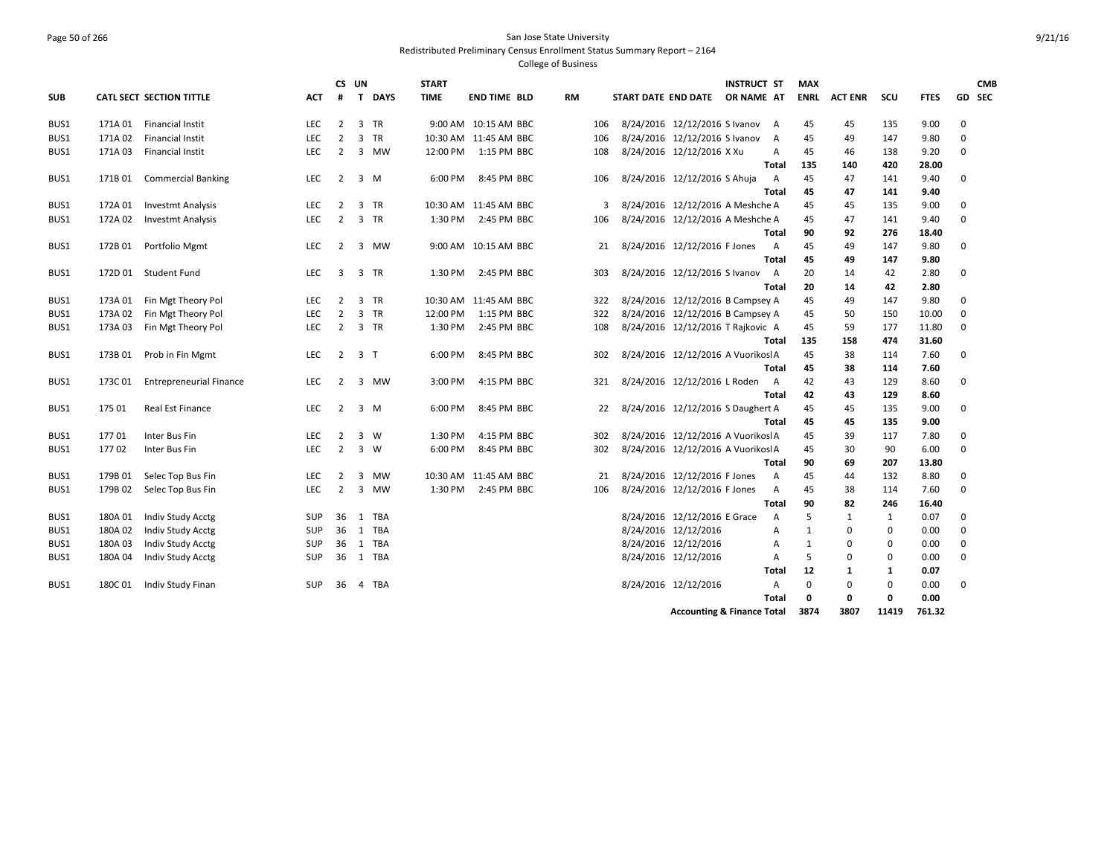### Page 50 of 266 San Jose State University Redistributed Preliminary Census Enrollment Status Summary Report – 2164

|            |         |                                |            | CS UN          |                |             | <b>START</b> |                       |           |     |                     |                                       | <b>INSTRUCT ST</b> |                | <b>MAX</b>  |                |             |             |             | <b>CMB</b> |
|------------|---------|--------------------------------|------------|----------------|----------------|-------------|--------------|-----------------------|-----------|-----|---------------------|---------------------------------------|--------------------|----------------|-------------|----------------|-------------|-------------|-------------|------------|
| <b>SUB</b> |         | CATL SECT SECTION TITTLE       | АСТ        | #              |                | T DAYS      | <b>TIME</b>  | <b>END TIME BLD</b>   | <b>RM</b> |     | START DATE END DATE |                                       | OR NAME AT         |                | ENRL        | <b>ACT ENR</b> | scu         | <b>FTES</b> |             | GD SEC     |
| BUS1       | 171A 01 | <b>Financial Instit</b>        | LEC        | $\overline{2}$ |                | 3 TR        |              | 9:00 AM 10:15 AM BBC  |           | 106 |                     | 8/24/2016 12/12/2016 S Ivanov         |                    | A              | 45          | 45             | 135         | 9.00        | 0           |            |
| BUS1       | 171A 02 | <b>Financial Instit</b>        | <b>LEC</b> | $\overline{2}$ |                | 3 TR        |              | 10:30 AM 11:45 AM BBC |           | 106 |                     | 8/24/2016 12/12/2016 S Ivanov         |                    | A              | 45          | 49             | 147         | 9.80        | 0           |            |
| BUS1       | 171A 03 | <b>Financial Instit</b>        | LEC        | $\overline{2}$ |                | 3 MW        | 12:00 PM     | 1:15 PM BBC           |           | 108 |                     | 8/24/2016 12/12/2016 X Xu             |                    | A              | 45          | 46             | 138         | 9.20        | 0           |            |
|            |         |                                |            |                |                |             |              |                       |           |     |                     |                                       | Total              |                | 135         | 140            | 420         | 28.00       |             |            |
| BUS1       | 171B 01 | <b>Commercial Banking</b>      | LEC        | 2              |                | $3 \, M$    | 6:00 PM      | 8:45 PM BBC           |           | 106 |                     | 8/24/2016 12/12/2016 S Ahuja          |                    | A              | 45          | 47             | 141         | 9.40        | 0           |            |
|            |         |                                |            |                |                |             |              |                       |           |     |                     |                                       |                    | Total          | 45          | 47             | 141         | 9.40        |             |            |
| BUS1       | 172A 01 | <b>Investmt Analysis</b>       | <b>LEC</b> | 2              |                | 3 TR        |              | 10:30 AM 11:45 AM BBC |           | 3   |                     | 8/24/2016 12/12/2016 A Meshche A      |                    |                | 45          | 45             | 135         | 9.00        | 0           |            |
| BUS1       | 172A 02 | <b>Investmt Analysis</b>       | LEC        | $\overline{2}$ |                | 3 TR        | 1:30 PM      | 2:45 PM BBC           |           | 106 |                     | 8/24/2016 12/12/2016 A Meshche A      |                    |                | 45          | 47             | 141         | 9.40        | 0           |            |
|            |         |                                |            |                |                |             |              |                       |           |     |                     |                                       |                    | Total          | 90          | 92             | 276         | 18.40       |             |            |
| BUS1       | 172B 01 | Portfolio Mgmt                 | LEC        | 2              |                | 3 MW        |              | 9:00 AM 10:15 AM BBC  |           | 21  |                     | 8/24/2016 12/12/2016 F Jones          |                    | A              | 45          | 49             | 147         | 9.80        | 0           |            |
|            |         |                                |            |                |                |             |              |                       |           |     |                     |                                       |                    | Total          | 45          | 49             | 147         | 9.80        |             |            |
| BUS1       |         | 172D 01 Student Fund           | LEC        | 3              |                | 3 TR        |              | 1:30 PM 2:45 PM BBC   |           | 303 |                     | 8/24/2016 12/12/2016 S Ivanov         |                    | A              | 20          | 14             | 42          | 2.80        | 0           |            |
|            |         |                                |            |                |                |             |              |                       |           |     |                     |                                       |                    | Total          | 20          | 14             | 42          | 2.80        |             |            |
| BUS1       | 173A 01 | Fin Mgt Theory Pol             | LEC        | 2              |                | 3 TR        |              | 10:30 AM 11:45 AM BBC |           | 322 |                     | 8/24/2016 12/12/2016 B Campsey A      |                    |                | 45          | 49             | 147         | 9.80        | $\mathbf 0$ |            |
| BUS1       | 173A 02 | Fin Mgt Theory Pol             | <b>LEC</b> | $\overline{2}$ |                | 3 TR        | 12:00 PM     | 1:15 PM BBC           |           | 322 |                     | 8/24/2016 12/12/2016 B Campsey A      |                    |                | 45          | 50             | 150         | 10.00       | $\mathbf 0$ |            |
| BUS1       | 173A 03 | Fin Mgt Theory Pol             | LEC        | $\overline{2}$ |                | 3 TR        | 1:30 PM      | 2:45 PM BBC           |           | 108 |                     | 8/24/2016 12/12/2016 T Rajkovic A     |                    |                | 45          | 59             | 177         | 11.80       | 0           |            |
|            |         |                                |            |                |                |             |              |                       |           |     |                     |                                       |                    | Total          | 135         | 158            | 474         | 31.60       |             |            |
| BUS1       | 173B 01 | Prob in Fin Mgmt               | LEC        | $\overline{2}$ | 3 <sub>1</sub> |             | 6:00 PM      | 8:45 PM BBC           |           | 302 |                     | 8/24/2016 12/12/2016 A Vuorikos A     |                    |                | 45          | 38             | 114         | 7.60        | 0           |            |
|            |         |                                |            |                |                |             |              |                       |           |     |                     |                                       |                    | Total          | 45          | 38             | 114         | 7.60        |             |            |
| BUS1       | 173C01  | <b>Entrepreneurial Finance</b> | LEC        | 2              |                | 3 MW        | 3:00 PM      | 4:15 PM BBC           |           | 321 |                     | 8/24/2016 12/12/2016 L Roden          |                    | A              | 42          | 43             | 129         | 8.60        | 0           |            |
|            |         |                                |            |                |                |             |              |                       |           |     |                     |                                       |                    | Total          | 42          | 43             | 129         | 8.60        |             |            |
| BUS1       | 175 01  | Real Est Finance               | LEC        | 2              |                | $3 \, M$    | 6:00 PM      | 8:45 PM BBC           |           | 22  |                     | 8/24/2016 12/12/2016 S Daughert A     |                    |                | 45          | 45             | 135         | 9.00        | 0           |            |
|            |         |                                |            |                |                |             |              |                       |           |     |                     |                                       |                    | Total          | 45          | 45             | 135         | 9.00        |             |            |
| BUS1       | 17701   | Inter Bus Fin                  | <b>LEC</b> | $\overline{2}$ |                | 3 W         | 1:30 PM      | 4:15 PM BBC           |           | 302 |                     | 8/24/2016 12/12/2016 A Vuorikos A     |                    |                | 45          | 39             | 117         | 7.80        | 0           |            |
| BUS1       | 17702   | Inter Bus Fin                  | <b>LEC</b> | $\overline{2}$ |                | $3 \quad W$ | 6:00 PM      | 8:45 PM BBC           |           | 302 |                     | 8/24/2016 12/12/2016 A Vuorikos A     |                    |                | 45          | 30             | 90          | 6.00        | 0           |            |
|            |         |                                |            |                |                |             |              |                       |           |     |                     |                                       |                    | Total          | 90          | 69             | 207         | 13.80       |             |            |
| BUS1       | 179B 01 | Selec Top Bus Fin              | <b>LEC</b> | 2              |                | 3 MW        |              | 10:30 AM 11:45 AM BBC |           | 21  |                     | 8/24/2016 12/12/2016 F Jones          |                    | $\overline{A}$ | 45          | 44             | 132         | 8.80        | 0           |            |
| BUS1       | 179B 02 | Selec Top Bus Fin              | <b>LEC</b> | $\overline{2}$ |                | 3 MW        |              | 1:30 PM 2:45 PM BBC   |           | 106 |                     | 8/24/2016 12/12/2016 F Jones          |                    | A              | 45          | 38             | 114         | 7.60        | $\Omega$    |            |
|            |         |                                |            |                |                |             |              |                       |           |     |                     |                                       |                    | Total          | 90          | 82             | 246         | 16.40       |             |            |
| BUS1       | 180A 01 | Indiv Study Acctg              | <b>SUP</b> | 36             |                | 1 TBA       |              |                       |           |     |                     | 8/24/2016 12/12/2016 E Grace          |                    | $\overline{A}$ | 5           | 1              | 1           | 0.07        | 0           |            |
| BUS1       | 180A02  | Indiv Study Acctg              | <b>SUP</b> | 36             |                | 1 TBA       |              |                       |           |     |                     | 8/24/2016 12/12/2016                  |                    | $\overline{A}$ | 1           | $\mathbf 0$    | 0           | 0.00        | $\mathbf 0$ |            |
| BUS1       | 180A 03 | Indiv Study Acctg              | <b>SUP</b> | 36             |                | 1 TBA       |              |                       |           |     |                     | 8/24/2016 12/12/2016                  |                    | A              | 1           | 0              | $\mathbf 0$ | 0.00        | 0           |            |
| BUS1       | 180A 04 | Indiv Study Acctg              | <b>SUP</b> | 36             |                | 1 TBA       |              |                       |           |     |                     | 8/24/2016 12/12/2016                  |                    | $\overline{A}$ | 5           | $\mathbf 0$    | $\mathbf 0$ | 0.00        | $\mathbf 0$ |            |
|            |         |                                |            |                |                |             |              |                       |           |     |                     |                                       |                    | Total          | 12          | 1              | 1           | 0.07        |             |            |
| BUS1       | 180C01  | Indiv Study Finan              | <b>SUP</b> | 36             |                | 4 TBA       |              |                       |           |     |                     | 8/24/2016 12/12/2016                  |                    | Α              | $\mathbf 0$ | $\mathbf 0$    | $\mathbf 0$ | 0.00        | 0           |            |
|            |         |                                |            |                |                |             |              |                       |           |     |                     |                                       |                    | Total          | 0           | 0              | 0           | 0.00        |             |            |
|            |         |                                |            |                |                |             |              |                       |           |     |                     | <b>Accounting &amp; Finance Total</b> |                    |                | 3874        | 3807           | 11419       | 761.32      |             |            |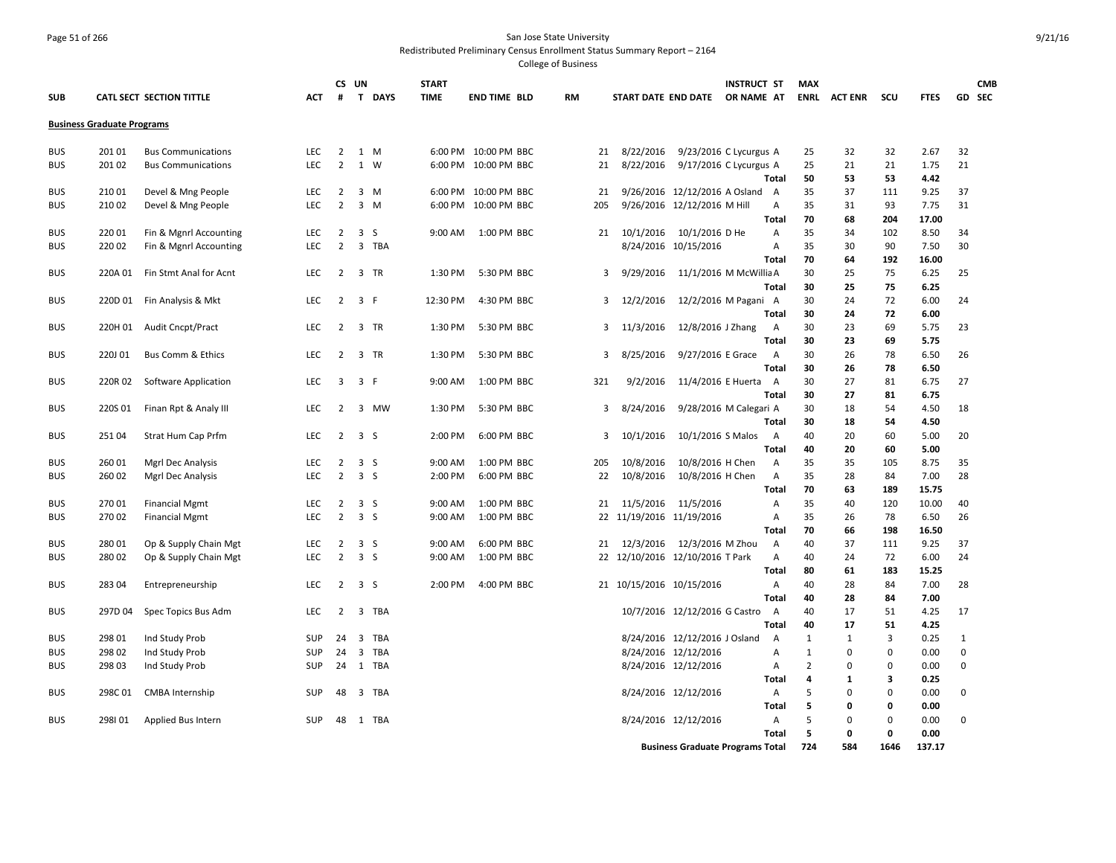### Page 51 of 266 San Jose State University Redistributed Preliminary Census Enrollment Status Summary Report – 2164

|                          |                                   |                                                  |            | CS UN          |                |        | <b>START</b> |                      |    |     |                                 |                                                  | <b>INSTRUCT ST</b> |                | <b>MAX</b> |                |                |              |             | <b>CMB</b>    |
|--------------------------|-----------------------------------|--------------------------------------------------|------------|----------------|----------------|--------|--------------|----------------------|----|-----|---------------------------------|--------------------------------------------------|--------------------|----------------|------------|----------------|----------------|--------------|-------------|---------------|
| <b>SUB</b>               |                                   | CATL SECT SECTION TITTLE                         | ACT        | #              |                | T DAYS | <b>TIME</b>  | <b>END TIME BLD</b>  | RM |     | START DATE END DATE             |                                                  | OR NAME AT         |                | ENRL       | <b>ACT ENR</b> | scu            | <b>FTES</b>  |             | <b>GD SEC</b> |
|                          | <b>Business Graduate Programs</b> |                                                  |            |                |                |        |              |                      |    |     |                                 |                                                  |                    |                |            |                |                |              |             |               |
|                          |                                   |                                                  |            |                |                |        |              |                      |    |     |                                 |                                                  |                    |                |            |                |                |              |             |               |
| <b>BUS</b>               | 201 01                            | <b>Bus Communications</b>                        | <b>LEC</b> | $\overline{2}$ |                | 1 M    |              | 6:00 PM 10:00 PM BBC |    | 21  | 8/22/2016                       | 9/23/2016 C Lycurgus A                           |                    |                | 25         | 32             | 32             | 2.67         | 32          |               |
| <b>BUS</b>               | 201 02                            | <b>Bus Communications</b>                        | <b>LEC</b> | $\overline{2}$ |                | 1 W    | 6:00 PM      | 10:00 PM BBC         |    | 21  | 8/22/2016                       | 9/17/2016 C Lycurgus A                           |                    |                | 25         | 21             | 21             | 1.75         | 21          |               |
|                          |                                   |                                                  |            |                |                |        |              |                      |    |     |                                 |                                                  |                    | Total          | 50         | 53             | 53             | 4.42         |             |               |
| <b>BUS</b>               | 210 01                            | Devel & Mng People                               | <b>LEC</b> | $\overline{2}$ |                | 3 M    | 6:00 PM      | 10:00 PM BBC         |    | 21  |                                 | 9/26/2016 12/12/2016 A Osland                    |                    | A              | 35         | 37             | 111            | 9.25         | 37          |               |
| <b>BUS</b>               | 210 02                            | Devel & Mng People                               | <b>LEC</b> | $\overline{2}$ |                | 3 M    | 6:00 PM      | 10:00 PM BBC         |    | 205 |                                 | 9/26/2016 12/12/2016 M Hill                      |                    | Α              | 35         | 31             | 93             | 7.75         | 31          |               |
|                          |                                   |                                                  | LEC        | $\overline{2}$ | 3S             |        | 9:00 AM      | 1:00 PM BBC          |    |     |                                 |                                                  |                    | Total          | 70<br>35   | 68             | 204            | 17.00        |             |               |
| <b>BUS</b><br><b>BUS</b> | 220 01<br>220 02                  | Fin & Mgnrl Accounting<br>Fin & Mgnrl Accounting | <b>LEC</b> | $\overline{2}$ | 3              | TBA    |              |                      |    | 21  |                                 | 10/1/2016 10/1/2016 D He<br>8/24/2016 10/15/2016 |                    | A<br>Α         | 35         | 34<br>30       | 102<br>90      | 8.50<br>7.50 | 34<br>30    |               |
|                          |                                   |                                                  |            |                |                |        |              |                      |    |     |                                 |                                                  |                    | Total          | 70         | 64             | 192            | 16.00        |             |               |
| <b>BUS</b>               | 220A 01                           | Fin Stmt Anal for Acnt                           | <b>LEC</b> | $\overline{2}$ |                | 3 TR   | 1:30 PM      | 5:30 PM BBC          |    | 3   | 9/29/2016                       | 11/1/2016 M McWillia A                           |                    |                | 30         | 25             | 75             | 6.25         | 25          |               |
|                          |                                   |                                                  |            |                |                |        |              |                      |    |     |                                 |                                                  |                    | <b>Total</b>   | 30         | 25             | 75             | 6.25         |             |               |
| <b>BUS</b>               | 220D 01                           | Fin Analysis & Mkt                               | LEC        | $\overline{2}$ | 3 F            |        | 12:30 PM     | 4:30 PM BBC          |    | 3   | 12/2/2016                       | 12/2/2016 M Pagani A                             |                    |                | 30         | 24             | 72             | 6.00         | 24          |               |
|                          |                                   |                                                  |            |                |                |        |              |                      |    |     |                                 |                                                  |                    | Total          | 30         | 24             | 72             | 6.00         |             |               |
| <b>BUS</b>               | 220H 01                           | <b>Audit Cncpt/Pract</b>                         | <b>LEC</b> | 2              |                | 3 TR   | 1:30 PM      | 5:30 PM BBC          |    | 3   | 11/3/2016                       | 12/8/2016 J Zhang                                |                    | A              | 30         | 23             | 69             | 5.75         | 23          |               |
|                          |                                   |                                                  |            |                |                |        |              |                      |    |     |                                 |                                                  |                    | Total          | 30         | 23             | 69             | 5.75         |             |               |
| <b>BUS</b>               | 220J 01                           | <b>Bus Comm &amp; Ethics</b>                     | <b>LEC</b> | $\overline{2}$ |                | 3 TR   | 1:30 PM      | 5:30 PM BBC          |    | 3   | 8/25/2016                       | 9/27/2016 E Grace                                |                    | A              | 30         | 26             | 78             | 6.50         | 26          |               |
|                          |                                   |                                                  |            |                |                |        |              |                      |    |     |                                 |                                                  |                    | Total          | 30         | 26             | 78             | 6.50         |             |               |
| <b>BUS</b>               | 220R 02                           | Software Application                             | <b>LEC</b> | 3              | 3 F            |        | 9:00 AM      | 1:00 PM BBC          |    | 321 | 9/2/2016                        | 11/4/2016 E Huerta                               |                    | A              | 30         | 27             | 81             | 6.75         | 27          |               |
|                          |                                   |                                                  |            |                |                |        |              |                      |    |     |                                 |                                                  |                    | <b>Total</b>   | 30         | 27             | 81             | 6.75         |             |               |
| <b>BUS</b>               | 220S 01                           | Finan Rpt & Analy III                            | <b>LEC</b> | 2              |                | 3 MW   | 1:30 PM      | 5:30 PM BBC          |    | 3   | 8/24/2016                       | 9/28/2016 M Calegari A                           |                    |                | 30         | 18             | 54             | 4.50         | 18          |               |
|                          |                                   |                                                  |            |                |                |        |              |                      |    |     |                                 |                                                  |                    | <b>Total</b>   | 30         | 18             | 54             | 4.50         |             |               |
| <b>BUS</b>               | 25104                             | Strat Hum Cap Prfm                               | <b>LEC</b> | $\overline{2}$ | 3S             |        | 2:00 PM      | 6:00 PM BBC          |    | 3   | 10/1/2016                       | 10/1/2016 S Malos                                |                    | A              | 40         | 20             | 60             | 5.00         | 20          |               |
|                          |                                   |                                                  |            |                |                |        |              |                      |    |     |                                 |                                                  |                    | Total          | 40         | 20             | 60             | 5.00         |             |               |
| <b>BUS</b>               | 260 01                            | Mgrl Dec Analysis                                | <b>LEC</b> | 2              | 3S             |        | 9:00 AM      | 1:00 PM BBC          |    | 205 | 10/8/2016                       | 10/8/2016 H Chen                                 |                    | A              | 35         | 35             | 105            | 8.75         | 35          |               |
| <b>BUS</b>               | 260 02                            | Mgrl Dec Analysis                                | <b>LEC</b> | $\overline{2}$ | 3S             |        | 2:00 PM      | 6:00 PM BBC          |    | 22  | 10/8/2016                       | 10/8/2016 H Chen                                 |                    | A              | 35         | 28             | 84             | 7.00         | 28          |               |
|                          |                                   |                                                  |            |                |                |        |              |                      |    |     |                                 |                                                  |                    | Total          | 70         | 63             | 189            | 15.75        |             |               |
| <b>BUS</b>               | 270 01                            | <b>Financial Mgmt</b>                            | <b>LEC</b> | 2              | 3 <sub>5</sub> |        | 9:00 AM      | 1:00 PM BBC          |    | 21  | 11/5/2016 11/5/2016             |                                                  |                    | Α              | 35         | 40             | 120            | 10.00        | 40          |               |
| <b>BUS</b>               | 270 02                            | <b>Financial Mgmt</b>                            | <b>LEC</b> | $\overline{2}$ | 3S             |        | 9:00 AM      | 1:00 PM BBC          |    |     | 22 11/19/2016 11/19/2016        |                                                  |                    | $\overline{A}$ | 35         | 26             | 78             | 6.50         | 26          |               |
|                          |                                   |                                                  |            |                |                |        |              |                      |    |     |                                 |                                                  |                    | <b>Total</b>   | 70         | 66             | 198            | 16.50        |             |               |
| <b>BUS</b>               | 280 01                            | Op & Supply Chain Mgt                            | <b>LEC</b> | 2              | 3S             |        | 9:00 AM      | 6:00 PM BBC          |    | 21  | 12/3/2016                       | 12/3/2016 M Zhou                                 |                    | $\overline{A}$ | 40         | 37             | 111            | 9.25         | 37          |               |
| <b>BUS</b>               | 280 02                            | Op & Supply Chain Mgt                            | <b>LEC</b> | $\overline{2}$ | 3 <sub>5</sub> |        | 9:00 AM      | 1:00 PM BBC          |    |     | 22 12/10/2016 12/10/2016 T Park |                                                  |                    | $\overline{A}$ | 40         | 24             | 72             | 6.00         | 24          |               |
|                          |                                   |                                                  |            |                |                |        |              |                      |    |     |                                 |                                                  |                    | Total          | 80         | 61             | 183            | 15.25        |             |               |
| <b>BUS</b>               | 283 04                            | Entrepreneurship                                 | <b>LEC</b> | 2              | 3S             |        | 2:00 PM      | 4:00 PM BBC          |    |     | 21 10/15/2016 10/15/2016        |                                                  |                    | Α<br>Total     | 40<br>40   | 28<br>28       | 84<br>84       | 7.00<br>7.00 | 28          |               |
| <b>BUS</b>               | 297D 04                           | Spec Topics Bus Adm                              | <b>LEC</b> | 2              |                | 3 TBA  |              |                      |    |     |                                 | 10/7/2016 12/12/2016 G Castro                    |                    | $\overline{A}$ | 40         | 17             | 51             | 4.25         | 17          |               |
|                          |                                   |                                                  |            |                |                |        |              |                      |    |     |                                 |                                                  |                    | Total          | 40         | 17             | 51             | 4.25         |             |               |
| <b>BUS</b>               | 298 01                            | Ind Study Prob                                   | <b>SUP</b> | 24             | 3              | TBA    |              |                      |    |     |                                 | 8/24/2016 12/12/2016 J Osland                    |                    | A              | 1          | 1              | $\overline{3}$ | 0.25         | 1           |               |
| <b>BUS</b>               | 298 02                            | Ind Study Prob                                   | <b>SUP</b> | 24             | 3              | TBA    |              |                      |    |     |                                 | 8/24/2016 12/12/2016                             |                    | A              | 1          | $\mathbf 0$    | $\mathbf 0$    | 0.00         | $\mathbf 0$ |               |
| <b>BUS</b>               | 298 03                            | Ind Study Prob                                   | <b>SUP</b> | 24             |                | 1 TBA  |              |                      |    |     |                                 | 8/24/2016 12/12/2016                             |                    | A              | 2          | $\mathbf 0$    | $\mathbf 0$    | 0.00         | 0           |               |
|                          |                                   |                                                  |            |                |                |        |              |                      |    |     |                                 |                                                  |                    | Total          | 4          | 1              | 3              | 0.25         |             |               |
| <b>BUS</b>               | 298C01                            | <b>CMBA</b> Internship                           | <b>SUP</b> | 48             |                | 3 TBA  |              |                      |    |     |                                 | 8/24/2016 12/12/2016                             |                    | A              | 5          | $\mathbf 0$    | $\mathbf 0$    | 0.00         | $\mathbf 0$ |               |
|                          |                                   |                                                  |            |                |                |        |              |                      |    |     |                                 |                                                  |                    | Total          | 5          | 0              | $\mathbf 0$    | 0.00         |             |               |
| <b>BUS</b>               | 298101                            | Applied Bus Intern                               | <b>SUP</b> | 48             |                | 1 TBA  |              |                      |    |     |                                 | 8/24/2016 12/12/2016                             |                    | Α              | 5          | 0              | $\mathbf 0$    | 0.00         | 0           |               |
|                          |                                   |                                                  |            |                |                |        |              |                      |    |     |                                 |                                                  |                    | <b>Total</b>   | 5          | 0              | $\mathbf 0$    | 0.00         |             |               |
|                          |                                   |                                                  |            |                |                |        |              |                      |    |     |                                 | <b>Business Graduate Programs Total</b>          |                    |                | 724        | 584            | 1646           | 137.17       |             |               |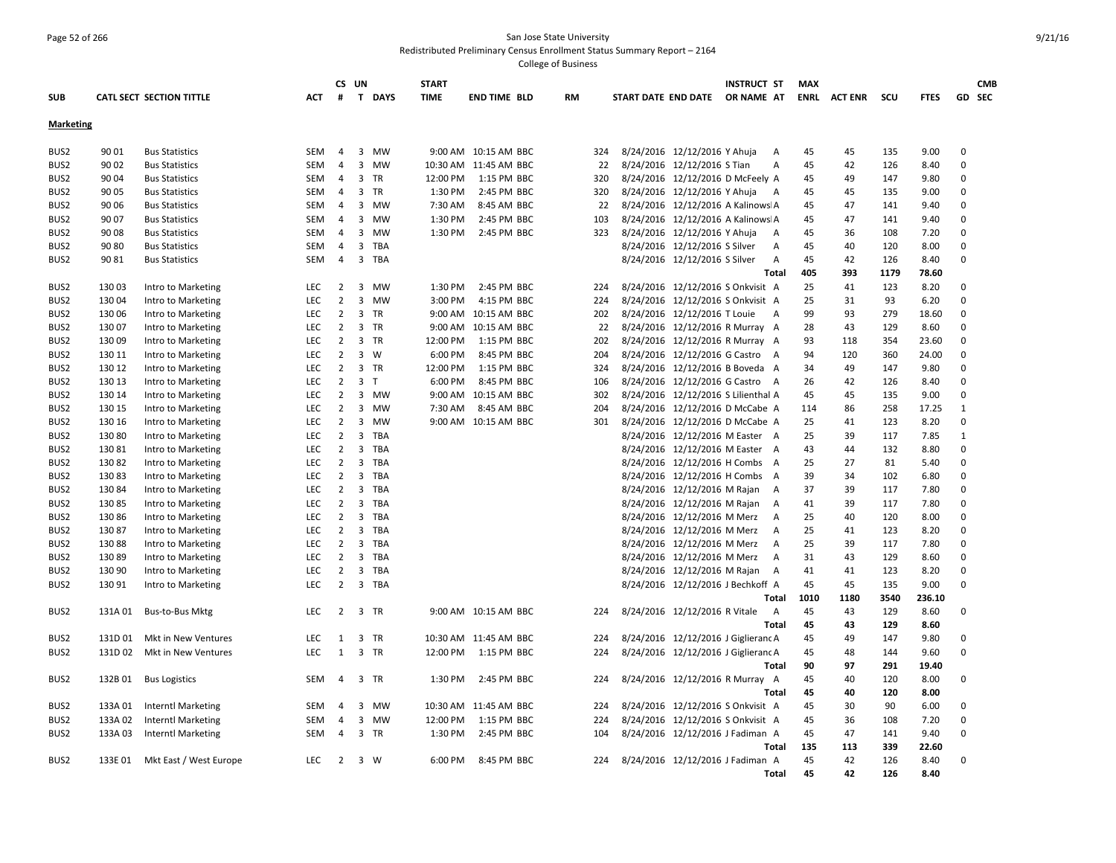## Page 52 of 266 San Jose State University Redistributed Preliminary Census Enrollment Status Summary Report – 2164

|                  |         |                           |            |                | CS UN          |            | <b>START</b> |                       |    |     |                                     | <b>INSTRUCT ST</b> | <b>MAX</b> |              |      |             |             | <b>CMB</b> |
|------------------|---------|---------------------------|------------|----------------|----------------|------------|--------------|-----------------------|----|-----|-------------------------------------|--------------------|------------|--------------|------|-------------|-------------|------------|
| <b>SUB</b>       |         | CATL SECT SECTION TITTLE  | ACT        | #              |                | T DAYS     | <b>TIME</b>  | <b>END TIME BLD</b>   | RM |     | START DATE END DATE                 | OR NAME AT         |            | ENRL ACT ENR | scu  | <b>FTES</b> |             | GD SEC     |
| <b>Marketing</b> |         |                           |            |                |                |            |              |                       |    |     |                                     |                    |            |              |      |             |             |            |
| BUS <sub>2</sub> | 90 01   | <b>Bus Statistics</b>     | SEM        | $\overline{4}$ |                | 3 MW       |              | 9:00 AM 10:15 AM BBC  |    | 324 | 8/24/2016 12/12/2016 Y Ahuja        | A                  | 45         | 45           | 135  | 9.00        | $\mathbf 0$ |            |
| BUS2             | 90 02   | <b>Bus Statistics</b>     | <b>SEM</b> | $\overline{4}$ | 3              | MW         |              | 10:30 AM 11:45 AM BBC |    | 22  | 8/24/2016 12/12/2016 S Tian         | A                  | 45         | 42           | 126  | 8.40        | $\mathbf 0$ |            |
| BUS2             | 90 04   | <b>Bus Statistics</b>     | SEM        | 4              |                | 3 TR       | 12:00 PM     | 1:15 PM BBC           |    | 320 | 8/24/2016 12/12/2016 D McFeely A    |                    | 45         | 49           | 147  | 9.80        | $\mathbf 0$ |            |
| BUS <sub>2</sub> | 90 05   | <b>Bus Statistics</b>     | SEM        | 4              |                | 3 TR       | 1:30 PM      | 2:45 PM BBC           |    | 320 | 8/24/2016 12/12/2016 Y Ahuja        | A                  | 45         | 45           | 135  | 9.00        | 0           |            |
| BUS <sub>2</sub> | 90 06   | <b>Bus Statistics</b>     | SEM        | $\overline{4}$ | 3              | MW         | 7:30 AM      | 8:45 AM BBC           |    | 22  | 8/24/2016 12/12/2016 A Kalinows A   |                    | 45         | 47           | 141  | 9.40        | $\mathbf 0$ |            |
| BUS <sub>2</sub> | 90 07   | <b>Bus Statistics</b>     | SEM        | $\overline{4}$ |                | 3 MW       | 1:30 PM      | 2:45 PM BBC           |    | 103 | 8/24/2016 12/12/2016 A Kalinows A   |                    | 45         | 47           | 141  | 9.40        | $\Omega$    |            |
| BUS <sub>2</sub> | 90 08   | <b>Bus Statistics</b>     | SEM        | $\overline{4}$ | 3              | MW         | 1:30 PM      | 2:45 PM BBC           |    | 323 | 8/24/2016 12/12/2016 Y Ahuja        | A                  | 45         | 36           | 108  | 7.20        | $\mathbf 0$ |            |
| BUS2             | 90 80   | <b>Bus Statistics</b>     | SEM        | 4              |                | 3 TBA      |              |                       |    |     | 8/24/2016 12/12/2016 S Silver       | Α                  | 45         | 40           | 120  | 8.00        | 0           |            |
| BUS <sub>2</sub> | 90 81   | <b>Bus Statistics</b>     | SEM        | $\overline{4}$ |                | 3 TBA      |              |                       |    |     | 8/24/2016 12/12/2016 S Silver       | A                  | 45         | 42           | 126  | 8.40        | 0           |            |
|                  |         |                           |            |                |                |            |              |                       |    |     |                                     | Total              | 405        | 393          | 1179 | 78.60       |             |            |
| BUS <sub>2</sub> | 13003   | Intro to Marketing        | LEC        | 2              |                | 3 MW       | 1:30 PM      | 2:45 PM BBC           |    | 224 | 8/24/2016 12/12/2016 S Onkvisit A   |                    | 25         | 41           | 123  | 8.20        | 0           |            |
| BUS <sub>2</sub> | 130 04  | Intro to Marketing        | LEC        | $\overline{2}$ | 3              | MW         | 3:00 PM      | 4:15 PM BBC           |    | 224 | 8/24/2016 12/12/2016 S Onkvisit A   |                    | 25         | 31           | 93   | 6.20        | $\mathbf 0$ |            |
| BUS2             | 130 06  | Intro to Marketing        | <b>LEC</b> | $\overline{2}$ |                | 3 TR       |              | 9:00 AM 10:15 AM BBC  |    | 202 | 8/24/2016 12/12/2016 T Louie        | A                  | 99         | 93           | 279  | 18.60       | $\Omega$    |            |
| BUS2             | 130 07  | Intro to Marketing        | <b>LEC</b> | $\overline{2}$ |                | 3 TR       | 9:00 AM      | 10:15 AM BBC          |    | 22  | 8/24/2016 12/12/2016 R Murray A     |                    | 28         | 43           | 129  | 8.60        | $\mathbf 0$ |            |
| BUS <sub>2</sub> | 130 09  | Intro to Marketing        | LEC        | $\overline{2}$ |                | 3 TR       | 12:00 PM     | 1:15 PM BBC           |    | 202 | 8/24/2016 12/12/2016 R Murray A     |                    | 93         | 118          | 354  | 23.60       | $\mathbf 0$ |            |
| BUS <sub>2</sub> | 130 11  | Intro to Marketing        | LEC        | $\overline{2}$ | 3              | W          | 6:00 PM      | 8:45 PM BBC           |    | 204 | 8/24/2016 12/12/2016 G Castro       | A                  | 94         | 120          | 360  | 24.00       | $\mathbf 0$ |            |
| BUS2             | 130 12  | Intro to Marketing        | LEC        | $\overline{2}$ |                | 3 TR       | 12:00 PM     | 1:15 PM BBC           |    | 324 | 8/24/2016 12/12/2016 B Boveda A     |                    | 34         | 49           | 147  | 9.80        | $\mathbf 0$ |            |
| BUS <sub>2</sub> | 130 13  | Intro to Marketing        | <b>LEC</b> | $\overline{2}$ | 3 <sub>1</sub> |            | 6:00 PM      | 8:45 PM BBC           |    | 106 | 8/24/2016 12/12/2016 G Castro       | A                  | 26         | 42           | 126  | 8.40        | $\mathbf 0$ |            |
| BUS <sub>2</sub> | 130 14  | Intro to Marketing        | LEC        | $\overline{2}$ | 3              | MW         | 9:00 AM      | 10:15 AM BBC          |    | 302 | 8/24/2016 12/12/2016 S Lilienthal A |                    | 45         | 45           | 135  | 9.00        | $\mathbf 0$ |            |
| BUS2             | 130 15  | Intro to Marketing        | LEC        | $\overline{2}$ |                | 3 MW       | 7:30 AM      | 8:45 AM BBC           |    | 204 | 8/24/2016 12/12/2016 D McCabe A     |                    | 114        | 86           | 258  | 17.25       | 1           |            |
| BUS2             | 130 16  | Intro to Marketing        | <b>LEC</b> | $\overline{2}$ | 3              | MW         |              | 9:00 AM 10:15 AM BBC  |    | 301 | 8/24/2016 12/12/2016 D McCabe A     |                    | 25         | 41           | 123  | 8.20        | $\mathbf 0$ |            |
| BUS2             | 130 80  | Intro to Marketing        | <b>LEC</b> | $\overline{2}$ |                | 3 TBA      |              |                       |    |     | 8/24/2016 12/12/2016 M Easter A     |                    | 25         | 39           | 117  | 7.85        | 1           |            |
| BUS2             | 13081   | Intro to Marketing        | LEC        | $\overline{2}$ | 3              | TBA        |              |                       |    |     | 8/24/2016 12/12/2016 M Easter A     |                    | 43         | 44           | 132  | 8.80        | $\mathbf 0$ |            |
| BUS <sub>2</sub> | 13082   | Intro to Marketing        | LEC        | $\overline{2}$ |                | 3 TBA      |              |                       |    |     | 8/24/2016 12/12/2016 H Combs A      |                    | 25         | 27           | 81   | 5.40        | 0           |            |
| BUS <sub>2</sub> | 13083   | Intro to Marketing        | LEC        | $\overline{2}$ |                | 3 TBA      |              |                       |    |     | 8/24/2016 12/12/2016 H Combs A      |                    | 39         | 34           | 102  | 6.80        | 0           |            |
| BUS <sub>2</sub> | 13084   | Intro to Marketing        | LEC        | $\overline{2}$ |                | 3 TBA      |              |                       |    |     | 8/24/2016 12/12/2016 M Rajan        | $\overline{A}$     | 37         | 39           | 117  | 7.80        | 0           |            |
| BUS <sub>2</sub> | 13085   | Intro to Marketing        | <b>LEC</b> | $\overline{2}$ |                | 3 TBA      |              |                       |    |     | 8/24/2016 12/12/2016 M Rajan        | A                  | 41         | 39           | 117  | 7.80        | $\mathbf 0$ |            |
| BUS <sub>2</sub> | 130 86  | Intro to Marketing        | LEC        | $\overline{2}$ |                | 3 TBA      |              |                       |    |     | 8/24/2016 12/12/2016 M Merz         | A                  | 25         | 40           | 120  | 8.00        | $\mathbf 0$ |            |
| BUS <sub>2</sub> | 13087   | Intro to Marketing        | <b>LEC</b> | $\overline{2}$ |                | 3 TBA      |              |                       |    |     | 8/24/2016 12/12/2016 M Merz         | $\overline{A}$     | 25         | 41           | 123  | 8.20        | $\Omega$    |            |
| BUS2             | 13088   | Intro to Marketing        | <b>LEC</b> | $\overline{2}$ | 3              | <b>TBA</b> |              |                       |    |     | 8/24/2016 12/12/2016 M Merz         | A                  | 25         | 39           | 117  | 7.80        | $\mathbf 0$ |            |
| BUS2             | 13089   | Intro to Marketing        | LEC        | $\overline{2}$ |                | 3 TBA      |              |                       |    |     | 8/24/2016 12/12/2016 M Merz         | A                  | 31         | 43           | 129  | 8.60        | 0           |            |
| BUS <sub>2</sub> | 130 90  | Intro to Marketing        | LEC        | $\overline{2}$ |                | 3 TBA      |              |                       |    |     | 8/24/2016 12/12/2016 M Rajan        | $\overline{A}$     | 41         | 41           | 123  | 8.20        | $\mathbf 0$ |            |
| BUS <sub>2</sub> | 130 91  | Intro to Marketing        | LEC        | $\overline{2}$ |                | 3 TBA      |              |                       |    |     | 8/24/2016 12/12/2016 J Bechkoff A   |                    | 45         | 45           | 135  | 9.00        | 0           |            |
|                  |         |                           |            |                |                |            |              |                       |    |     |                                     | Total              | 1010       | 1180         | 3540 | 236.10      |             |            |
| BUS <sub>2</sub> | 131A 01 | <b>Bus-to-Bus Mktg</b>    | <b>LEC</b> | 2              |                | 3 TR       |              | 9:00 AM 10:15 AM BBC  |    | 224 | 8/24/2016 12/12/2016 R Vitale       | A                  | 45         | 43           | 129  | 8.60        | $\mathbf 0$ |            |
|                  |         |                           |            |                |                |            |              |                       |    |     |                                     | Total              | 45         | 43           | 129  | 8.60        |             |            |
| BUS <sub>2</sub> | 131D 01 | Mkt in New Ventures       | <b>LEC</b> | 1              | 3              | TR         |              | 10:30 AM 11:45 AM BBC |    | 224 | 8/24/2016 12/12/2016 J Giglieranc A |                    | 45         | 49           | 147  | 9.80        | $\mathbf 0$ |            |
| BUS2             | 131D 02 | Mkt in New Ventures       | <b>LEC</b> | 1              |                | 3 TR       | 12:00 PM     | 1:15 PM BBC           |    | 224 | 8/24/2016 12/12/2016 J Giglieranc A |                    | 45         | 48           | 144  | 9.60        | $\mathbf 0$ |            |
|                  |         |                           |            |                |                |            |              |                       |    |     |                                     | Total              | 90         | 97           | 291  | 19.40       |             |            |
| BUS <sub>2</sub> | 132B01  | <b>Bus Logistics</b>      | SEM        | $\overline{4}$ |                | 3 TR       | 1:30 PM      | 2:45 PM BBC           |    | 224 | 8/24/2016 12/12/2016 R Murray A     |                    | 45         | 40           | 120  | 8.00        | 0           |            |
|                  |         |                           |            |                |                |            |              |                       |    |     |                                     | Total              | 45         | 40           | 120  | 8.00        |             |            |
| BUS2             | 133A 01 | Interntl Marketing        | SEM        | 4              | $\mathbf{3}$   | MW         |              | 10:30 AM 11:45 AM BBC |    | 224 | 8/24/2016 12/12/2016 S Onkvisit A   |                    | 45         | 30           | 90   | 6.00        | 0           |            |
| BUS <sub>2</sub> | 133A 02 | <b>Interntl Marketing</b> | SEM        | 4              |                | 3 MW       | 12:00 PM     | 1:15 PM BBC           |    | 224 | 8/24/2016 12/12/2016 S Onkvisit A   |                    | 45         | 36           | 108  | 7.20        | 0           |            |
| BUS <sub>2</sub> | 133A03  | <b>Interntl Marketing</b> | SEM        | $\overline{4}$ |                | 3 TR       | 1:30 PM      | 2:45 PM BBC           |    | 104 | 8/24/2016 12/12/2016 J Fadiman A    |                    | 45         | 47           | 141  | 9.40        | 0           |            |
|                  |         |                           |            |                |                |            |              |                       |    |     |                                     | Total              | 135        | 113          | 339  | 22.60       |             |            |
| BUS <sub>2</sub> | 133E 01 | Mkt East / West Europe    | <b>LEC</b> | $\overline{2}$ |                | 3 W        | 6:00 PM      | 8:45 PM BBC           |    | 224 | 8/24/2016 12/12/2016 J Fadiman A    |                    | 45         | 42           | 126  | 8.40        | $\mathbf 0$ |            |
|                  |         |                           |            |                |                |            |              |                       |    |     |                                     | Total              | 45         | 42           | 126  | 8.40        |             |            |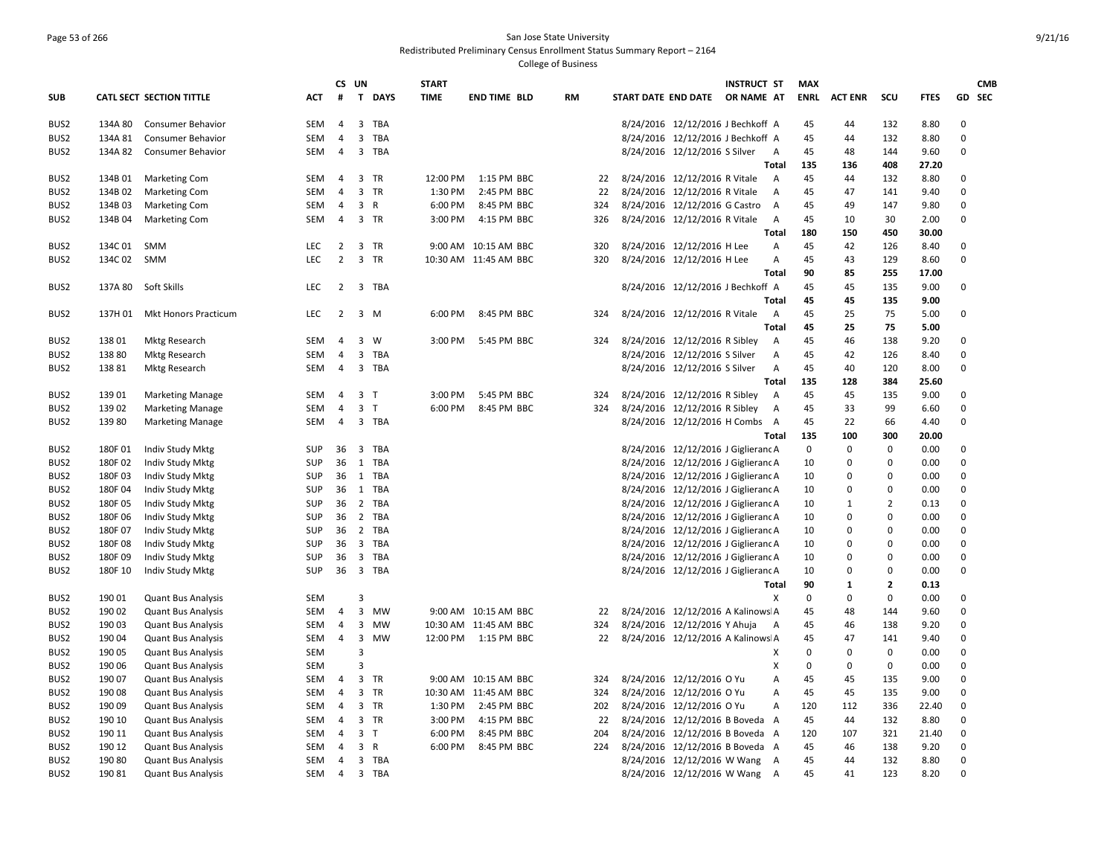### Page 53 of 266 San Jose State University Redistributed Preliminary Census Enrollment Status Summary Report – 2164

|                  |         |                             |            | CS UN          |                |              | <b>START</b> |                       |    |     |                     |                                     | <b>INSTRUCT ST</b> |                | <b>MAX</b>  |                |                               |              |             | <b>CMB</b>    |
|------------------|---------|-----------------------------|------------|----------------|----------------|--------------|--------------|-----------------------|----|-----|---------------------|-------------------------------------|--------------------|----------------|-------------|----------------|-------------------------------|--------------|-------------|---------------|
| <b>SUB</b>       |         | CATL SECT SECTION TITTLE    | ACT        | #              | $\mathbf{T}$   | <b>DAYS</b>  | <b>TIME</b>  | <b>END TIME BLD</b>   | RM |     | START DATE END DATE |                                     | OR NAME AT         |                | <b>ENRL</b> | <b>ACT ENR</b> | scu                           | <b>FTES</b>  |             | <b>GD SEC</b> |
| BUS <sub>2</sub> | 134A 80 | <b>Consumer Behavior</b>    | <b>SEM</b> | $\overline{4}$ | 3              | <b>TBA</b>   |              |                       |    |     |                     | 8/24/2016 12/12/2016 J Bechkoff A   |                    |                | 45          | 44             | 132                           | 8.80         | $\mathbf 0$ |               |
| BUS <sub>2</sub> | 134A 81 | <b>Consumer Behavior</b>    | <b>SEM</b> | $\overline{4}$ | 3              | TBA          |              |                       |    |     |                     | 8/24/2016 12/12/2016 J Bechkoff A   |                    |                | 45          | 44             | 132                           | 8.80         | $\Omega$    |               |
| BUS2             | 134A 82 | Consumer Behavior           | <b>SEM</b> | $\overline{4}$ | 3              | TBA          |              |                       |    |     |                     | 8/24/2016 12/12/2016 S Silver       |                    | A              | 45          | 48             | 144                           | 9.60         | $\mathbf 0$ |               |
|                  |         |                             |            |                |                |              |              |                       |    |     |                     |                                     |                    | Total          | 135         | 136            | 408                           | 27.20        |             |               |
| BUS <sub>2</sub> | 134B 01 | <b>Marketing Com</b>        | SEM        | 4              |                | 3 TR         | 12:00 PM     | 1:15 PM BBC           |    | 22  |                     | 8/24/2016 12/12/2016 R Vitale       |                    | A              | 45          | 44             | 132                           | 8.80         | $\mathbf 0$ |               |
| BUS <sub>2</sub> | 134B 02 | <b>Marketing Com</b>        | <b>SEM</b> | $\overline{4}$ |                | 3 TR         | 1:30 PM      | 2:45 PM BBC           |    | 22  |                     | 8/24/2016 12/12/2016 R Vitale       |                    | $\overline{A}$ | 45          | 47             | 141                           | 9.40         | $\Omega$    |               |
| BUS <sub>2</sub> | 134B03  | <b>Marketing Com</b>        | SEM        | 4              | 3              | $\mathsf{R}$ | 6:00 PM      | 8:45 PM BBC           |    | 324 |                     | 8/24/2016 12/12/2016 G Castro       |                    | A              | 45          | 49             | 147                           | 9.80         | $\mathbf 0$ |               |
| BUS <sub>2</sub> | 134B 04 | <b>Marketing Com</b>        | <b>SEM</b> | $\overline{4}$ |                | 3 TR         | 3:00 PM      | 4:15 PM BBC           |    | 326 |                     | 8/24/2016 12/12/2016 R Vitale       |                    | $\overline{A}$ | 45          | 10             | 30                            | 2.00         | $\mathbf 0$ |               |
|                  |         |                             |            |                |                |              |              |                       |    |     |                     |                                     |                    | Total          | 180         | 150            | 450                           | 30.00        |             |               |
| BUS <sub>2</sub> | 134C 01 | <b>SMM</b>                  | LEC        | $\overline{2}$ | 3              | TR           |              | 9:00 AM 10:15 AM BBC  |    | 320 |                     | 8/24/2016 12/12/2016 H Lee          |                    | А              | 45          | 42             | 126                           | 8.40         | $\Omega$    |               |
| BUS <sub>2</sub> | 134C 02 | <b>SMM</b>                  | <b>LEC</b> | $\overline{2}$ |                | 3 TR         |              | 10:30 AM 11:45 AM BBC |    | 320 |                     | 8/24/2016 12/12/2016 H Lee          |                    | А              | 45          | 43             | 129                           | 8.60         | $\mathbf 0$ |               |
|                  |         |                             |            |                |                |              |              |                       |    |     |                     |                                     |                    | Total          | 90          | 85             | 255                           | 17.00        |             |               |
| BUS <sub>2</sub> | 137A 80 | Soft Skills                 | <b>LEC</b> | $\overline{2}$ |                | 3 TBA        |              |                       |    |     |                     | 8/24/2016 12/12/2016 J Bechkoff A   |                    |                | 45          | 45             | 135                           | 9.00         | $\Omega$    |               |
|                  |         |                             |            |                |                |              |              |                       |    |     |                     |                                     |                    | <b>Total</b>   | 45          | 45             | 135                           | 9.00         |             |               |
| BUS <sub>2</sub> | 137H 01 | <b>Mkt Honors Practicum</b> | LEC        | $\overline{2}$ | $3 \, M$       |              | 6:00 PM      | 8:45 PM BBC           |    | 324 |                     | 8/24/2016 12/12/2016 R Vitale       |                    | A              | 45          | 25             | 75                            | 5.00         | $\mathbf 0$ |               |
|                  |         |                             |            |                |                |              |              |                       |    |     |                     |                                     |                    | <b>Total</b>   | 45          | 25             | 75                            | 5.00         |             |               |
| BUS <sub>2</sub> | 13801   | <b>Mktg Research</b>        | SEM        | $\overline{4}$ | 3              | W            | 3:00 PM      | 5:45 PM BBC           |    | 324 |                     | 8/24/2016 12/12/2016 R Sibley       |                    | A              | 45          | 46             | 138                           | 9.20         | $\mathbf 0$ |               |
| BUS <sub>2</sub> | 138 80  | <b>Mktg Research</b>        | <b>SEM</b> | $\overline{4}$ | 3              | TBA          |              |                       |    |     |                     | 8/24/2016 12/12/2016 S Silver       |                    | A              | 45          | 42             | 126                           | 8.40         | $\Omega$    |               |
| BUS <sub>2</sub> | 13881   | <b>Mktg Research</b>        | SEM        | 4              | 3              | TBA          |              |                       |    |     |                     | 8/24/2016 12/12/2016 S Silver       |                    | Α              | 45          | 40             | 120                           | 8.00         | $\mathbf 0$ |               |
|                  |         |                             |            |                |                |              |              |                       |    |     |                     |                                     |                    | <b>Total</b>   | 135         | 128            | 384                           | 25.60        |             |               |
| BUS <sub>2</sub> | 13901   | <b>Marketing Manage</b>     | <b>SEM</b> | 4              | 3 <sub>1</sub> |              | 3:00 PM      | 5:45 PM BBC           |    | 324 |                     | 8/24/2016 12/12/2016 R Sibley       |                    | A              | 45          | 45             | 135                           | 9.00         | 0           |               |
| BUS <sub>2</sub> | 13902   | <b>Marketing Manage</b>     | SEM        | $\overline{4}$ | 3 <sub>T</sub> |              | 6:00 PM      | 8:45 PM BBC           |    | 324 |                     | 8/24/2016 12/12/2016 R Sibley       |                    | A              | 45          | 33             | 99                            | 6.60         | $\mathbf 0$ |               |
| BUS <sub>2</sub> | 13980   | <b>Marketing Manage</b>     | SEM        | 4              |                | 3 TBA        |              |                       |    |     |                     | 8/24/2016 12/12/2016 H Combs A      |                    |                | 45          | 22             | 66                            | 4.40         | $\Omega$    |               |
|                  |         |                             |            |                |                |              |              |                       |    |     |                     |                                     |                    | Total          | 135         | 100            | 300                           | 20.00        |             |               |
| BUS2             | 180F01  | Indiv Study Mktg            | SUP        | 36             |                | 3 TBA        |              |                       |    |     |                     | 8/24/2016 12/12/2016 J Giglierand A |                    |                | 0           | $\mathbf 0$    | $\mathbf 0$                   | 0.00         | $\mathbf 0$ |               |
| BUS <sub>2</sub> | 180F02  | Indiv Study Mktg            | SUP        | 36             |                | 1 TBA        |              |                       |    |     |                     | 8/24/2016 12/12/2016 J Giglierand A |                    |                | 10          | 0              | $\Omega$                      | 0.00         | $\mathbf 0$ |               |
| BUS <sub>2</sub> | 180F03  | Indiv Study Mktg            | SUP        | 36             |                | 1 TBA        |              |                       |    |     |                     | 8/24/2016 12/12/2016 J Giglierand A |                    |                | 10          | 0              | $\mathbf 0$                   | 0.00         | $\mathbf 0$ |               |
| BUS <sub>2</sub> | 180F04  | Indiv Study Mktg            | SUP        | 36             |                | 1 TBA        |              |                       |    |     |                     | 8/24/2016 12/12/2016 J Giglierand A |                    |                | 10          | $\mathbf 0$    | $\mathbf 0$                   | 0.00         | $\mathbf 0$ |               |
| BUS2             | 180F05  | Indiv Study Mktg            | SUP        | 36             |                | 2 TBA        |              |                       |    |     |                     | 8/24/2016 12/12/2016 J Giglierand A |                    |                | 10          | $\mathbf{1}$   | $\overline{2}$                | 0.13         | $\mathbf 0$ |               |
| BUS <sub>2</sub> | 180F 06 | Indiv Study Mktg            | <b>SUP</b> | 36             |                | 2 TBA        |              |                       |    |     |                     | 8/24/2016 12/12/2016 J Giglieranc A |                    |                | 10          | 0              | $\Omega$                      | 0.00         | $\mathbf 0$ |               |
| BUS <sub>2</sub> | 180F 07 | Indiv Study Mktg            | SUP        | 36             |                | 2 TBA        |              |                       |    |     |                     | 8/24/2016 12/12/2016 J Giglierand A |                    |                | 10          | $\Omega$       | $\pmb{0}$                     | 0.00         | $\mathbf 0$ |               |
| BUS <sub>2</sub> | 180F08  | Indiv Study Mktg            | <b>SUP</b> | 36             |                | 3 TBA        |              |                       |    |     |                     | 8/24/2016 12/12/2016 J Giglierand A |                    |                | 10          | $\mathbf 0$    | $\mathbf 0$                   | 0.00         | $\mathbf 0$ |               |
| BUS <sub>2</sub> | 180F09  | Indiv Study Mktg            | SUP        | 36<br>36       | $\overline{3}$ | TBA<br>3 TBA |              |                       |    |     |                     | 8/24/2016 12/12/2016 J Giglierand A |                    |                | 10          | 0              | $\Omega$                      | 0.00         | $\mathbf 0$ |               |
| BUS2             | 180F 10 | Indiv Study Mktg            | <b>SUP</b> |                |                |              |              |                       |    |     |                     | 8/24/2016 12/12/2016 J Giglierand A |                    | Total          | 10<br>90    | 0<br>1         | $\mathbf 0$<br>$\overline{2}$ | 0.00         | $\mathbf 0$ |               |
| BUS <sub>2</sub> | 190 01  | <b>Quant Bus Analysis</b>   | SEM        |                | 3              |              |              |                       |    |     |                     |                                     |                    | Χ              | 0           | 0              | $\mathbf 0$                   | 0.13<br>0.00 | $\mathbf 0$ |               |
| BUS2             | 190 02  | <b>Quant Bus Analysis</b>   | SEM        | $\overline{4}$ | 3              | MW           |              | 9:00 AM 10:15 AM BBC  |    | 22  |                     | 8/24/2016 12/12/2016 A Kalinows A   |                    |                | 45          | 48             | 144                           | 9.60         | $\pmb{0}$   |               |
| BUS <sub>2</sub> | 190 03  | <b>Quant Bus Analysis</b>   | <b>SEM</b> | $\overline{4}$ | 3              | MW           |              | 10:30 AM 11:45 AM BBC |    | 324 |                     | 8/24/2016 12/12/2016 Y Ahuja        |                    | A              | 45          | 46             | 138                           | 9.20         | $\mathbf 0$ |               |
| BUS <sub>2</sub> | 190 04  | <b>Quant Bus Analysis</b>   | SEM        | 4              | 3              | MW           |              | 12:00 PM 1:15 PM BBC  |    | 22  |                     | 8/24/2016 12/12/2016 A Kalinows A   |                    |                | 45          | 47             | 141                           | 9.40         | $\mathbf 0$ |               |
| BUS <sub>2</sub> | 190 05  | <b>Quant Bus Analysis</b>   | <b>SEM</b> |                | 3              |              |              |                       |    |     |                     |                                     |                    | Х              | $\Omega$    | $\mathbf 0$    | $\mathbf 0$                   | 0.00         | $\mathbf 0$ |               |
| BUS2             | 190 06  | <b>Quant Bus Analysis</b>   | <b>SEM</b> |                | 3              |              |              |                       |    |     |                     |                                     |                    | X              | $\mathbf 0$ | 0              | $\mathbf 0$                   | 0.00         | $\mathbf 0$ |               |
| BUS <sub>2</sub> | 190 07  | <b>Quant Bus Analysis</b>   | <b>SEM</b> | $\overline{4}$ | 3              | TR           |              | 9:00 AM 10:15 AM BBC  |    | 324 |                     | 8/24/2016 12/12/2016 O Yu           |                    | A              | 45          | 45             | 135                           | 9.00         | $\mathbf 0$ |               |
| BUS <sub>2</sub> | 190 08  | <b>Quant Bus Analysis</b>   | SEM        | 4              | 3              | TR           |              | 10:30 AM 11:45 AM BBC |    | 324 |                     | 8/24/2016 12/12/2016 O Yu           |                    | А              | 45          | 45             | 135                           | 9.00         | $\mathbf 0$ |               |
| BUS2             | 190 09  | <b>Quant Bus Analysis</b>   | SEM        | 4              | 3              | TR           | 1:30 PM      | 2:45 PM BBC           |    | 202 |                     | 8/24/2016 12/12/2016 O Yu           |                    | А              | 120         | 112            | 336                           | 22.40        | $\pmb{0}$   |               |
| BUS <sub>2</sub> | 190 10  | <b>Quant Bus Analysis</b>   | SEM        | $\overline{4}$ |                | 3 TR         | 3:00 PM      | 4:15 PM BBC           |    | 22  |                     | 8/24/2016 12/12/2016 B Boveda A     |                    |                | 45          | 44             | 132                           | 8.80         | $\mathbf 0$ |               |
| BUS <sub>2</sub> | 190 11  | <b>Quant Bus Analysis</b>   | SEM        | $\overline{4}$ | 3 <sub>T</sub> |              | 6:00 PM      | 8:45 PM BBC           |    | 204 |                     | 8/24/2016 12/12/2016 B Boveda A     |                    |                | 120         | 107            | 321                           | 21.40        | $\pmb{0}$   |               |
| BUS <sub>2</sub> | 190 12  | <b>Quant Bus Analysis</b>   | <b>SEM</b> | 4              | 3              | $\mathsf{R}$ | 6:00 PM      | 8:45 PM BBC           |    | 224 |                     | 8/24/2016 12/12/2016 B Boveda A     |                    |                | 45          | 46             | 138                           | 9.20         | $\mathbf 0$ |               |
| BUS <sub>2</sub> | 190 80  | <b>Quant Bus Analysis</b>   | SEM        | 4              |                | 3 TBA        |              |                       |    |     |                     | 8/24/2016 12/12/2016 W Wang         |                    | A              | 45          | 44             | 132                           | 8.80         | $\mathbf 0$ |               |
| BUS2             | 190 81  | <b>Quant Bus Analysis</b>   | SEM        | $\overline{4}$ |                | 3 TBA        |              |                       |    |     |                     | 8/24/2016 12/12/2016 W Wang         |                    | $\overline{A}$ | 45          | 41             | 123                           | 8.20         | $\Omega$    |               |
|                  |         |                             |            |                |                |              |              |                       |    |     |                     |                                     |                    |                |             |                |                               |              |             |               |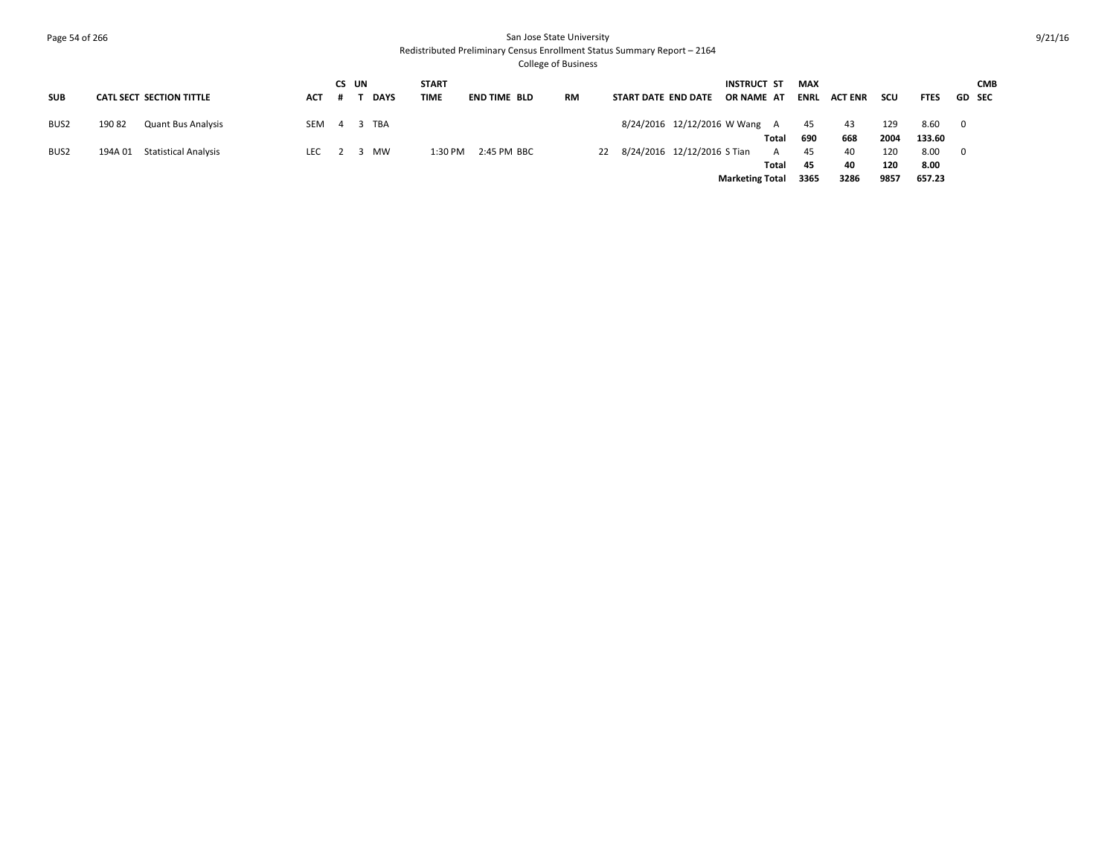## Page 54 of 266 San Jose State University Redistributed Preliminary Census Enrollment Status Summary Report – 2164

|                  |                                        |                 |     | CS UN |             | <b>START</b> |                     |    |                                | <b>INSTRUCT ST</b>     |       | <b>MAX</b> |         |      |             |                         | <b>CMB</b> |
|------------------|----------------------------------------|-----------------|-----|-------|-------------|--------------|---------------------|----|--------------------------------|------------------------|-------|------------|---------|------|-------------|-------------------------|------------|
| <b>SUB</b>       | CATL SECT SECTION TITTLE               | ACT             | . # |       | <b>DAYS</b> | TIME         | <b>END TIME BLD</b> | RM | START DATE END DATE            | OR NAME AT             |       | ENRL       | ACT ENR | scu  | <b>FTES</b> | <b>GD SEC</b>           |            |
| BUS <sub>2</sub> | 19082<br><b>Quant Bus Analysis</b>     | SEM 4 3 TBA     |     |       |             |              |                     |    | 8/24/2016 12/12/2016 W Wang A  |                        |       | 45         | 43      | 129  | 8.60 0      |                         |            |
|                  |                                        |                 |     |       |             |              |                     |    |                                |                        | Total | 690        | 668     | 2004 | 133.60      |                         |            |
| BUS <sub>2</sub> | <b>Statistical Analysis</b><br>194A 01 | LEC $2 \quad 3$ |     |       | <b>MW</b>   | 1:30 PM      | 2:45 PM BBC         |    | 22 8/24/2016 12/12/2016 S Tian |                        | A     | 45         | 40      | 120  | 8.00        | $\overline{\mathbf{0}}$ |            |
|                  |                                        |                 |     |       |             |              |                     |    |                                |                        | Total | - 45       | 40      | 120  | 8.00        |                         |            |
|                  |                                        |                 |     |       |             |              |                     |    |                                | <b>Marketing Total</b> |       | 3365       | 3286    | 9857 | 657.23      |                         |            |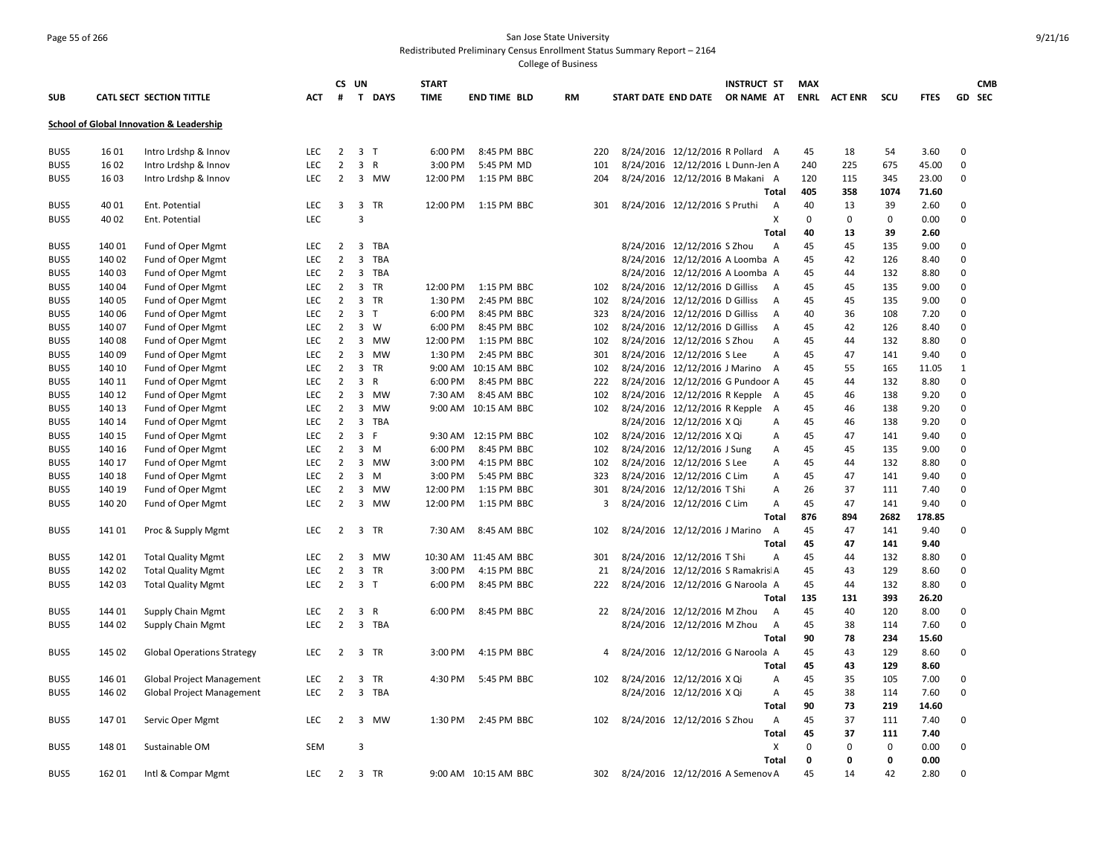## Page 55 of 266 San Jose State University Redistributed Preliminary Census Enrollment Status Summary Report – 2164

|      |        |                                          |            | CS UN          |                             | <b>START</b> |                       |    |     |                                   | <b>INSTRUCT ST</b> | <b>MAX</b>  |                |             |             |             | <b>CMB</b> |
|------|--------|------------------------------------------|------------|----------------|-----------------------------|--------------|-----------------------|----|-----|-----------------------------------|--------------------|-------------|----------------|-------------|-------------|-------------|------------|
| SUB  |        | CATL SECT SECTION TITTLE                 | АСТ        | #              | T DAYS                      | <b>TIME</b>  | <b>END TIME BLD</b>   | RM |     | START DATE END DATE               | OR NAME AT         | ENRL        | <b>ACT ENR</b> | scu         | <b>FTES</b> |             | GD SEC     |
|      |        | School of Global Innovation & Leadership |            |                |                             |              |                       |    |     |                                   |                    |             |                |             |             |             |            |
| BUS5 | 16 01  | Intro Lrdshp & Innov                     | LEC        | 2              | 3 <sub>T</sub>              | 6:00 PM      | 8:45 PM BBC           |    | 220 | 8/24/2016 12/12/2016 R Pollard A  |                    | 45          | 18             | 54          | 3.60        | 0           |            |
| BUS5 | 16 02  | Intro Lrdshp & Innov                     | LEC        | $\overline{2}$ | 3 R                         | 3:00 PM      | 5:45 PM MD            |    | 101 | 8/24/2016 12/12/2016 L Dunn-Jen A |                    | 240         | 225            | 675         | 45.00       | $\pmb{0}$   |            |
| BUS5 | 16 03  | Intro Lrdshp & Innov                     | LEC        | $\overline{2}$ | 3 MW                        | 12:00 PM     | 1:15 PM BBC           |    | 204 | 8/24/2016 12/12/2016 B Makani A   |                    | 120         | 115            | 345         | 23.00       | 0           |            |
|      |        |                                          |            |                |                             |              |                       |    |     |                                   | Total              | 405         | 358            | 1074        | 71.60       |             |            |
| BUS5 | 40 01  | Ent. Potential                           | <b>LEC</b> | 3              | 3 TR                        |              | 12:00 PM 1:15 PM BBC  |    | 301 | 8/24/2016 12/12/2016 S Pruthi     | A                  | 40          | 13             | 39          | 2.60        | 0           |            |
| BUS5 | 40 02  | Ent. Potential                           | LEC        |                | $\overline{3}$              |              |                       |    |     |                                   | X                  | $\mathbf 0$ | 0              | $\mathbf 0$ | 0.00        | $\mathbf 0$ |            |
|      |        |                                          |            |                |                             |              |                       |    |     |                                   | Total              | 40          | 13             | 39          | 2.60        |             |            |
| BUS5 | 140 01 | Fund of Oper Mgmt                        | LEC        | $\overline{2}$ | 3<br>TBA                    |              |                       |    |     | 8/24/2016 12/12/2016 S Zhou       | $\overline{A}$     | 45          | 45             | 135         | 9.00        | $\mathbf 0$ |            |
| BUS5 | 140 02 | Fund of Oper Mgmt                        | <b>LEC</b> | $\overline{2}$ | $\overline{3}$<br>TBA       |              |                       |    |     | 8/24/2016 12/12/2016 A Loomba A   |                    | 45          | 42             | 126         | 8.40        | $\Omega$    |            |
| BUS5 | 140 03 | Fund of Oper Mgmt                        | LEC        | $\overline{2}$ | 3<br>TBA                    |              |                       |    |     | 8/24/2016 12/12/2016 A Loomba A   |                    | 45          | 44             | 132         | 8.80        | $\mathbf 0$ |            |
| BUS5 | 140 04 | Fund of Oper Mgmt                        | LEC        | $\overline{2}$ | 3 TR                        | 12:00 PM     | 1:15 PM BBC           |    | 102 | 8/24/2016 12/12/2016 D Gilliss    | A                  | 45          | 45             | 135         | 9.00        | $\mathbf 0$ |            |
| BUS5 | 140 05 | Fund of Oper Mgmt                        | LEC        | $\overline{2}$ | $\mathbf{3}$<br>TR          | 1:30 PM      | 2:45 PM BBC           |    | 102 | 8/24/2016 12/12/2016 D Gilliss    | Α                  | 45          | 45             | 135         | 9.00        | $\mathbf 0$ |            |
| BUS5 | 140 06 | Fund of Oper Mgmt                        | <b>LEC</b> | $\overline{2}$ | 3 <sub>1</sub>              | 6:00 PM      | 8:45 PM BBC           |    | 323 | 8/24/2016 12/12/2016 D Gilliss    | $\mathsf{A}$       | 40          | 36             | 108         | 7.20        | $\mathbf 0$ |            |
| BUS5 | 140 07 | Fund of Oper Mgmt                        | LEC        | $\overline{2}$ | $\overline{3}$<br>W         | 6:00 PM      | 8:45 PM BBC           |    | 102 | 8/24/2016 12/12/2016 D Gilliss    | Α                  | 45          | 42             | 126         | 8.40        | $\pmb{0}$   |            |
| BUS5 | 140 08 | Fund of Oper Mgmt                        | <b>LEC</b> | $\overline{2}$ | 3 MW                        | 12:00 PM     | 1:15 PM BBC           |    | 102 | 8/24/2016 12/12/2016 S Zhou       | $\mathsf{A}$       | 45          | 44             | 132         | 8.80        | $\mathbf 0$ |            |
| BUS5 | 140 09 | Fund of Oper Mgmt                        | LEC        | $\overline{2}$ | 3 MW                        | 1:30 PM      | 2:45 PM BBC           |    | 301 | 8/24/2016 12/12/2016 S Lee        | $\mathsf{A}$       | 45          | 47             | 141         | 9.40        | $\mathbf 0$ |            |
| BUS5 | 140 10 | Fund of Oper Mgmt                        | <b>LEC</b> | $\overline{2}$ | $\overline{3}$<br><b>TR</b> |              | 9:00 AM 10:15 AM BBC  |    | 102 | 8/24/2016 12/12/2016 J Marino A   |                    | 45          | 55             | 165         | 11.05       | 1           |            |
| BUS5 | 140 11 | Fund of Oper Mgmt                        | LEC        | $\overline{2}$ | 3 R                         | 6:00 PM      | 8:45 PM BBC           |    | 222 | 8/24/2016 12/12/2016 G Pundoor A  |                    | 45          | 44             | 132         | 8.80        | 0           |            |
| BUS5 | 140 12 | Fund of Oper Mgmt                        | <b>LEC</b> | $\overline{2}$ | 3<br>MW                     | 7:30 AM      | 8:45 AM BBC           |    | 102 | 8/24/2016 12/12/2016 R Kepple     | A                  | 45          | 46             | 138         | 9.20        | $\mathbf 0$ |            |
| BUS5 | 140 13 | Fund of Oper Mgmt                        | LEC        | $\overline{2}$ | 3 MW                        |              | 9:00 AM 10:15 AM BBC  |    | 102 | 8/24/2016 12/12/2016 R Kepple     | A                  | 45          | 46             | 138         | 9.20        | $\mathbf 0$ |            |
| BUS5 | 140 14 | Fund of Oper Mgmt                        | <b>LEC</b> | $\overline{2}$ | 3<br>TBA                    |              |                       |    |     | 8/24/2016 12/12/2016 X Qi         | $\mathsf{A}$       | 45          | 46             | 138         | 9.20        | $\mathbf 0$ |            |
| BUS5 | 140 15 | Fund of Oper Mgmt                        | LEC        | $\overline{2}$ | 3<br>-F                     |              | 9:30 AM 12:15 PM BBC  |    | 102 | 8/24/2016 12/12/2016 X Qi         | $\mathsf{A}$       | 45          | 47             | 141         | 9.40        | $\mathbf 0$ |            |
| BUS5 | 140 16 | Fund of Oper Mgmt                        | LEC        | $\overline{2}$ | $3 \, M$                    | 6:00 PM      | 8:45 PM BBC           |    | 102 | 8/24/2016 12/12/2016 J Sung       | Α                  | 45          | 45             | 135         | 9.00        | $\mathbf 0$ |            |
| BUS5 | 140 17 | Fund of Oper Mgmt                        | LEC        | $\overline{2}$ | 3 MW                        | 3:00 PM      | 4:15 PM BBC           |    | 102 | 8/24/2016 12/12/2016 S Lee        | Α                  | 45          | 44             | 132         | 8.80        | $\mathbf 0$ |            |
| BUS5 | 140 18 | Fund of Oper Mgmt                        | LEC        | $\overline{2}$ | $\overline{3}$<br>M         | 3:00 PM      | 5:45 PM BBC           |    | 323 | 8/24/2016 12/12/2016 C Lim        | Α                  | 45          | 47             | 141         | 9.40        | $\Omega$    |            |
| BUS5 | 140 19 | Fund of Oper Mgmt                        | <b>LEC</b> | $\overline{2}$ | 3 MW                        | 12:00 PM     | 1:15 PM BBC           |    | 301 | 8/24/2016 12/12/2016 T Shi        | A                  | 26          | 37             | 111         | 7.40        | 0           |            |
| BUS5 | 140 20 | Fund of Oper Mgmt                        | LEC        | $\overline{2}$ | 3 MW                        | 12:00 PM     | 1:15 PM BBC           |    | з   | 8/24/2016 12/12/2016 C Lim        | Α                  | 45          | 47             | 141         | 9.40        | $\mathbf 0$ |            |
|      |        |                                          |            |                |                             |              |                       |    |     |                                   | Total              | 876         | 894            | 2682        | 178.85      |             |            |
| BUS5 | 141 01 | Proc & Supply Mgmt                       | LEC        | $\overline{2}$ | 3 TR                        | 7:30 AM      | 8:45 AM BBC           |    | 102 | 8/24/2016 12/12/2016 J Marino     | A                  | 45          | 47             | 141         | 9.40        | $\mathbf 0$ |            |
|      |        |                                          |            |                |                             |              |                       |    |     |                                   | Total              | 45          | 47             | 141         | 9.40        |             |            |
| BUS5 | 142 01 | <b>Total Quality Mgmt</b>                | LEC        | 2              | 3 MW                        |              | 10:30 AM 11:45 AM BBC |    | 301 | 8/24/2016 12/12/2016 T Shi        | Α                  | 45          | 44             | 132         | 8.80        | 0           |            |
| BUS5 | 142 02 | <b>Total Quality Mgmt</b>                | <b>LEC</b> | $\overline{2}$ | 3 TR                        | 3:00 PM      | 4:15 PM BBC           |    | 21  | 8/24/2016 12/12/2016 S Ramakris A |                    | 45          | 43             | 129         | 8.60        | $\mathbf 0$ |            |
| BUS5 | 142 03 | <b>Total Quality Mgmt</b>                | LEC        | $\overline{2}$ | 3 <sub>7</sub>              | 6:00 PM      | 8:45 PM BBC           |    | 222 | 8/24/2016 12/12/2016 G Naroola A  |                    | 45          | 44             | 132         | 8.80        | $\mathbf 0$ |            |
|      |        |                                          |            |                |                             |              |                       |    |     |                                   | Total              | 135         | 131            | 393         | 26.20       |             |            |
| BUS5 | 144 01 | <b>Supply Chain Mgmt</b>                 | LEC        | $\overline{2}$ | 3 R                         | 6:00 PM      | 8:45 PM BBC           |    | 22  | 8/24/2016 12/12/2016 M Zhou       | A                  | 45          | 40             | 120         | 8.00        | $\mathbf 0$ |            |
| BUS5 | 144 02 | Supply Chain Mgmt                        | <b>LEC</b> | $\overline{2}$ | 3 TBA                       |              |                       |    |     | 8/24/2016 12/12/2016 M Zhou       | $\overline{A}$     | 45          | 38             | 114         | 7.60        | $\mathbf 0$ |            |
|      |        |                                          |            |                |                             |              |                       |    |     |                                   | <b>Total</b>       | 90          | 78             | 234         | 15.60       |             |            |
| BUS5 | 145 02 | <b>Global Operations Strategy</b>        | <b>LEC</b> | $\overline{2}$ | 3 TR                        | 3:00 PM      | 4:15 PM BBC           |    | 4   | 8/24/2016 12/12/2016 G Naroola A  |                    | 45          | 43             | 129         | 8.60        | $\mathbf 0$ |            |
|      |        |                                          |            |                |                             |              |                       |    |     |                                   | <b>Total</b>       | 45          | 43             | 129         | 8.60        |             |            |
| BUS5 | 146 01 | Global Project Management                | <b>LEC</b> | 2              | 3<br>TR                     | 4:30 PM      | 5:45 PM BBC           |    | 102 | 8/24/2016 12/12/2016 X Qi         | A                  | 45          | 35             | 105         | 7.00        | 0           |            |
| BUS5 | 146 02 | <b>Global Project Management</b>         | <b>LEC</b> | $\overline{2}$ | 3 TBA                       |              |                       |    |     | 8/24/2016 12/12/2016 X Qi         | Α                  | 45          | 38             | 114         | 7.60        | $\mathbf 0$ |            |
|      |        |                                          |            |                |                             |              |                       |    |     |                                   | Total              | 90          | 73             | 219         | 14.60       |             |            |
| BUS5 | 14701  | Servic Oper Mgmt                         | LEC        | $\overline{2}$ | 3 MW                        | 1:30 PM      | 2:45 PM BBC           |    | 102 | 8/24/2016 12/12/2016 S Zhou       | A                  | 45          | 37             | 111         | 7.40        | 0           |            |
|      |        |                                          |            |                |                             |              |                       |    |     |                                   | Total              | 45          | 37             | 111         | 7.40        |             |            |
| BUS5 | 148 01 | Sustainable OM                           | SEM        |                | 3                           |              |                       |    |     |                                   | X                  | $\Omega$    | 0              | $\mathbf 0$ | 0.00        | 0           |            |
|      |        |                                          |            |                |                             |              |                       |    |     |                                   | Total              | 0           | 0              | $\mathbf 0$ | 0.00        |             |            |
| BUS5 | 162 01 | Intl & Compar Mgmt                       | <b>LEC</b> | $\overline{2}$ | 3 TR                        |              | 9:00 AM 10:15 AM BBC  |    | 302 | 8/24/2016 12/12/2016 A Semenov A  |                    | 45          | 14             | 42          | 2.80        | $\Omega$    |            |
|      |        |                                          |            |                |                             |              |                       |    |     |                                   |                    |             |                |             |             |             |            |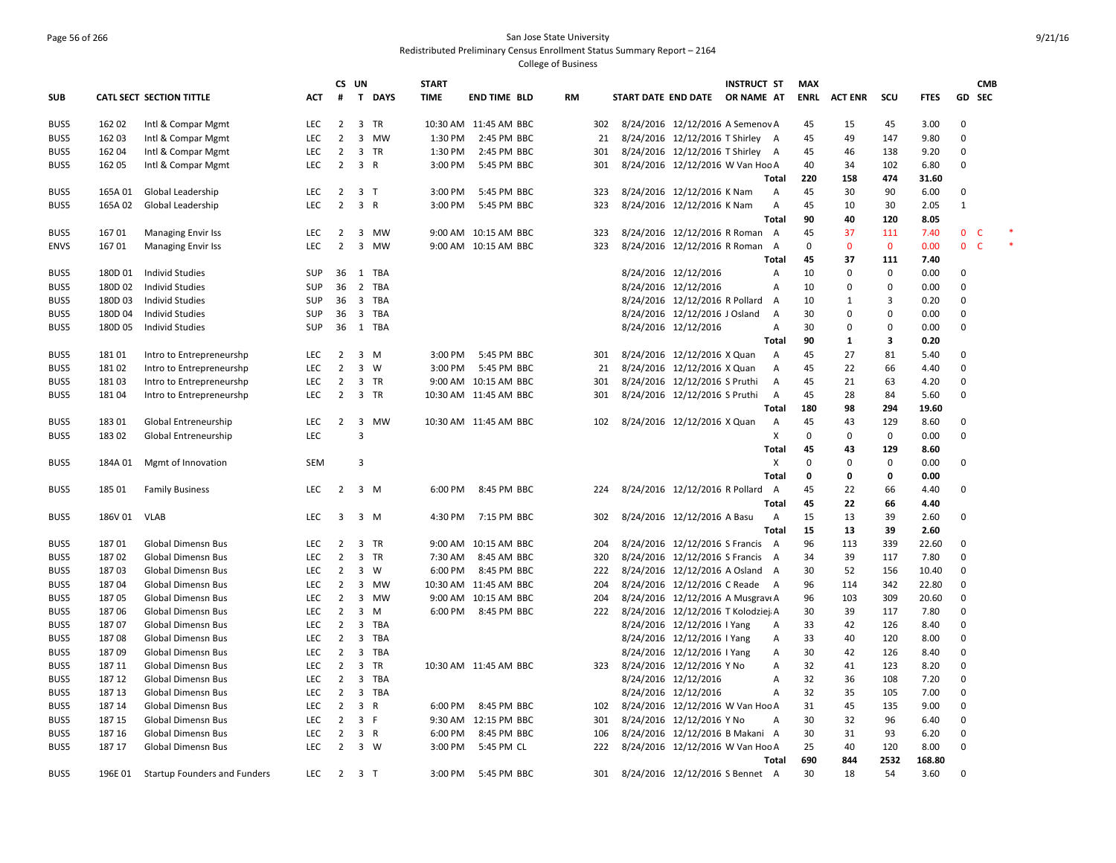# Page 56 of 266 San Jose State University Redistributed Preliminary Census Enrollment Status Summary Report – 2164

|             |         |                                     |            | CS.                     | UN             |              | <b>START</b> |                       |    |     |                     |                                    | <b>INSTRUCT ST</b> |                   | MAX         |                |              |              |              | <b>CMB</b> |   |
|-------------|---------|-------------------------------------|------------|-------------------------|----------------|--------------|--------------|-----------------------|----|-----|---------------------|------------------------------------|--------------------|-------------------|-------------|----------------|--------------|--------------|--------------|------------|---|
| <b>SUB</b>  |         | CATL SECT SECTION TITTLE            | <b>ACT</b> | #                       | $\mathbf{T}$   | <b>DAYS</b>  | <b>TIME</b>  | <b>END TIME BLD</b>   | RM |     | START DATE END DATE |                                    | OR NAME AT         |                   | <b>ENRL</b> | <b>ACT ENR</b> | scu          | <b>FTES</b>  | GD SEC       |            |   |
| BUS5        | 162 02  | Intl & Compar Mgmt                  | LEC        | 2                       | 3 TR           |              |              | 10:30 AM 11:45 AM BBC |    | 302 |                     | 8/24/2016 12/12/2016 A Semenov A   |                    |                   | 45          | 15             | 45           | 3.00         | 0            |            |   |
| BUS5        | 162 03  | Intl & Compar Mgmt                  | LEC        | $\overline{2}$          |                | 3 MW         | 1:30 PM      | 2:45 PM BBC           |    | 21  |                     | 8/24/2016 12/12/2016 T Shirley A   |                    |                   | 45          | 49             | 147          | 9.80         | $\mathbf 0$  |            |   |
| BUS5        | 162 04  | Intl & Compar Mgmt                  | <b>LEC</b> | 2                       | 3 TR           |              | 1:30 PM      | 2:45 PM BBC           |    | 301 |                     | 8/24/2016 12/12/2016 T Shirley A   |                    |                   | 45          | 46             | 138          | 9.20         | 0            |            |   |
| BUS5        | 162 05  | Intl & Compar Mgmt                  | LEC        | $\overline{2}$          | 3 R            |              | 3:00 PM      | 5:45 PM BBC           |    | 301 |                     | 8/24/2016 12/12/2016 W Van Hoc A   |                    |                   | 40          | 34             | 102          | 6.80         | $\mathbf 0$  |            |   |
|             |         |                                     |            |                         |                |              |              |                       |    |     |                     |                                    |                    | Total             | 220         | 158            | 474          | 31.60        |              |            |   |
| BUS5        | 165A 01 | Global Leadership                   | <b>LEC</b> | 2                       | 3 <sub>7</sub> |              | 3:00 PM      | 5:45 PM BBC           |    | 323 |                     | 8/24/2016 12/12/2016 K Nam         |                    | $\mathsf{A}$      | 45          | 30             | 90           | 6.00         | 0            |            |   |
| BUS5        | 165A 02 | Global Leadership                   | LEC        | $\overline{2}$          | 3 R            |              | 3:00 PM      | 5:45 PM BBC           |    | 323 |                     | 8/24/2016 12/12/2016 K Nam         |                    | А                 | 45          | 10             | 30           | 2.05         | $\mathbf{1}$ |            |   |
|             |         |                                     |            |                         |                |              |              |                       |    |     |                     |                                    |                    | Total             | 90          | 40             | 120          | 8.05         |              |            |   |
| BUS5        | 16701   | <b>Managing Envir Iss</b>           | LEC        | 2                       | 3              | MW           |              | 9:00 AM 10:15 AM BBC  |    | 323 |                     | 8/24/2016 12/12/2016 R Roman A     |                    |                   | 45          | 37             | 111          | 7.40         | $\mathbf 0$  | C          |   |
| <b>ENVS</b> | 16701   | <b>Managing Envir Iss</b>           | <b>LEC</b> | $\overline{2}$          |                | 3 MW         |              | 9:00 AM 10:15 AM BBC  |    | 323 |                     | 8/24/2016 12/12/2016 R Roman       |                    | $\overline{A}$    | 0           | $\mathbf 0$    | $\mathbf{0}$ | 0.00         | $\mathbf{0}$ | C          | * |
|             |         |                                     |            |                         |                |              |              |                       |    |     |                     |                                    |                    | Total             | 45          | 37             | 111          | 7.40         |              |            |   |
| BUS5        | 180D 01 | <b>Individ Studies</b>              | <b>SUP</b> | 36                      | 1 TBA          |              |              |                       |    |     |                     | 8/24/2016 12/12/2016               |                    | Α                 | 10          | 0              | 0            | 0.00         | $\Omega$     |            |   |
| BUS5        | 180D 02 | <b>Individ Studies</b>              | SUP        | 36                      | 2 TBA          |              |              |                       |    |     |                     | 8/24/2016 12/12/2016               |                    | Α                 | 10          | 0              | $\mathbf 0$  | 0.00         | $\mathbf 0$  |            |   |
| BUS5        | 180D03  | <b>Individ Studies</b>              | SUP        |                         | 36 3 TBA       |              |              |                       |    |     |                     | 8/24/2016 12/12/2016 R Pollard     |                    | A                 | 10          | $\mathbf{1}$   | 3            | 0.20         | $\mathbf 0$  |            |   |
| BUS5        | 180D 04 | <b>Individ Studies</b>              | <b>SUP</b> | 36                      |                | 3 TBA        |              |                       |    |     |                     | 8/24/2016 12/12/2016 J Osland      |                    | A                 | 30          | $\mathbf 0$    | $\mathbf 0$  | 0.00         | 0            |            |   |
| BUS5        | 180D 05 | Individ Studies                     | SUP        | 36                      | 1 TBA          |              |              |                       |    |     |                     | 8/24/2016 12/12/2016               |                    | Α                 | 30          | 0              | $\mathbf 0$  | 0.00         | $\mathbf 0$  |            |   |
|             |         |                                     |            |                         |                |              |              |                       |    |     |                     |                                    |                    | Total             | 90          | $\mathbf{1}$   | 3            | 0.20         |              |            |   |
| BUS5        | 18101   | Intro to Entrepreneurshp            | LEC        | $\overline{2}$          | $3 \, M$       |              | 3:00 PM      | 5:45 PM BBC           |    | 301 |                     | 8/24/2016 12/12/2016 X Quan        |                    | Α                 | 45          | 27             | 81           | 5.40         | $\Omega$     |            |   |
| BUS5        | 18102   | Intro to Entrepreneurshp            | <b>LEC</b> | $\overline{2}$          | 3              | W            | 3:00 PM      | 5:45 PM BBC           |    | 21  |                     | 8/24/2016 12/12/2016 X Quan        |                    | А                 | 45          | 22             | 66           | 4.40         | $\mathbf 0$  |            |   |
| BUS5        | 18103   | Intro to Entrepreneurshp            | <b>LEC</b> | 2                       | 3 TR           |              |              | 9:00 AM 10:15 AM BBC  |    | 301 |                     | 8/24/2016 12/12/2016 S Pruthi      |                    | Α                 | 45          | 21             | 63           | 4.20         | $\mathbf 0$  |            |   |
| BUS5        | 18104   | Intro to Entrepreneurshp            | LEC        | $\overline{2}$          | 3 TR           |              |              | 10:30 AM 11:45 AM BBC |    | 301 |                     | 8/24/2016 12/12/2016 S Pruthi      |                    | А                 | 45          | 28             | 84           | 5.60         | $\mathbf 0$  |            |   |
|             |         |                                     |            |                         |                |              |              |                       |    |     |                     |                                    |                    | Total             | 180         | 98             | 294          | 19.60        |              |            |   |
| BUS5        | 18301   | Global Entreneurship                | LEC        | 2                       | 3              | <b>MW</b>    |              | 10:30 AM 11:45 AM BBC |    | 102 |                     | 8/24/2016 12/12/2016 X Quan        |                    | Α                 | 45          | 43             | 129          | 8.60         | $\Omega$     |            |   |
| BUS5        | 18302   | Global Entreneurship                | LEC        |                         | $\overline{3}$ |              |              |                       |    |     |                     |                                    |                    | X                 | $\mathbf 0$ | 0              | 0            | 0.00         | $\mathbf 0$  |            |   |
|             |         |                                     |            |                         |                |              |              |                       |    |     |                     |                                    |                    | Total             | 45          | 43             | 129          | 8.60         |              |            |   |
| BUS5        | 184A 01 | Mgmt of Innovation                  | SEM        |                         | 3              |              |              |                       |    |     |                     |                                    |                    | x                 | $\mathbf 0$ | 0              | 0            | 0.00         | $\mathbf 0$  |            |   |
|             |         |                                     |            |                         |                |              |              |                       |    |     |                     |                                    |                    | Total             | 0           | 0              | $\mathbf 0$  | 0.00         |              |            |   |
| BUS5        | 185 01  | <b>Family Business</b>              | LEC        | $\overline{2}$          | $3 \, M$       |              | 6:00 PM      | 8:45 PM BBC           |    | 224 |                     | 8/24/2016 12/12/2016 R Pollard     |                    | A                 | 45          | 22             | 66           | 4.40         | $\mathbf 0$  |            |   |
|             |         |                                     |            |                         |                |              |              |                       |    |     |                     |                                    |                    | Total             | 45          | 22             | 66           | 4.40         |              |            |   |
|             | 186V 01 | <b>VLAB</b>                         | LEC        | $\overline{\mathbf{3}}$ | $3 \, M$       |              | 4:30 PM      |                       |    |     |                     |                                    |                    |                   |             | 13             | 39           |              | $\Omega$     |            |   |
| BUS5        |         |                                     |            |                         |                |              |              | 7:15 PM BBC           |    | 302 |                     | 8/24/2016 12/12/2016 A Basu        |                    | Α<br><b>Total</b> | 15<br>15    | 13             | 39           | 2.60<br>2.60 |              |            |   |
| BUS5        | 18701   | <b>Global Dimensn Bus</b>           | LEC        | 2                       | 3 TR           |              |              | 9:00 AM 10:15 AM BBC  |    | 204 |                     | 8/24/2016 12/12/2016 S Francis A   |                    |                   | 96          | 113            | 339          | 22.60        | $\Omega$     |            |   |
| BUS5        | 18702   | <b>Global Dimensn Bus</b>           | LEC        | $\overline{2}$          | 3 TR           |              | 7:30 AM      | 8:45 AM BBC           |    | 320 |                     | 8/24/2016 12/12/2016 S Francis A   |                    |                   | 34          | 39             | 117          | 7.80         | 0            |            |   |
| BUS5        | 18703   | Global Dimensn Bus                  | LEC        | 2                       | $3 \quad W$    |              | 6:00 PM      | 8:45 PM BBC           |    | 222 |                     | 8/24/2016 12/12/2016 A Osland A    |                    |                   | 30          | 52             | 156          | 10.40        | $\Omega$     |            |   |
| BUS5        | 18704   | Global Dimensn Bus                  | <b>LEC</b> | 2                       |                | 3 MW         |              | 10:30 AM 11:45 AM BBC |    | 204 |                     | 8/24/2016 12/12/2016 C Reade       |                    | A                 | 96          | 114            | 342          | 22.80        | $\Omega$     |            |   |
| BUS5        | 18705   | Global Dimensn Bus                  | LEC        | $\overline{2}$          |                | 3 MW         |              | 9:00 AM 10:15 AM BBC  |    | 204 |                     | 8/24/2016 12/12/2016 A Musgrav A   |                    |                   | 96          | 103            | 309          | 20.60        | $\mathbf 0$  |            |   |
| BUS5        | 18706   | <b>Global Dimensn Bus</b>           | <b>LEC</b> | $\overline{2}$          | $3 \, M$       |              | 6:00 PM      | 8:45 PM BBC           |    | 222 |                     | 8/24/2016 12/12/2016 T Kolodziej A |                    |                   | 30          | 39             | 117          | 7.80         | $\Omega$     |            |   |
| BUS5        | 18707   | Global Dimensn Bus                  | LEC        | $\overline{2}$          | 3              | TBA          |              |                       |    |     |                     | 8/24/2016 12/12/2016 I Yang        |                    | A                 | 33          | 42             | 126          | 8.40         | $\Omega$     |            |   |
| BUS5        | 18708   | Global Dimensn Bus                  | LEC        | $\overline{2}$          |                | 3 TBA        |              |                       |    |     |                     | 8/24/2016 12/12/2016   Yang        |                    | Α                 | 33          | 40             | 120          | 8.00         | $\Omega$     |            |   |
|             | 18709   | <b>Global Dimensn Bus</b>           | LEC        | $\overline{2}$          | 3              | TBA          |              |                       |    |     |                     | 8/24/2016 12/12/2016 I Yang        |                    |                   | 30          | 42             | 126          | 8.40         | $\Omega$     |            |   |
| BUS5        |         |                                     | LEC        | $\overline{2}$          | 3 TR           |              |              | 10:30 AM 11:45 AM BBC |    | 323 |                     |                                    |                    | A                 | 32          | 41             | 123          | 8.20         | $\mathbf 0$  |            |   |
| BUS5        | 187 11  | Global Dimensn Bus                  |            |                         |                |              |              |                       |    |     |                     | 8/24/2016 12/12/2016 Y No          |                    | Α                 |             |                |              |              | $\mathbf 0$  |            |   |
| BUS5        | 187 12  | <b>Global Dimensn Bus</b>           | LEC        | $\overline{2}$          | 3              | TBA          |              |                       |    |     |                     | 8/24/2016 12/12/2016               |                    | Α                 | 32          | 36             | 108          | 7.20         | $\Omega$     |            |   |
| BUS5        | 187 13  | <b>Global Dimensn Bus</b>           | LEC        | $\overline{2}$          |                | 3 TBA        |              |                       |    |     |                     | 8/24/2016 12/12/2016               |                    | Α                 | 32          | 35             | 105          | 7.00         |              |            |   |
| BUS5        | 187 14  | <b>Global Dimensn Bus</b>           | <b>LEC</b> | $\overline{2}$          | 3              | $\mathsf{R}$ | 6:00 PM      | 8:45 PM BBC           |    | 102 |                     | 8/24/2016 12/12/2016 W Van Hoc A   |                    |                   | 31          | 45             | 135          | 9.00         | $\Omega$     |            |   |
| BUS5        | 187 15  | <b>Global Dimensn Bus</b>           | LEC        | 2                       | 3 F            |              |              | 9:30 AM 12:15 PM BBC  |    | 301 |                     | 8/24/2016 12/12/2016 Y No          |                    | A                 | 30          | 32             | 96           | 6.40         | $\mathbf 0$  |            |   |
| BUS5        | 187 16  | Global Dimensn Bus                  | LEC        | $\overline{2}$          | 3 R            |              | 6:00 PM      | 8:45 PM BBC           |    | 106 |                     | 8/24/2016 12/12/2016 B Makani A    |                    |                   | 30          | 31             | 93           | 6.20         | $\mathbf 0$  |            |   |
| BUS5        | 187 17  | <b>Global Dimensn Bus</b>           | <b>LEC</b> | 2                       | 3 W            |              | 3:00 PM      | 5:45 PM CL            |    | 222 |                     | 8/24/2016 12/12/2016 W Van Hoc A   |                    |                   | 25          | 40             | 120          | 8.00         | 0            |            |   |
|             |         |                                     |            |                         |                |              |              |                       |    |     |                     |                                    |                    | Total             | 690         | 844            | 2532         | 168.80       |              |            |   |
| BUS5        | 196E 01 | <b>Startup Founders and Funders</b> | LEC        | $\overline{2}$          | 3 T            |              | 3:00 PM      | 5:45 PM BBC           |    | 301 |                     | 8/24/2016 12/12/2016 S Bennet A    |                    |                   | 30          | 18             | 54           | 3.60         | $\mathbf 0$  |            |   |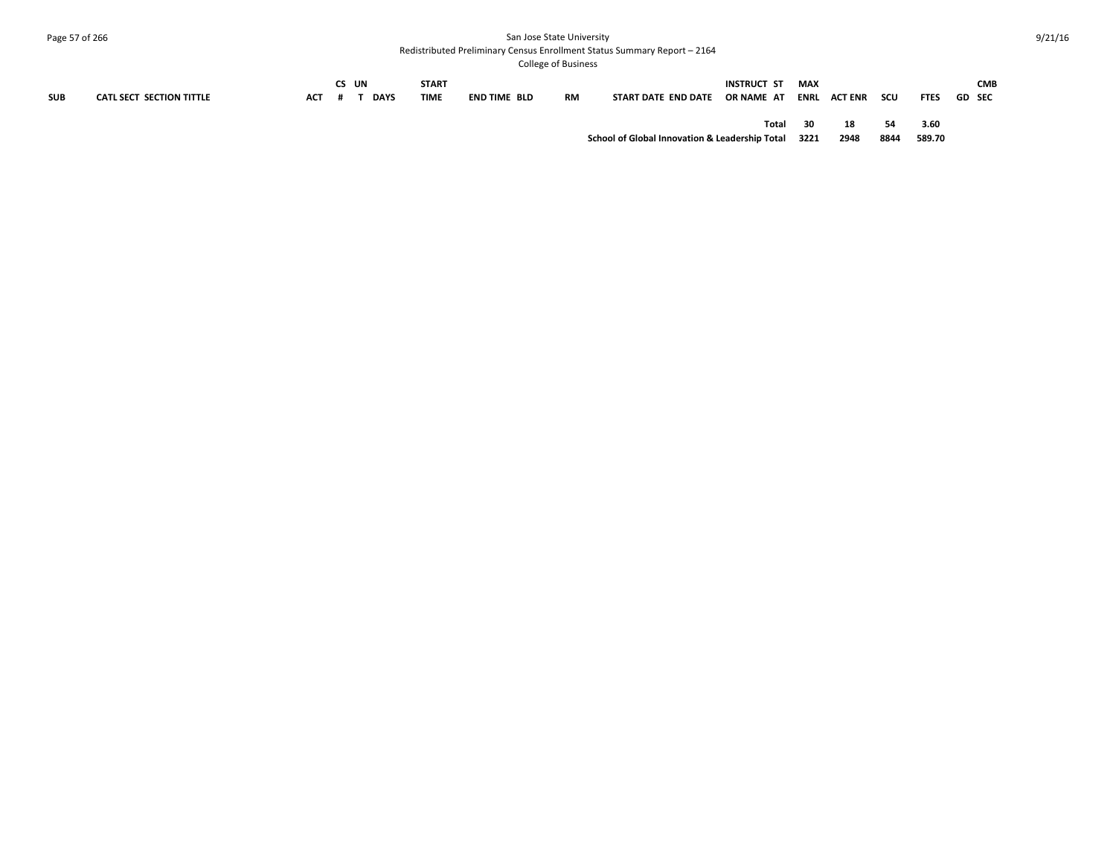# Page 57 of 266 San Jose State University

Redistributed Preliminary Census Enrollment Status Summary Report – 2164

| <b>SUB</b> | CATL SECT SECTION TITTLE | ACT | CS UN | <b>DAYS</b> | <b>START</b><br><b>TIME</b> | END TIME BLD | <b>RM</b> | START DATE END DATE                                 | INSTRUCT ST<br>OR NAME AT | MAX | ENRL ACT ENR | scu        | <b>FTES</b>    | GD SEC | <b>CMB</b> |
|------------|--------------------------|-----|-------|-------------|-----------------------------|--------------|-----------|-----------------------------------------------------|---------------------------|-----|--------------|------------|----------------|--------|------------|
|            |                          |     |       |             |                             |              |           | School of Global Innovation & Leadership Total 3221 | Total                     | 30  | 18<br>2948   | 54<br>8844 | 3.60<br>589.70 |        |            |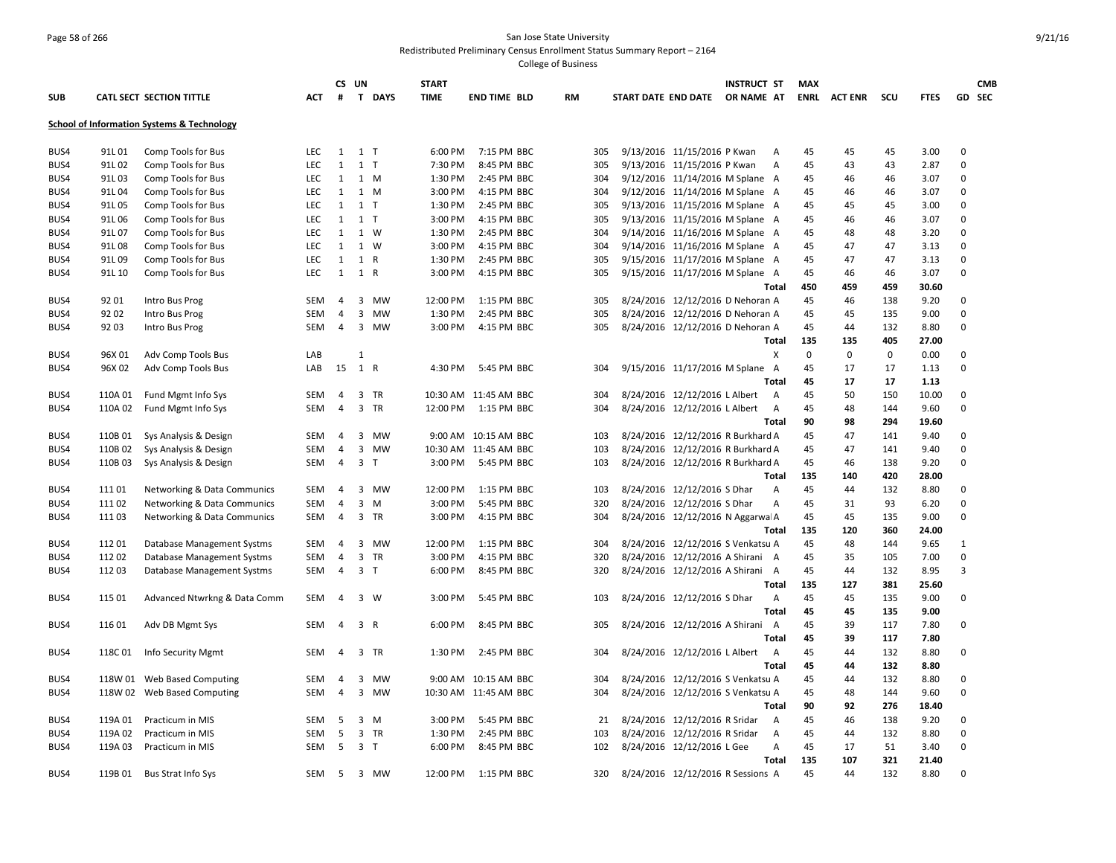# Page 58 of 266 San Jose State University Redistributed Preliminary Census Enrollment Status Summary Report – 2164

|      |         |                                                       |            |                | CS UN          |                | <b>START</b> |                       |           |     |                                   | <b>INSTRUCT ST</b> |                   | <b>MAX</b> |                |             |              |              | <b>CMB</b> |
|------|---------|-------------------------------------------------------|------------|----------------|----------------|----------------|--------------|-----------------------|-----------|-----|-----------------------------------|--------------------|-------------------|------------|----------------|-------------|--------------|--------------|------------|
| SUB  |         | CATL SECT SECTION TITTLE                              | <b>ACT</b> | #              |                | T DAYS         | <b>TIME</b>  | <b>END TIME BLD</b>   | <b>RM</b> |     | START DATE END DATE               | OR NAME AT         |                   | ENRL       | <b>ACT ENR</b> | scu         | <b>FTES</b>  |              | GD SEC     |
|      |         | <b>School of Information Systems &amp; Technology</b> |            |                |                |                |              |                       |           |     |                                   |                    |                   |            |                |             |              |              |            |
| BUS4 | 91L01   | Comp Tools for Bus                                    | <b>LEC</b> | 1              | 1 <sub>T</sub> |                | 6:00 PM      | 7:15 PM BBC           |           | 305 | 9/13/2016 11/15/2016 P Kwan       |                    | A                 | 45         | 45             | 45          | 3.00         | $\mathbf 0$  |            |
| BUS4 | 91L02   | Comp Tools for Bus                                    | <b>LEC</b> | $\mathbf{1}$   | 1 <sub>T</sub> |                | 7:30 PM      | 8:45 PM BBC           |           | 305 | 9/13/2016 11/15/2016 P Kwan       |                    | $\overline{A}$    | 45         | 43             | 43          | 2.87         | $\mathbf 0$  |            |
| BUS4 | 91L03   | Comp Tools for Bus                                    | LEC        | 1              |                | 1 M            | 1:30 PM      | 2:45 PM BBC           |           | 304 | 9/12/2016 11/14/2016 M Splane A   |                    |                   | 45         | 46             | 46          | 3.07         | 0            |            |
| BUS4 | 91L04   | Comp Tools for Bus                                    | LEC        | 1              |                | 1 M            | 3:00 PM      | 4:15 PM BBC           |           | 304 | 9/12/2016 11/14/2016 M Splane A   |                    |                   | 45         | 46             | 46          | 3.07         | 0            |            |
| BUS4 | 91L05   | Comp Tools for Bus                                    | LEC        | $\mathbf{1}$   | 1 <sub>T</sub> |                | 1:30 PM      | 2:45 PM BBC           |           | 305 | 9/13/2016 11/15/2016 M Splane A   |                    |                   | 45         | 45             | 45          | 3.00         | 0            |            |
| BUS4 | 91L06   | Comp Tools for Bus                                    | <b>LEC</b> | $\mathbf{1}$   | 1 <sub>T</sub> |                | 3:00 PM      | 4:15 PM BBC           |           | 305 | 9/13/2016 11/15/2016 M Splane A   |                    |                   | 45         | 46             | 46          | 3.07         | $\mathbf 0$  |            |
| BUS4 | 91L 07  | Comp Tools for Bus                                    | LEC        | $\mathbf{1}$   |                | 1 W            | 1:30 PM      | 2:45 PM BBC           |           | 304 | 9/14/2016 11/16/2016 M Splane A   |                    |                   | 45         | 48             | 48          | 3.20         | 0            |            |
| BUS4 | 91L08   | Comp Tools for Bus                                    | LEC        | 1              |                | 1 W            | 3:00 PM      | 4:15 PM BBC           |           | 304 | 9/14/2016 11/16/2016 M Splane A   |                    |                   | 45         | 47             | 47          | 3.13         | $\mathbf{0}$ |            |
| BUS4 | 91L09   | Comp Tools for Bus                                    | LEC        | 1              |                | 1 R            | 1:30 PM      | 2:45 PM BBC           |           | 305 | 9/15/2016 11/17/2016 M Splane A   |                    |                   | 45         | 47             | 47          | 3.13         | 0            |            |
| BUS4 | 91L 10  | Comp Tools for Bus                                    | LEC        | 1              |                | 1 R            | 3:00 PM      | 4:15 PM BBC           |           | 305 | 9/15/2016 11/17/2016 M Splane A   |                    |                   | 45         | 46             | 46          | 3.07         | 0            |            |
|      |         |                                                       |            |                |                |                |              |                       |           |     |                                   |                    | Total             | 450        | 459            | 459         | 30.60        |              |            |
| BUS4 | 92 01   | Intro Bus Prog                                        | SEM        | 4              | 3              | MW             | 12:00 PM     | 1:15 PM BBC           |           | 305 | 8/24/2016 12/12/2016 D Nehoran A  |                    |                   | 45         | 46             | 138         | 9.20         | $\mathbf 0$  |            |
| BUS4 | 92 02   | Intro Bus Prog                                        | <b>SEM</b> | 4              | $\mathbf{3}$   | MW             | 1:30 PM      | 2:45 PM BBC           |           | 305 | 8/24/2016 12/12/2016 D Nehoran A  |                    |                   | 45         | 45             | 135         | 9.00         | $\mathbf 0$  |            |
| BUS4 | 92 03   | Intro Bus Prog                                        | SEM        | 4              |                | 3 MW           | 3:00 PM      | 4:15 PM BBC           |           | 305 | 8/24/2016 12/12/2016 D Nehoran A  |                    |                   | 45         | 44             | 132         | 8.80         | $\mathbf 0$  |            |
|      |         |                                                       |            |                |                |                |              |                       |           |     |                                   |                    | <b>Total</b>      | 135        | 135            | 405         | 27.00        |              |            |
| BUS4 | 96X 01  | Adv Comp Tools Bus                                    | LAB        |                | $\mathbf{1}$   |                |              |                       |           |     |                                   |                    | X                 | 0          | 0              | $\mathbf 0$ | 0.00         | $\mathbf 0$  |            |
| BUS4 | 96X 02  | Adv Comp Tools Bus                                    | LAB        | 15             | 1 R            |                | 4:30 PM      | 5:45 PM BBC           |           | 304 | 9/15/2016 11/17/2016 M Splane A   |                    |                   | 45         | 17             | 17          | 1.13         | $\mathbf 0$  |            |
|      |         |                                                       |            |                |                |                |              |                       |           |     |                                   |                    | <b>Total</b>      | 45         | 17             | 17          | 1.13         |              |            |
| BUS4 | 110A 01 | Fund Mgmt Info Sys                                    | <b>SEM</b> | 4              |                | 3 TR           |              | 10:30 AM 11:45 AM BBC |           | 304 | 8/24/2016 12/12/2016 L Albert     |                    | $\overline{A}$    | 45         | 50             | 150         | 10.00        | 0            |            |
| BUS4 | 110A 02 | Fund Mgmt Info Sys                                    | SEM        | $\overline{4}$ |                | 3 TR           | 12:00 PM     | 1:15 PM BBC           |           | 304 | 8/24/2016 12/12/2016 L Albert     |                    | A                 | 45         | 48             | 144         | 9.60         | 0            |            |
|      |         |                                                       |            |                |                |                |              |                       |           |     |                                   |                    | <b>Total</b>      | 90         | 98             | 294         | 19.60        |              |            |
| BUS4 | 110B01  | Sys Analysis & Design                                 | <b>SEM</b> | 4              |                | 3 MW           |              | 9:00 AM 10:15 AM BBC  |           | 103 | 8/24/2016 12/12/2016 R Burkhard A |                    |                   | 45         | 47             | 141         | 9.40         | 0            |            |
| BUS4 | 110B 02 | Sys Analysis & Design                                 | SEM        | $\overline{4}$ |                | 3 MW           |              | 10:30 AM 11:45 AM BBC |           | 103 | 8/24/2016 12/12/2016 R Burkhard A |                    |                   | 45         | 47             | 141         | 9.40         | $\mathbf 0$  |            |
| BUS4 | 110B03  | Sys Analysis & Design                                 | SEM        | $\overline{4}$ |                | 3 <sub>1</sub> | 3:00 PM      | 5:45 PM BBC           |           | 103 | 8/24/2016 12/12/2016 R Burkhard A |                    |                   | 45         | 46             | 138         | 9.20         | $\mathbf 0$  |            |
|      |         |                                                       |            |                |                |                |              |                       |           |     |                                   |                    | Total             | 135        | 140            | 420         | 28.00        |              |            |
| BUS4 | 11101   | Networking & Data Communics                           | <b>SEM</b> | 4              | 3              | MW             | 12:00 PM     | 1:15 PM BBC           |           | 103 | 8/24/2016 12/12/2016 S Dhar       |                    | $\overline{A}$    | 45         | 44             | 132         | 8.80         | $\mathbf 0$  |            |
| BUS4 | 11102   | <b>Networking &amp; Data Communics</b>                | SEM        | 4              | 3              | M              | 3:00 PM      | 5:45 PM BBC           |           | 320 | 8/24/2016 12/12/2016 S Dhar       |                    | A                 | 45         | 31             | 93          | 6.20         | $\mathbf 0$  |            |
| BUS4 | 11103   | Networking & Data Communics                           | SEM        | 4              |                | 3 TR           | 3:00 PM      | 4:15 PM BBC           |           | 304 | 8/24/2016 12/12/2016 N Aggarwa A  |                    |                   | 45         | 45             | 135         | 9.00         | 0            |            |
|      |         |                                                       |            |                |                |                |              |                       |           |     |                                   |                    | <b>Total</b>      | 135        | 120            | 360         | 24.00        |              |            |
| BUS4 | 11201   | Database Management Systms                            | SEM        | 4              |                | 3 MW           | 12:00 PM     | 1:15 PM BBC           |           | 304 | 8/24/2016 12/12/2016 S Venkatsu A |                    |                   | 45         | 48             | 144         | 9.65         | 1            |            |
| BUS4 | 11202   | Database Management Systms                            | SEM        | 4              |                | 3 TR           | 3:00 PM      | 4:15 PM BBC           |           | 320 | 8/24/2016 12/12/2016 A Shirani A  |                    |                   | 45         | 35             | 105         | 7.00         | $\mathbf 0$  |            |
| BUS4 | 112 03  | Database Management Systms                            | SEM        | 4              |                | 3 <sub>1</sub> | 6:00 PM      | 8:45 PM BBC           |           | 320 | 8/24/2016 12/12/2016 A Shirani    |                    | A                 | 45         | 44             | 132         | 8.95         | 3            |            |
|      |         |                                                       |            | $\overline{4}$ |                | $3 \quad W$    |              | 5:45 PM BBC           |           |     |                                   |                    | Total             | 135        | 127<br>45      | 381<br>135  | 25.60        | 0            |            |
| BUS4 | 115 01  | Advanced Ntwrkng & Data Comm                          | SEM        |                |                |                | 3:00 PM      |                       |           | 103 | 8/24/2016 12/12/2016 S Dhar       |                    | A<br>Total        | 45<br>45   | 45             | 135         | 9.00<br>9.00 |              |            |
|      |         |                                                       | SEM        | 4              |                | 3 R            | 6:00 PM      | 8:45 PM BBC           |           | 305 | 8/24/2016 12/12/2016 A Shirani    |                    | A                 | 45         | 39             | 117         | 7.80         | 0            |            |
| BUS4 | 116 01  | Adv DB Mgmt Sys                                       |            |                |                |                |              |                       |           |     |                                   |                    | Total             | 45         | 39             | 117         | 7.80         |              |            |
|      | 118C01  |                                                       |            |                |                | 3 TR           | 1:30 PM      | 2:45 PM BBC           |           | 304 | 8/24/2016 12/12/2016 L Albert     |                    |                   | 45         | 44             | 132         | 8.80         | 0            |            |
| BUS4 |         | Info Security Mgmt                                    | SEM        | 4              |                |                |              |                       |           |     |                                   |                    | A<br><b>Total</b> | 45         | 44             | 132         | 8.80         |              |            |
| BUS4 |         | 118W 01 Web Based Computing                           | <b>SEM</b> | 4              |                | 3 MW           |              | 9:00 AM 10:15 AM BBC  |           | 304 | 8/24/2016 12/12/2016 S Venkatsu A |                    |                   | 45         | 44             | 132         | 8.80         | $\mathbf 0$  |            |
| BUS4 |         | 118W 02 Web Based Computing                           | SEM        | $\overline{4}$ |                | 3 MW           |              | 10:30 AM 11:45 AM BBC |           | 304 | 8/24/2016 12/12/2016 S Venkatsu A |                    |                   | 45         | 48             | 144         | 9.60         | 0            |            |
|      |         |                                                       |            |                |                |                |              |                       |           |     |                                   |                    | Total             | 90         | 92             | 276         | 18.40        |              |            |
| BUS4 | 119A 01 | Practicum in MIS                                      | SEM        | 5              |                | $3 \, M$       | 3:00 PM      | 5:45 PM BBC           |           | 21  | 8/24/2016 12/12/2016 R Sridar     |                    | A                 | 45         | 46             | 138         | 9.20         | $\mathbf 0$  |            |
| BUS4 | 119A 02 | Practicum in MIS                                      | <b>SEM</b> | 5              |                | 3 TR           | 1:30 PM      | 2:45 PM BBC           |           | 103 | 8/24/2016 12/12/2016 R Sridar     |                    | $\overline{A}$    | 45         | 44             | 132         | 8.80         | $\mathbf 0$  |            |
| BUS4 | 119A 03 | Practicum in MIS                                      | SEM        | -5             |                | 3 <sub>1</sub> | 6:00 PM      | 8:45 PM BBC           |           | 102 | 8/24/2016 12/12/2016 L Gee        |                    | A                 | 45         | 17             | 51          | 3.40         | $\Omega$     |            |
|      |         |                                                       |            |                |                |                |              |                       |           |     |                                   |                    | <b>Total</b>      | 135        | 107            | 321         | 21.40        |              |            |
| BUS4 | 119B 01 | Bus Strat Info Sys                                    | SEM        | -5             |                | 3 MW           | 12:00 PM     | 1:15 PM BBC           |           | 320 | 8/24/2016 12/12/2016 R Sessions A |                    |                   | 45         | 44             | 132         | 8.80         | $\Omega$     |            |
|      |         |                                                       |            |                |                |                |              |                       |           |     |                                   |                    |                   |            |                |             |              |              |            |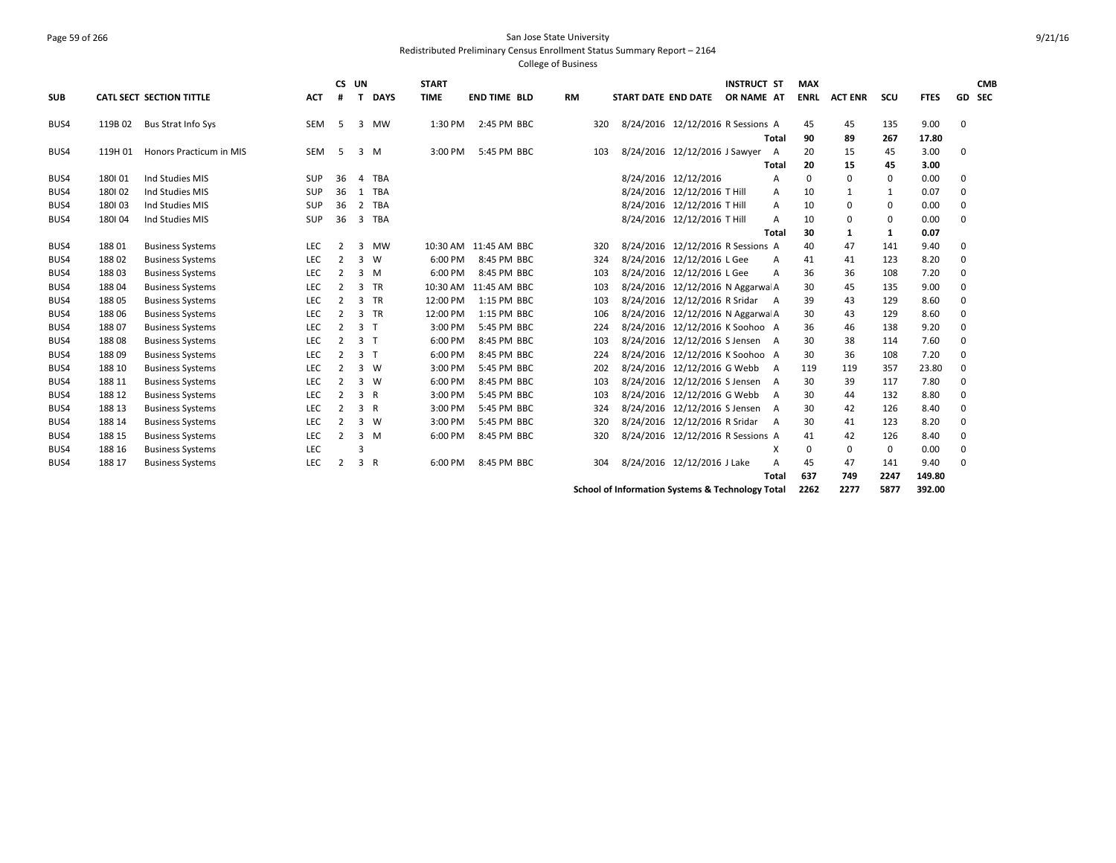### Page 59 of 266 San Jose State University Redistributed Preliminary Census Enrollment Status Summary Report – 2164

College of Business

|            |         |                           |            | CS UN          |                |             | <b>START</b> |                       |    |     |                                   | <b>INSTRUCT ST</b> |              | <b>MAX</b>  |                |             |             |             | <b>CMB</b> |
|------------|---------|---------------------------|------------|----------------|----------------|-------------|--------------|-----------------------|----|-----|-----------------------------------|--------------------|--------------|-------------|----------------|-------------|-------------|-------------|------------|
| <b>SUB</b> |         | CATL SECT SECTION TITTLE  | <b>ACT</b> | #              |                | <b>DAYS</b> | <b>TIME</b>  | <b>END TIME BLD</b>   | RM |     | START DATE END DATE               | OR NAME AT         |              | <b>ENRL</b> | <b>ACT ENR</b> | scu         | <b>FTES</b> |             | GD SEC     |
| BUS4       | 119B 02 | <b>Bus Strat Info Sys</b> | <b>SEM</b> | .5             | $\overline{3}$ | MW          | 1:30 PM      | 2:45 PM BBC           |    | 320 | 8/24/2016 12/12/2016 R Sessions A |                    |              | 45          | 45             | 135         | 9.00        | $\mathbf 0$ |            |
|            |         |                           |            |                |                |             |              |                       |    |     |                                   |                    | Total        | 90          | 89             | 267         | 17.80       |             |            |
| BUS4       | 119H 01 | Honors Practicum in MIS   | <b>SEM</b> | 5              |                | 3 M         | 3:00 PM      | 5:45 PM BBC           |    | 103 | 8/24/2016 12/12/2016 J Sawyer     |                    | A            | 20          | 15             | 45          | 3.00        | 0           |            |
|            |         |                           |            |                |                |             |              |                       |    |     |                                   |                    | <b>Total</b> | 20          | 15             | 45          | 3.00        |             |            |
| BUS4       | 180101  | Ind Studies MIS           | <b>SUP</b> | 36             | 4              | TBA         |              |                       |    |     | 8/24/2016 12/12/2016              |                    | A            | 0           | $\Omega$       | 0           | 0.00        | 0           |            |
| BUS4       | 180102  | Ind Studies MIS           | <b>SUP</b> | 36             | 1              | TBA         |              |                       |    |     | 8/24/2016 12/12/2016 T Hill       |                    | A            | 10          | 1              | 1           | 0.07        | 0           |            |
| BUS4       | 180103  | Ind Studies MIS           | SUP        | 36             | 2              | <b>TBA</b>  |              |                       |    |     | 8/24/2016 12/12/2016 T Hill       |                    | A            | 10          | 0              | $\mathbf 0$ | 0.00        | 0           |            |
| BUS4       | 180104  | Ind Studies MIS           | <b>SUP</b> | 36             | $\overline{3}$ | TBA         |              |                       |    |     | 8/24/2016 12/12/2016 T Hill       |                    | A            | 10          | 0              | 0           | 0.00        | 0           |            |
|            |         |                           |            |                |                |             |              |                       |    |     |                                   |                    | Total        | 30          | 1              | 1           | 0.07        |             |            |
| BUS4       | 18801   | <b>Business Systems</b>   | LEC        | $\overline{2}$ | 3              | MW          |              | 10:30 AM 11:45 AM BBC |    | 320 | 8/24/2016 12/12/2016 R Sessions A |                    |              | 40          | 47             | 141         | 9.40        | 0           |            |
| BUS4       | 18802   | <b>Business Systems</b>   | <b>LEC</b> | 2              | 3              | W           | 6:00 PM      | 8:45 PM BBC           |    | 324 | 8/24/2016 12/12/2016 L Gee        |                    | A            | 41          | 41             | 123         | 8.20        | $\Omega$    |            |
| BUS4       | 18803   | <b>Business Systems</b>   | LEC        | $\overline{2}$ |                | 3 M         | 6:00 PM      | 8:45 PM BBC           |    | 103 | 8/24/2016 12/12/2016 L Gee        |                    | A            | 36          | 36             | 108         | 7.20        | $\Omega$    |            |
| BUS4       | 18804   | <b>Business Systems</b>   | <b>LEC</b> | $\overline{2}$ |                | 3 TR        |              | 10:30 AM 11:45 AM BBC |    | 103 | 8/24/2016 12/12/2016 N Aggarwa A  |                    |              | 30          | 45             | 135         | 9.00        | $\Omega$    |            |
| BUS4       | 18805   | <b>Business Systems</b>   | <b>LEC</b> | 2              |                | 3 TR        | 12:00 PM     | 1:15 PM BBC           |    | 103 | 8/24/2016 12/12/2016 R Sridar     |                    | A            | 39          | 43             | 129         | 8.60        | 0           |            |
| BUS4       | 18806   | <b>Business Systems</b>   | <b>LEC</b> | $\overline{2}$ |                | $3$ TR      | 12:00 PM     | 1:15 PM BBC           |    | 106 | 8/24/2016 12/12/2016 N Aggarwa A  |                    |              | 30          | 43             | 129         | 8.60        | 0           |            |
| BUS4       | 18807   | <b>Business Systems</b>   | <b>LEC</b> | 2              | 3 <sub>1</sub> |             | 3:00 PM      | 5:45 PM BBC           |    | 224 | 8/24/2016 12/12/2016 K Soohoo A   |                    |              | 36          | 46             | 138         | 9.20        | 0           |            |
| BUS4       | 18808   | <b>Business Systems</b>   | <b>LEC</b> | 2              | 3 <sub>1</sub> |             | 6:00 PM      | 8:45 PM BBC           |    | 103 | 8/24/2016 12/12/2016 S Jensen A   |                    |              | 30          | 38             | 114         | 7.60        | $\Omega$    |            |
| BUS4       | 18809   | <b>Business Systems</b>   | <b>LEC</b> | 2              | 3 <sub>1</sub> |             | 6:00 PM      | 8:45 PM BBC           |    | 224 | 8/24/2016 12/12/2016 K Soohoo A   |                    |              | 30          | 36             | 108         | 7.20        | 0           |            |
| BUS4       | 188 10  | <b>Business Systems</b>   | <b>LEC</b> | $\overline{2}$ |                | 3 W         | 3:00 PM      | 5:45 PM BBC           |    | 202 | 8/24/2016 12/12/2016 G Webb       |                    | A            | 119         | 119            | 357         | 23.80       | 0           |            |
| BUS4       | 188 11  | <b>Business Systems</b>   | <b>LEC</b> | $\overline{2}$ |                | 3 W         | 6:00 PM      | 8:45 PM BBC           |    | 103 | 8/24/2016 12/12/2016 S Jensen     |                    | A            | 30          | 39             | 117         | 7.80        | 0           |            |
| BUS4       | 188 12  | <b>Business Systems</b>   | <b>LEC</b> | $\overline{2}$ | 3 R            |             | 3:00 PM      | 5:45 PM BBC           |    | 103 | 8/24/2016 12/12/2016 G Webb       |                    | A            | 30          | 44             | 132         | 8.80        | 0           |            |
| BUS4       | 188 13  | <b>Business Systems</b>   | LEC        | $\overline{2}$ | 3 R            |             | 3:00 PM      | 5:45 PM BBC           |    | 324 | 8/24/2016 12/12/2016 S Jensen     |                    | A            | 30          | 42             | 126         | 8.40        | 0           |            |
| BUS4       | 188 14  | <b>Business Systems</b>   | <b>LEC</b> | $\overline{2}$ |                | 3 W         | 3:00 PM      | 5:45 PM BBC           |    | 320 | 8/24/2016 12/12/2016 R Sridar     |                    | A            | 30          | 41             | 123         | 8.20        | 0           |            |
| BUS4       | 188 15  | <b>Business Systems</b>   | <b>LEC</b> | 2              |                | 3 M         | 6:00 PM      | 8:45 PM BBC           |    | 320 | 8/24/2016 12/12/2016 R Sessions A |                    |              | 41          | 42             | 126         | 8.40        | 0           |            |
| BUS4       | 188 16  | <b>Business Systems</b>   | LEC        |                | 3              |             |              |                       |    |     |                                   |                    | X            | $\Omega$    | 0              | 0           | 0.00        | 0           |            |
| BUS4       | 188 17  | <b>Business Systems</b>   | <b>LEC</b> | $\overline{2}$ | 3 R            |             | 6:00 PM      | 8:45 PM BBC           |    | 304 | 8/24/2016 12/12/2016 J Lake       |                    | A            | 45          | 47             | 141         | 9.40        | 0           |            |
|            |         |                           |            |                |                |             |              |                       |    |     |                                   |                    | <b>Total</b> | 637         | 749            | 2247        | 149.80      |             |            |
|            |         |                           |            |                |                |             |              |                       |    |     |                                   |                    |              |             |                |             |             |             |            |

**School of Information Systems & Technology Total 2262 2277 5877 392.00**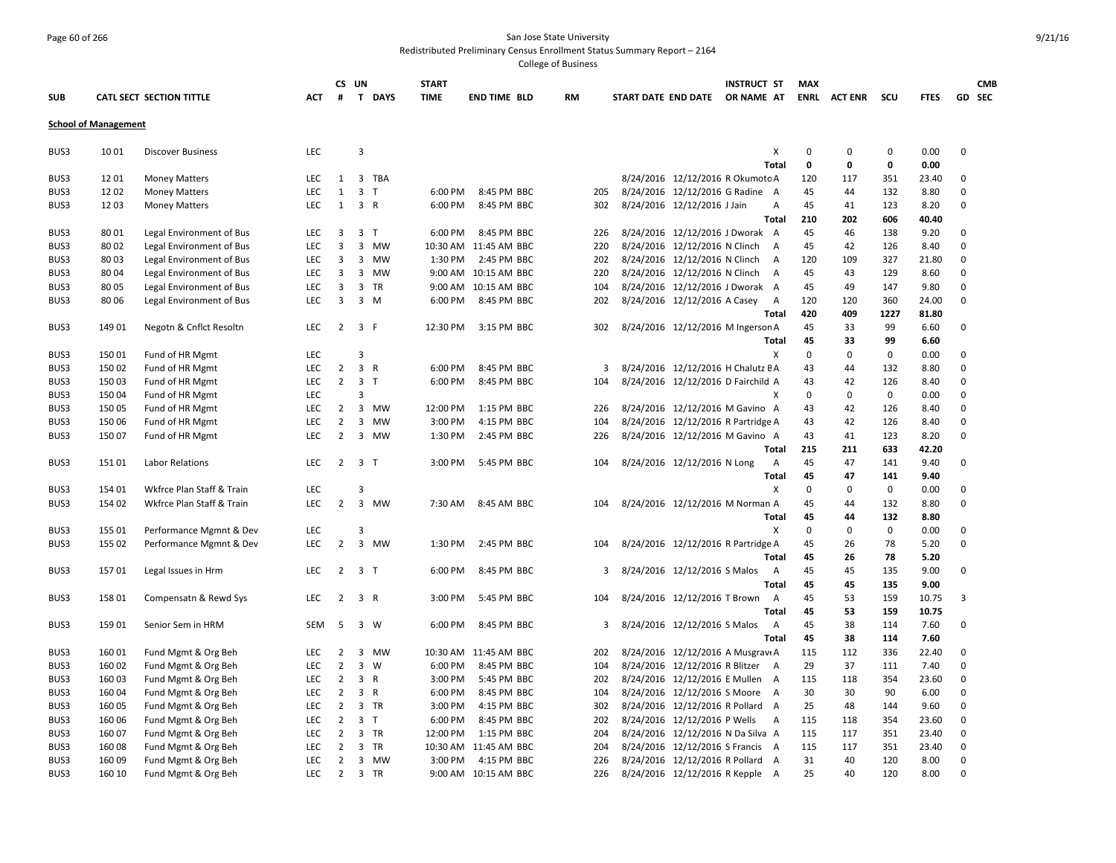## Page 60 of 266 San Jose State University Redistributed Preliminary Census Enrollment Status Summary Report – 2164

|            |                             |                           |            |                         | CS UN               | <b>START</b> |                       |           |     |                     |                                | <b>INSTRUCT ST</b>                 | <b>MAX</b>  |                |             |             |             | <b>CMB</b> |
|------------|-----------------------------|---------------------------|------------|-------------------------|---------------------|--------------|-----------------------|-----------|-----|---------------------|--------------------------------|------------------------------------|-------------|----------------|-------------|-------------|-------------|------------|
| <b>SUB</b> |                             | CATL SECT SECTION TITTLE  | <b>ACT</b> | #                       | T DAYS              | <b>TIME</b>  | <b>END TIME BLD</b>   | <b>RM</b> |     | START DATE END DATE |                                | OR NAME AT                         | <b>ENRL</b> | <b>ACT ENR</b> | scu         | <b>FTES</b> |             | GD SEC     |
|            | <b>School of Management</b> |                           |            |                         |                     |              |                       |           |     |                     |                                |                                    |             |                |             |             |             |            |
| BUS3       | 10 01                       | <b>Discover Business</b>  | LEC        |                         | 3                   |              |                       |           |     |                     |                                | X                                  | $\mathbf 0$ | $\mathbf 0$    | 0           | 0.00        | $\mathbf 0$ |            |
|            |                             |                           |            |                         |                     |              |                       |           |     |                     |                                | <b>Total</b>                       | 0           | $\mathbf{0}$   | 0           | 0.00        |             |            |
| BUS3       | 12 01                       | <b>Money Matters</b>      | <b>LEC</b> | 1                       | 3 TBA               |              |                       |           |     |                     |                                | 8/24/2016 12/12/2016 R Okumotc A   | 120         | 117            | 351         | 23.40       | 0           |            |
| BUS3       | 12 02                       | <b>Money Matters</b>      | LEC        | $\mathbf{1}$            | 3 <sub>1</sub>      | 6:00 PM      | 8:45 PM BBC           |           | 205 |                     |                                | 8/24/2016 12/12/2016 G Radine A    | 45          | 44             | 132         | 8.80        | 0           |            |
| BUS3       | 12 03                       |                           | <b>LEC</b> | 1                       | 3 R                 | 6:00 PM      | 8:45 PM BBC           |           | 302 |                     | 8/24/2016 12/12/2016 J Jain    | Α                                  | 45          | 41             | 123         | 8.20        | 0           |            |
|            |                             | <b>Money Matters</b>      |            |                         |                     |              |                       |           |     |                     |                                | <b>Total</b>                       | 210         | 202            | 606         | 40.40       |             |            |
| BUS3       | 80 01                       | Legal Environment of Bus  | <b>LEC</b> | 3                       | 3 <sub>1</sub>      | 6:00 PM      | 8:45 PM BBC           |           | 226 |                     |                                | 8/24/2016 12/12/2016 J Dworak A    | 45          | 46             | 138         | 9.20        | 0           |            |
| BUS3       | 80 02                       | Legal Environment of Bus  | <b>LEC</b> | 3                       | 3 MW                |              | 10:30 AM 11:45 AM BBC |           | 220 |                     | 8/24/2016 12/12/2016 N Clinch  | $\overline{A}$                     | 45          | 42             | 126         | 8.40        | $\mathbf 0$ |            |
| BUS3       | 80 03                       | Legal Environment of Bus  | <b>LEC</b> | 3                       | 3 MW                | 1:30 PM      | 2:45 PM BBC           |           | 202 |                     | 8/24/2016 12/12/2016 N Clinch  | A                                  | 120         | 109            | 327         | 21.80       | $\mathbf 0$ |            |
| BUS3       | 80 04                       | Legal Environment of Bus  | <b>LEC</b> | $\overline{\mathbf{3}}$ | 3<br>MW             |              | 9:00 AM 10:15 AM BBC  |           | 220 |                     | 8/24/2016 12/12/2016 N Clinch  | $\overline{A}$                     | 45          | 43             | 129         | 8.60        | $\mathbf 0$ |            |
| BUS3       | 80 05                       | Legal Environment of Bus  | LEC        | $\overline{3}$          | 3 TR                |              | 9:00 AM 10:15 AM BBC  |           | 104 |                     |                                | 8/24/2016 12/12/2016 J Dworak A    | 45          | 49             | 147         | 9.80        | 0           |            |
| BUS3       | 80 06                       | Legal Environment of Bus  | LEC        | $\overline{3}$          | $\overline{3}$<br>M | 6:00 PM      | 8:45 PM BBC           |           | 202 |                     | 8/24/2016 12/12/2016 A Casey   | A                                  | 120         | 120            | 360         | 24.00       | 0           |            |
|            |                             |                           |            |                         |                     |              |                       |           |     |                     |                                | Total                              | 420         | 409            | 1227        | 81.80       |             |            |
| BUS3       | 149 01                      | Negotn & Cnflct Resoltn   | <b>LEC</b> | $\overline{2}$          | 3 F                 | 12:30 PM     | 3:15 PM BBC           |           | 302 |                     |                                | 8/24/2016 12/12/2016 M Ingerson A  | 45          | 33             | 99          | 6.60        | 0           |            |
|            |                             |                           |            |                         |                     |              |                       |           |     |                     |                                | Total                              | 45          | 33             | 99          | 6.60        |             |            |
| BUS3       | 15001                       | Fund of HR Mgmt           | LEC        |                         | 3                   |              |                       |           |     |                     |                                | х                                  | $\mathbf 0$ | 0              | 0           | 0.00        | 0           |            |
| BUS3       | 15002                       | Fund of HR Mgmt           | LEC        | $\overline{2}$          | 3 R                 | 6:00 PM      | 8:45 PM BBC           |           | 3   |                     |                                | 8/24/2016 12/12/2016 H Chalutz E A | 43          | 44             | 132         | 8.80        | 0           |            |
| BUS3       | 15003                       | Fund of HR Mgmt           | <b>LEC</b> | $\overline{2}$          | 3 <sub>1</sub>      | 6:00 PM      | 8:45 PM BBC           |           | 104 |                     |                                | 8/24/2016 12/12/2016 D Fairchild A | 43          | 42             | 126         | 8.40        | $\Omega$    |            |
| BUS3       | 15004                       | Fund of HR Mgmt           | LEC        |                         | 3                   |              |                       |           |     |                     |                                | X                                  | $\mathbf 0$ | $\mathbf 0$    | $\mathbf 0$ | 0.00        | 0           |            |
| BUS3       | 150 05                      | Fund of HR Mgmt           | <b>LEC</b> | 2                       | 3 MW                | 12:00 PM     | 1:15 PM BBC           |           | 226 |                     |                                | 8/24/2016 12/12/2016 M Gavino A    | 43          | 42             | 126         | 8.40        | 0           |            |
| BUS3       | 150 06                      | Fund of HR Mgmt           | LEC        | $\overline{2}$          | $\mathbf{3}$<br>MW  | 3:00 PM      | 4:15 PM BBC           |           | 104 |                     |                                | 8/24/2016 12/12/2016 R Partridge A | 43          | 42             | 126         | 8.40        | 0           |            |
| BUS3       | 150 07                      | Fund of HR Mgmt           | <b>LEC</b> | $\overline{2}$          | 3 MW                | 1:30 PM      | 2:45 PM BBC           |           | 226 |                     |                                | 8/24/2016 12/12/2016 M Gavino A    | 43          | 41             | 123         | 8.20        | 0           |            |
|            |                             |                           |            |                         |                     |              |                       |           |     |                     |                                | Total                              | 215         | 211            | 633         | 42.20       |             |            |
| BUS3       | 15101                       |                           | LEC        | $\overline{2}$          | 3 <sub>1</sub>      | 3:00 PM      | 5:45 PM BBC           |           | 104 |                     | 8/24/2016 12/12/2016 N Long    |                                    | 45          | 47             | 141         | 9.40        | 0           |            |
|            |                             | Labor Relations           |            |                         |                     |              |                       |           |     |                     |                                | A<br>Total                         | 45          | 47             | 141         | 9.40        |             |            |
| BUS3       | 154 01                      | Wkfrce Plan Staff & Train | <b>LEC</b> |                         | 3                   |              |                       |           |     |                     |                                | X                                  | $\mathbf 0$ | $\Omega$       | $\mathbf 0$ | 0.00        | 0           |            |
| BUS3       | 154 02                      | Wkfrce Plan Staff & Train | LEC        | $\overline{2}$          | 3 MW                | 7:30 AM      | 8:45 AM BBC           |           | 104 |                     |                                | 8/24/2016 12/12/2016 M Norman A    | 45          | 44             | 132         | 8.80        | 0           |            |
|            |                             |                           |            |                         |                     |              |                       |           |     |                     |                                | Total                              | 45          | 44             | 132         | 8.80        |             |            |
| BUS3       | 155 01                      | Performance Mgmnt & Dev   | LEC        |                         | $\overline{3}$      |              |                       |           |     |                     |                                | X                                  | $\mathbf 0$ | $\mathbf 0$    | $\mathbf 0$ | 0.00        | 0           |            |
| BUS3       | 155 02                      | Performance Mgmnt & Dev   | LEC        | $\overline{2}$          | 3 MW                | 1:30 PM      | 2:45 PM BBC           |           | 104 |                     |                                | 8/24/2016 12/12/2016 R Partridge A | 45          | 26             | 78          | 5.20        | 0           |            |
|            |                             |                           |            |                         |                     |              |                       |           |     |                     |                                | Total                              | 45          | 26             | 78          | 5.20        |             |            |
| BUS3       | 15701                       | Legal Issues in Hrm       | LEC        | $\overline{2}$          | 3 <sub>1</sub>      | 6:00 PM      | 8:45 PM BBC           |           | 3   |                     | 8/24/2016 12/12/2016 S Malos   | A                                  | 45          | 45             | 135         | 9.00        | 0           |            |
|            |                             |                           |            |                         |                     |              |                       |           |     |                     |                                | Total                              | 45          | 45             | 135         | 9.00        |             |            |
| BUS3       | 158 01                      | Compensatn & Rewd Sys     | LEC        | $\overline{2}$          | 3 R                 | 3:00 PM      | 5:45 PM BBC           |           | 104 |                     | 8/24/2016 12/12/2016 T Brown   | $\overline{A}$                     | 45          | 53             | 159         | 10.75       | 3           |            |
|            |                             |                           |            |                         |                     |              |                       |           |     |                     |                                | Total                              | 45          | 53             | 159         | 10.75       |             |            |
| BUS3       | 15901                       | Senior Sem in HRM         | SEM        | -5                      | 3 W                 | 6:00 PM      | 8:45 PM BBC           |           | 3   |                     | 8/24/2016 12/12/2016 S Malos   | A                                  | 45          | 38             | 114         | 7.60        | 0           |            |
|            |                             |                           |            |                         |                     |              |                       |           |     |                     |                                | <b>Total</b>                       | 45          | 38             | 114         | 7.60        |             |            |
| BUS3       | 160 01                      | Fund Mgmt & Org Beh       | <b>LEC</b> | $\overline{2}$          | 3 MW                |              | 10:30 AM 11:45 AM BBC |           | 202 |                     |                                | 8/24/2016 12/12/2016 A Musgravi A  | 115         | 112            | 336         | 22.40       | 0           |            |
| BUS3       | 160 02                      | Fund Mgmt & Org Beh       | LEC        | $\overline{2}$          | $\overline{3}$<br>W | 6:00 PM      | 8:45 PM BBC           |           | 104 |                     | 8/24/2016 12/12/2016 R Blitzer | A                                  | 29          | 37             | 111         | 7.40        | 0           |            |
| BUS3       | 16003                       | Fund Mgmt & Org Beh       | <b>LEC</b> | $\overline{2}$          | 3 R                 | 3:00 PM      | 5:45 PM BBC           |           | 202 |                     | 8/24/2016 12/12/2016 E Mullen  | A                                  | 115         | 118            | 354         | 23.60       | 0           |            |
| BUS3       | 16004                       | Fund Mgmt & Org Beh       | <b>LEC</b> | $\overline{2}$          | 3 R                 | 6:00 PM      | 8:45 PM BBC           |           | 104 |                     | 8/24/2016 12/12/2016 S Moore   | A                                  | 30          | 30             | 90          | 6.00        | 0           |            |
| BUS3       | 160 05                      | Fund Mgmt & Org Beh       | LEC        | $\overline{2}$          | 3<br><b>TR</b>      | 3:00 PM      | 4:15 PM BBC           |           | 302 |                     |                                | 8/24/2016 12/12/2016 R Pollard A   | 25          | 48             | 144         | 9.60        | $\mathbf 0$ |            |
| BUS3       | 160 06                      | Fund Mgmt & Org Beh       | <b>LEC</b> | $\overline{2}$          | 3 <sub>1</sub>      | 6:00 PM      | 8:45 PM BBC           |           | 202 |                     | 8/24/2016 12/12/2016 P Wells   | $\overline{A}$                     | 115         | 118            | 354         | 23.60       | 0           |            |
| BUS3       | 16007                       | Fund Mgmt & Org Beh       | <b>LEC</b> | $\overline{2}$          | $\mathbf{3}$<br>TR  | 12:00 PM     | 1:15 PM BBC           |           | 204 |                     |                                | 8/24/2016 12/12/2016 N Da Silva A  | 115         | 117            | 351         | 23.40       | 0           |            |
| BUS3       | 16008                       | Fund Mgmt & Org Beh       | LEC        | $\overline{2}$          | 3 TR                |              | 10:30 AM 11:45 AM BBC |           | 204 |                     |                                | 8/24/2016 12/12/2016 S Francis A   | 115         | 117            | 351         | 23.40       | 0           |            |
| BUS3       | 16009                       | Fund Mgmt & Org Beh       | <b>LEC</b> | $\overline{2}$          | 3 MW                | 3:00 PM      | 4:15 PM BBC           |           | 226 |                     | 8/24/2016 12/12/2016 R Pollard | A                                  | 31          | 40             | 120         | 8.00        | $\Omega$    |            |
| BUS3       | 160 10                      | Fund Mgmt & Org Beh       | LEC        | $\overline{2}$          | 3 TR                |              | 9:00 AM 10:15 AM BBC  |           | 226 |                     |                                | 8/24/2016 12/12/2016 R Kepple A    | 25          | 40             | 120         | 8.00        | $\mathbf 0$ |            |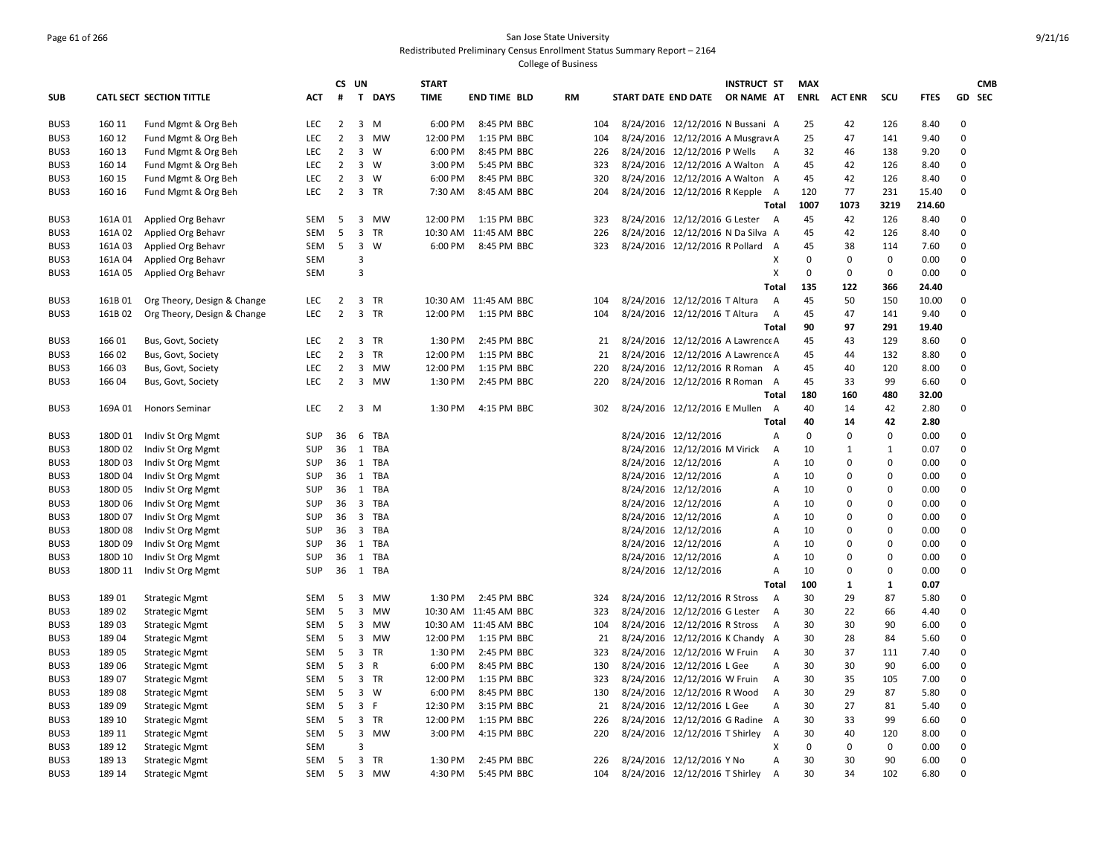# Page 61 of 266 San Jose State University Redistributed Preliminary Census Enrollment Status Summary Report – 2164

|            |         |                             |            | CS.            | UN                      |             | <b>START</b> |                       |           |     |                                   | INSTRUCT ST |                | MAX         |                |              |             |              | <b>CMB</b> |
|------------|---------|-----------------------------|------------|----------------|-------------------------|-------------|--------------|-----------------------|-----------|-----|-----------------------------------|-------------|----------------|-------------|----------------|--------------|-------------|--------------|------------|
| <b>SUB</b> |         | CATL SECT SECTION TITTLE    | ACT        | #              |                         | T DAYS      | <b>TIME</b>  | <b>END TIME BLD</b>   | <b>RM</b> |     | START DATE END DATE               | OR NAME AT  |                | <b>ENRL</b> | <b>ACT ENR</b> | SCU          | <b>FTES</b> | GD SEC       |            |
| BUS3       | 160 11  | Fund Mgmt & Org Beh         | <b>LEC</b> | $\overline{2}$ | 3                       | M           | 6:00 PM      | 8:45 PM BBC           |           | 104 | 8/24/2016 12/12/2016 N Bussani A  |             |                | 25          | 42             | 126          | 8.40        | 0            |            |
| BUS3       | 160 12  | Fund Mgmt & Org Beh         | LEC        | $\overline{2}$ | $\overline{3}$          | MW          | 12:00 PM     | 1:15 PM BBC           |           | 104 | 8/24/2016 12/12/2016 A Musgravi A |             |                | 25          | 47             | 141          | 9.40        | $\mathbf 0$  |            |
| BUS3       | 160 13  | Fund Mgmt & Org Beh         | <b>LEC</b> | $\overline{2}$ | $\overline{3}$          | <b>W</b>    | 6:00 PM      | 8:45 PM BBC           |           | 226 | 8/24/2016 12/12/2016 P Wells      |             | A              | 32          | 46             | 138          | 9.20        | 0            |            |
| BUS3       | 160 14  | Fund Mgmt & Org Beh         | LEC        | $\overline{2}$ | $\overline{3}$          | W           | 3:00 PM      | 5:45 PM BBC           |           | 323 | 8/24/2016 12/12/2016 A Walton A   |             |                | 45          | 42             | 126          | 8.40        | $\mathbf 0$  |            |
| BUS3       | 160 15  | Fund Mgmt & Org Beh         | <b>LEC</b> | $\overline{2}$ | 3                       | <b>W</b>    | 6:00 PM      | 8:45 PM BBC           |           | 320 | 8/24/2016 12/12/2016 A Walton A   |             |                | 45          | 42             | 126          | 8.40        | $\mathbf 0$  |            |
| BUS3       | 160 16  | Fund Mgmt & Org Beh         | LEC        | $\overline{2}$ | $\overline{3}$          | TR          | 7:30 AM      | 8:45 AM BBC           |           | 204 | 8/24/2016 12/12/2016 R Kepple A   |             |                | 120         | 77             | 231          | 15.40       | $\mathbf 0$  |            |
|            |         |                             |            |                |                         |             |              |                       |           |     |                                   |             | <b>Total</b>   | 1007        | 1073           | 3219         | 214.60      |              |            |
| BUS3       | 161A 01 | Applied Org Behavr          | <b>SEM</b> | 5              | 3                       | MW          | 12:00 PM     | 1:15 PM BBC           |           | 323 | 8/24/2016 12/12/2016 G Lester     |             | A              | 45          | 42             | 126          | 8.40        | 0            |            |
| BUS3       | 161A02  | Applied Org Behavr          | <b>SEM</b> | 5              |                         | 3 TR        | 10:30 AM     | 11:45 AM BBC          |           | 226 | 8/24/2016 12/12/2016 N Da Silva A |             |                | 45          | 42             | 126          | 8.40        | $\mathbf 0$  |            |
| BUS3       | 161A03  | Applied Org Behavr          | <b>SEM</b> | 5              | 3                       | W           | 6:00 PM      | 8:45 PM BBC           |           | 323 | 8/24/2016 12/12/2016 R Pollard    |             | $\overline{A}$ | 45          | 38             | 114          | 7.60        | 0            |            |
| BUS3       | 161A 04 | Applied Org Behavr          | <b>SEM</b> |                | $\overline{3}$          |             |              |                       |           |     |                                   |             | х              | 0           | $\mathbf 0$    | 0            | 0.00        | $\mathbf{0}$ |            |
| BUS3       | 161A 05 | Applied Org Behavr          | <b>SEM</b> |                | $\overline{3}$          |             |              |                       |           |     |                                   |             | X              | $\mathbf 0$ | $\pmb{0}$      | $\mathbf 0$  | 0.00        | $\Omega$     |            |
|            |         |                             |            |                |                         |             |              |                       |           |     |                                   |             | <b>Total</b>   | 135         | 122            | 366          | 24.40       |              |            |
| BUS3       | 161B01  | Org Theory, Design & Change | <b>LEC</b> | $\overline{2}$ |                         | 3 TR        |              | 10:30 AM 11:45 AM BBC |           | 104 | 8/24/2016 12/12/2016 T Altura     |             | $\overline{A}$ | 45          | 50             | 150          | 10.00       | $\mathbf 0$  |            |
| BUS3       | 161B02  | Org Theory, Design & Change | <b>LEC</b> | $\overline{2}$ |                         | 3 TR        | 12:00 PM     | 1:15 PM BBC           |           | 104 | 8/24/2016 12/12/2016 T Altura     |             | $\overline{A}$ | 45          | 47             | 141          | 9.40        | $\Omega$     |            |
|            |         |                             |            |                |                         |             |              |                       |           |     |                                   |             | Total          | 90          | 97             | 291          | 19.40       |              |            |
| BUS3       | 166 01  | Bus, Govt, Society          | LEC        | 2              | 3                       | TR          | 1:30 PM      | 2:45 PM BBC           |           | 21  | 8/24/2016 12/12/2016 A Lawrence A |             |                | 45          | 43             | 129          | 8.60        | 0            |            |
| BUS3       | 166 02  | Bus, Govt, Society          | LEC        | $\overline{2}$ | 3                       | TR          | 12:00 PM     | 1:15 PM BBC           |           | 21  | 8/24/2016 12/12/2016 A Lawrence A |             |                | 45          | 44             | 132          | 8.80        | $\mathbf 0$  |            |
| BUS3       | 166 03  | Bus, Govt, Society          | LEC        | $\overline{2}$ | 3                       | MW          | 12:00 PM     | 1:15 PM BBC           |           | 220 | 8/24/2016 12/12/2016 R Roman A    |             |                | 45          | 40             | 120          | 8.00        | 0            |            |
| BUS3       | 166 04  | Bus, Govt, Society          | <b>LEC</b> | $\overline{2}$ |                         | 3 MW        | 1:30 PM      | 2:45 PM BBC           |           | 220 | 8/24/2016 12/12/2016 R Roman A    |             |                | 45          | 33             | 99           | 6.60        | 0            |            |
|            |         |                             |            |                |                         |             |              |                       |           |     |                                   |             | Total          | 180         | 160            | 480          | 32.00       |              |            |
| BUS3       | 169A 01 | <b>Honors Seminar</b>       | <b>LEC</b> | $\overline{2}$ |                         | $3 \, M$    | 1:30 PM      | 4:15 PM BBC           |           | 302 | 8/24/2016 12/12/2016 E Mullen     |             | A              | 40          | 14             | 42           | 2.80        | 0            |            |
|            |         |                             |            |                |                         |             |              |                       |           |     |                                   |             | <b>Total</b>   | 40          | 14             | 42           | 2.80        |              |            |
| BUS3       | 180D 01 | Indiv St Org Mgmt           | <b>SUP</b> | 36             | 6                       | TBA         |              |                       |           |     | 8/24/2016 12/12/2016              |             | A              | $\Omega$    | $\Omega$       | $\mathbf 0$  | 0.00        | 0            |            |
| BUS3       | 180D 02 | Indiv St Org Mgmt           | SUP        | 36             |                         | 1 TBA       |              |                       |           |     | 8/24/2016 12/12/2016 M Virick     |             | $\overline{A}$ | 10          | 1              | $\mathbf{1}$ | 0.07        | $\Omega$     |            |
| BUS3       | 180D03  | Indiv St Org Mgmt           | <b>SUP</b> | 36             |                         | 1 TBA       |              |                       |           |     | 8/24/2016 12/12/2016              |             | A              | 10          | $\mathbf 0$    | $\mathbf 0$  | 0.00        | $\Omega$     |            |
| BUS3       | 180D 04 | Indiv St Org Mgmt           | SUP        | 36             |                         | 1 TBA       |              |                       |           |     | 8/24/2016 12/12/2016              |             | А              | 10          | 0              | $\mathbf 0$  | 0.00        | $\Omega$     |            |
| BUS3       | 180D 05 | Indiv St Org Mgmt           | SUP        | 36             |                         | 1 TBA       |              |                       |           |     | 8/24/2016 12/12/2016              |             | А              | 10          | 0              | 0            | 0.00        | 0            |            |
| BUS3       | 180D 06 | Indiv St Org Mgmt           | <b>SUP</b> | 36             |                         | 3 TBA       |              |                       |           |     | 8/24/2016 12/12/2016              |             | A              | 10          | $\Omega$       | $\mathbf 0$  | 0.00        | $\mathbf 0$  |            |
| BUS3       | 180D 07 | Indiv St Org Mgmt           | SUP        | 36             | $\overline{\mathbf{3}}$ | TBA         |              |                       |           |     | 8/24/2016 12/12/2016              |             | A              | 10          | 0              | $\mathbf 0$  | 0.00        | $\mathbf 0$  |            |
| BUS3       | 180D08  | Indiv St Org Mgmt           | <b>SUP</b> | 36             |                         | 3 TBA       |              |                       |           |     | 8/24/2016 12/12/2016              |             | А              | 10          | $\mathbf 0$    | $\mathbf 0$  | 0.00        | $\mathbf 0$  |            |
| BUS3       | 180D 09 | Indiv St Org Mgmt           | <b>SUP</b> | 36             |                         | 1 TBA       |              |                       |           |     | 8/24/2016 12/12/2016              |             | А              | 10          | $\pmb{0}$      | $\mathbf 0$  | 0.00        | $\mathbf 0$  |            |
| BUS3       | 180D 10 | Indiv St Org Mgmt           | SUP        | 36             |                         | 1 TBA       |              |                       |           |     | 8/24/2016 12/12/2016              |             | A              | 10          | $\Omega$       | $\mathbf 0$  | 0.00        | $\mathbf 0$  |            |
| BUS3       | 180D 11 | Indiv St Org Mgmt           | SUP        | 36             |                         | 1 TBA       |              |                       |           |     | 8/24/2016 12/12/2016              |             | $\overline{A}$ | 10          | $\Omega$       | $\mathbf 0$  | 0.00        | $\Omega$     |            |
|            |         |                             |            |                |                         |             |              |                       |           |     |                                   |             | Total          | 100         | $\mathbf{1}$   | 1            | 0.07        |              |            |
| BUS3       | 18901   | <b>Strategic Mgmt</b>       | SEM        | 5              |                         | 3 MW        | 1:30 PM      | 2:45 PM BBC           |           | 324 | 8/24/2016 12/12/2016 R Stross     |             | A              | 30          | 29             | 87           | 5.80        | 0            |            |
| BUS3       | 18902   | <b>Strategic Mgmt</b>       | <b>SEM</b> | 5              | 3                       | MW          |              | 10:30 AM 11:45 AM BBC |           | 323 | 8/24/2016 12/12/2016 G Lester     |             | $\overline{A}$ | 30          | 22             | 66           | 4.40        | 0            |            |
| BUS3       | 18903   | <b>Strategic Mgmt</b>       | SEM        | 5              | 3                       | MW          |              | 10:30 AM 11:45 AM BBC |           | 104 | 8/24/2016 12/12/2016 R Stross     |             | $\overline{A}$ | 30          | 30             | 90           | 6.00        | 0            |            |
| BUS3       | 18904   | <b>Strategic Mgmt</b>       | <b>SEM</b> | 5              | 3                       | MW          | 12:00 PM     | 1:15 PM BBC           |           | 21  | 8/24/2016 12/12/2016 K Chandy A   |             |                | 30          | 28             | 84           | 5.60        | $\mathbf 0$  |            |
| BUS3       | 18905   | <b>Strategic Mgmt</b>       | SEM        | 5              | 3                       | TR          | 1:30 PM      | 2:45 PM BBC           |           | 323 | 8/24/2016 12/12/2016 W Fruin      |             | $\overline{A}$ | 30          | 37             | 111          | 7.40        | 0            |            |
| BUS3       | 18906   | <b>Strategic Mgmt</b>       | <b>SEM</b> | 5              | 3 R                     |             | 6:00 PM      | 8:45 PM BBC           |           | 130 | 8/24/2016 12/12/2016 L Gee        |             | А              | 30          | 30             | 90           | 6.00        | $\mathbf 0$  |            |
| BUS3       | 18907   | <b>Strategic Mgmt</b>       | <b>SEM</b> | 5              |                         | 3 TR        | 12:00 PM     | 1:15 PM BBC           |           | 323 | 8/24/2016 12/12/2016 W Fruin      |             | Α              | 30          | 35             | 105          | 7.00        | 0            |            |
| BUS3       | 18908   | <b>Strategic Mgmt</b>       | SEM        | 5              |                         | $3 \quad W$ | 6:00 PM      | 8:45 PM BBC           |           | 130 | 8/24/2016 12/12/2016 R Wood       |             | A              | 30          | 29             | 87           | 5.80        | $\Omega$     |            |
| BUS3       | 18909   | <b>Strategic Mgmt</b>       | <b>SEM</b> | 5              | $\overline{3}$          | F           | 12:30 PM     | 3:15 PM BBC           |           | 21  | 8/24/2016 12/12/2016 L Gee        |             | A              | 30          | 27             | 81           | 5.40        | $\Omega$     |            |
| BUS3       | 189 10  | <b>Strategic Mgmt</b>       | <b>SEM</b> | 5              |                         | 3 TR        | 12:00 PM     | 1:15 PM BBC           |           | 226 | 8/24/2016 12/12/2016 G Radine A   |             |                | 30          | 33             | 99           | 6.60        | $\Omega$     |            |
| BUS3       | 189 11  | <b>Strategic Mgmt</b>       | <b>SEM</b> | 5              | 3                       | MW          | 3:00 PM      | 4:15 PM BBC           |           | 220 | 8/24/2016 12/12/2016 T Shirley    |             | Α              | 30          | 40             | 120          | 8.00        | 0            |            |
| BUS3       | 189 12  | <b>Strategic Mgmt</b>       | <b>SEM</b> |                | $\overline{3}$          |             |              |                       |           |     |                                   |             | х              | 0           | 0              | 0            | 0.00        | $\pmb{0}$    |            |
| BUS3       | 189 13  | <b>Strategic Mgmt</b>       | <b>SEM</b> | 5              | $\overline{3}$          | <b>TR</b>   | 1:30 PM      | 2:45 PM BBC           |           | 226 | 8/24/2016 12/12/2016 Y No         |             | A              | 30          | 30             | 90           | 6.00        | $\Omega$     |            |
| BUS3       | 189 14  | <b>Strategic Mgmt</b>       | SEM        | 5              |                         | 3 MW        | 4:30 PM      | 5:45 PM BBC           |           | 104 | 8/24/2016 12/12/2016 T Shirley    |             | A              | 30          | 34             | 102          | 6.80        | $\mathbf 0$  |            |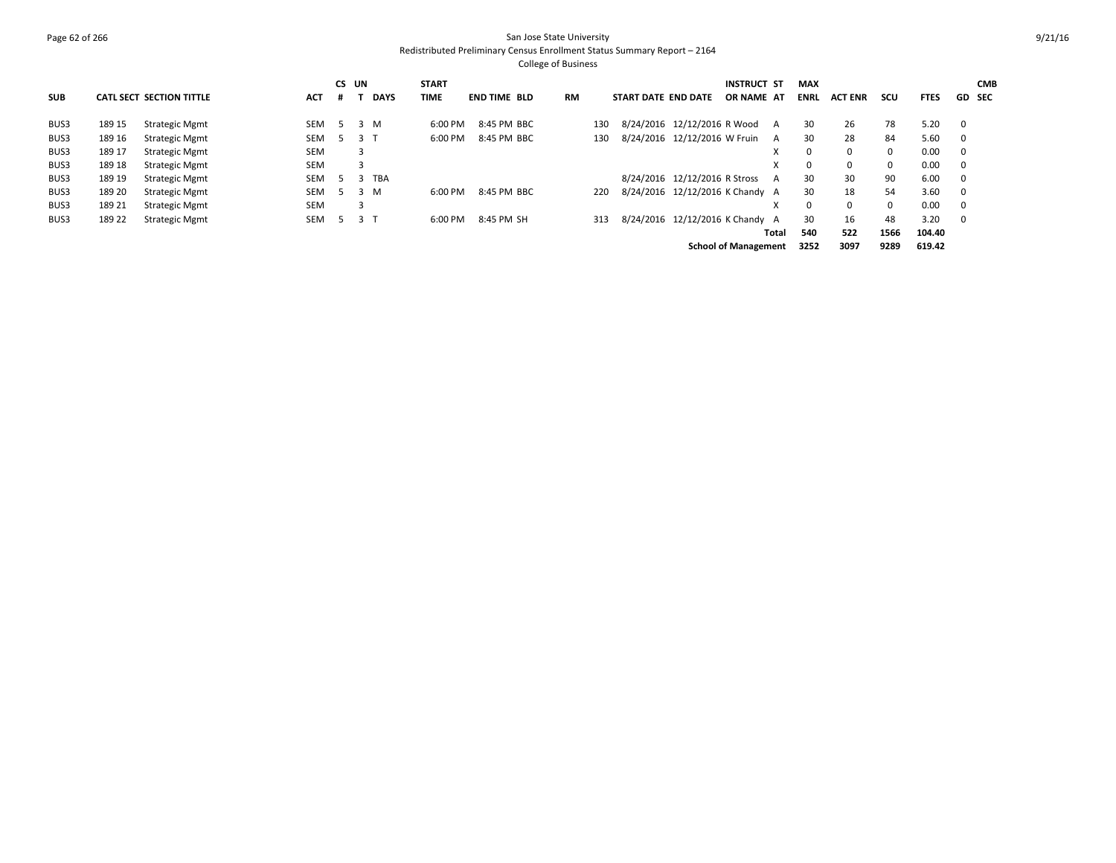# Page 62 of 266 San Jose State University Redistributed Preliminary Census Enrollment Status Summary Report – 2164

|            |        |                          |            |   | CS UN |             | <b>START</b> |                     |           |     |                     |                               | <b>INSTRUCT ST</b>              | <b>MAX</b>  |                |             |             |                          | <b>CMB</b> |
|------------|--------|--------------------------|------------|---|-------|-------------|--------------|---------------------|-----------|-----|---------------------|-------------------------------|---------------------------------|-------------|----------------|-------------|-------------|--------------------------|------------|
| <b>SUB</b> |        | CATL SECT SECTION TITTLE | ACT        | # |       | <b>DAYS</b> | TIME         | <b>END TIME BLD</b> | <b>RM</b> |     | START DATE END DATE |                               | OR NAME AT                      | <b>ENRL</b> | <b>ACT ENR</b> | scu         | <b>FTES</b> | <b>GD SEC</b>            |            |
| BUS3       | 189 15 | <b>Strategic Mgmt</b>    | SEM        | 5 |       | 3 M         | 6:00 PM      | 8:45 PM BBC         |           | 130 |                     | 8/24/2016 12/12/2016 R Wood   | A                               | 30          | 26             | 78          | 5.20        | $\overline{\mathbf{0}}$  |            |
| BUS3       | 189 16 | <b>Strategic Mgmt</b>    | SEM        |   | 3 T   |             | 6:00 PM      | 8:45 PM BBC         |           | 130 |                     | 8/24/2016 12/12/2016 W Fruin  | A                               | 30          | 28             | 84          | 5.60        | $\overline{\phantom{0}}$ |            |
| BUS3       | 189 17 | <b>Strategic Mgmt</b>    | <b>SEM</b> |   | 3     |             |              |                     |           |     |                     |                               | X                               | $\Omega$    | 0              | 0           | 0.00        | $\overline{\phantom{0}}$ |            |
| BUS3       | 189 18 | <b>Strategic Mgmt</b>    | <b>SEM</b> |   | 3     |             |              |                     |           |     |                     |                               | X                               | $\Omega$    | $\Omega$       | 0           | 0.00        | $\overline{\mathbf{0}}$  |            |
| BUS3       | 189 19 | <b>Strategic Mgmt</b>    | SEM        |   | -5    | TBA         |              |                     |           |     |                     | 8/24/2016 12/12/2016 R Stross | A                               | 30          | 30             | 90          | 6.00        | $\overline{\phantom{0}}$ |            |
| BUS3       | 189 20 | <b>Strategic Mgmt</b>    | SEM        |   |       | 3 M         | 6:00 PM      | 8:45 PM BBC         |           | 220 |                     |                               | 8/24/2016 12/12/2016 K Chandy A | 30          | 18             | 54          | 3.60        | $\overline{\mathbf{0}}$  |            |
| BUS3       | 189 21 | <b>Strategic Mgmt</b>    | <b>SEM</b> |   | 3     |             |              |                     |           |     |                     |                               |                                 | $\Omega$    | $\Omega$       | $\mathbf 0$ | 0.00        | $\overline{\mathbf{0}}$  |            |
| BUS3       | 189 22 | <b>Strategic Mgmt</b>    | SEM        |   | 3 T   |             | 6:00 PM      | 8:45 PM SH          |           | 313 |                     |                               | 8/24/2016 12/12/2016 K Chandy A | 30          | 16             | 48          | 3.20        | $\overline{\mathbf{0}}$  |            |
|            |        |                          |            |   |       |             |              |                     |           |     |                     |                               | Total                           | 540         | 522            | 1566        | 104.40      |                          |            |
|            |        |                          |            |   |       |             |              |                     |           |     |                     |                               | <b>School of Management</b>     | 3252        | 3097           | 9289        | 619.42      |                          |            |